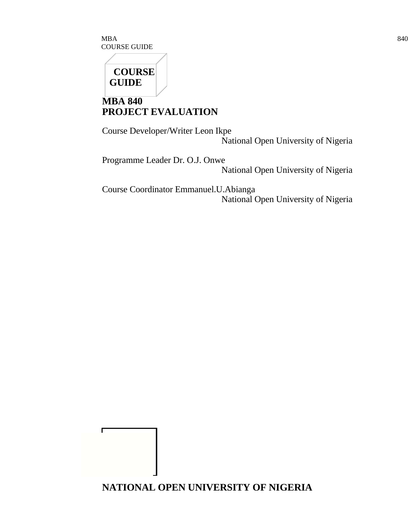$\rm{MBA}$  840 COURSE GUIDE



г

**MBA 840 PROJECT EVALUATION**

Course Developer/Writer Leon Ikpe National Open University of Nigeria

Programme Leader Dr. O.J. Onwe National Open University of Nigeria

Course Coordinator Emmanuel.U.Abianga National Open University of Nigeria

**NATIONAL OPEN UNIVERSITY OF NIGERIA**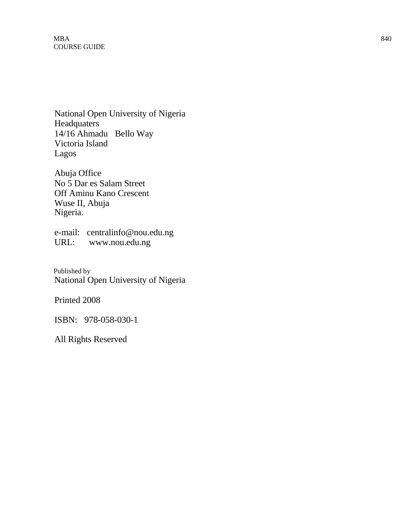National Open University of Nigeria Headquaters 14/16 Ahmadu Bello Way Victoria Island Lagos

Abuja Office No 5 Dar es Salam Street Off Aminu Kano Crescent Wuse II, Abuja Nigeria.

e-mail: centralinfo@nou.edu.ng URL: www.nou.edu.ng

Published by National Open University of Nigeria

Printed 2008

ISBN: 978-058-030-1

All Rights Reserved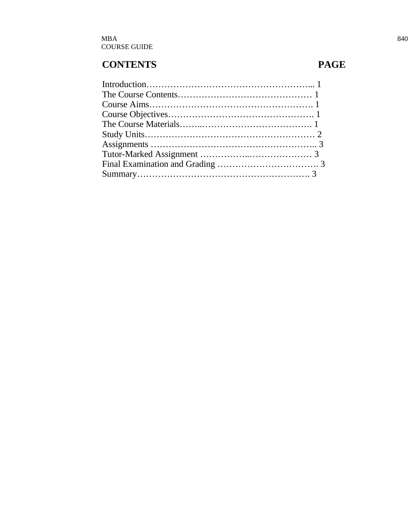# **CONTENTS PAGE**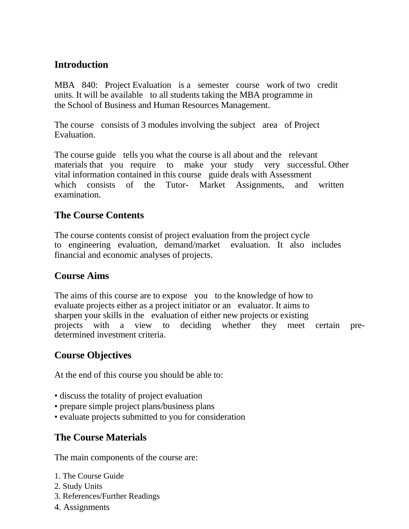# **Introduction**

MBA 840: Project Evaluation is a semester course work of two credit units. It will be available to all students taking the MBA programme in the School of Business and Human Resources Management.

The course consists of 3 modules involving the subject area of Project Evaluation.

The course guide tells you what the course is all about and the relevant materials that you require to make your study very successful. Other vital information contained in this course guide deals with Assessment which consists of the Tutor- Market Assignments, and written examination.

#### **The Course Contents**

The course contents consist of project evaluation from the project cycle to engineering evaluation, demand/market evaluation. It also includes financial and economic analyses of projects.

#### **Course Aims**

The aims of this course are to expose you to the knowledge of how to evaluate projects either as a project initiator or an evaluator. It aims to sharpen your skills in the evaluation of either new projects or existing projects with a view to deciding whether they meet certain predetermined investment criteria.

# **Course Objectives**

At the end of this course you should be able to:

- discuss the totality of project evaluation
- prepare simple project plans/business plans
- evaluate projects submitted to you for consideration

# **The Course Materials**

The main components of the course are:

- 1. The Course Guide
- 2. Study Units
- 3. References/Further Readings
- 4. Assignments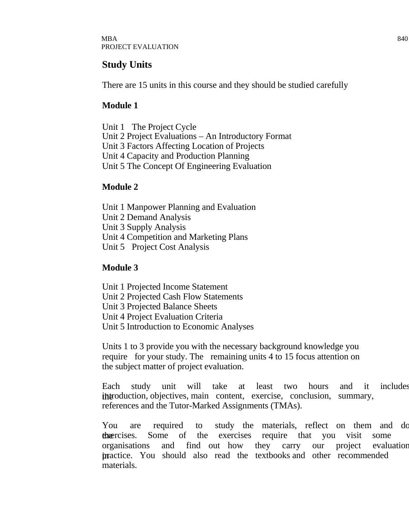# **Study Units**

There are 15 units in this course and they should be studied carefully

#### **Module 1**

Unit 1 The Project Cycle Unit 2 Project Evaluations – An Introductory Format Unit 3 Factors Affecting Location of Projects Unit 4 Capacity and Production Planning Unit 5 The Concept Of Engineering Evaluation

#### **Module 2**

Unit 1 Manpower Planning and Evaluation Unit 2 Demand Analysis Unit 3 Supply Analysis Unit 4 Competition and Marketing Plans Unit 5 Project Cost Analysis

#### **Module 3**

- Unit 1 Projected Income Statement
- Unit 2 Projected Cash Flow Statements
- Unit 3 Projected Balance Sheets
- Unit 4 Project Evaluation Criteria
- Unit 5 Introduction to Economic Analyses

Units 1 to 3 provide you with the necessary background knowledge you require for your study. The remaining units 4 to 15 focus attention on the subject matter of project evaluation.

Each study unit will take at least two hours and it includes introduction, objectives, main content, exercise, conclusion, summary, references and the Tutor-Marked Assignments (TMAs).

You are required to study the materials, reflect on them and do the exercises. Some of the exercises require that you visit some organisations and find out how they carry our project evaluation in practice. You should also read the textbooks and other recommended materials.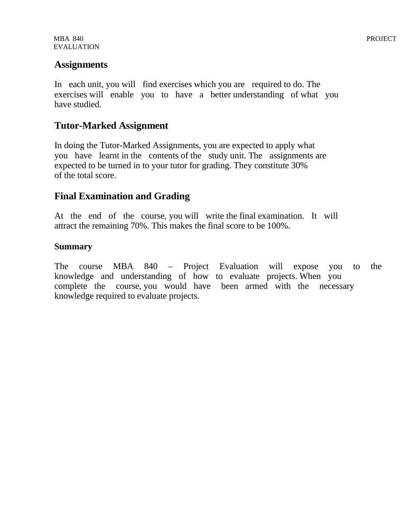#### **Assignments**

In each unit, you will find exercises which you are required to do. The exercises will enable you to have a better understanding of what you have studied.

#### **Tutor-Marked Assignment**

In doing the Tutor-Marked Assignments, you are expected to apply what you have learnt in the contents of the study unit. The assignments are expected to be turned in to your tutor for grading. They constitute 30% of the total score.

#### **Final Examination and Grading**

At the end of the course, you will write the final examination. It will attract the remaining 70%. This makes the final score to be 100%.

#### **Summary**

The course MBA 840 – Project Evaluation will expose you to the knowledge and understanding of how to evaluate projects. When you complete the course, you would have been armed with the necessary knowledge required to evaluate projects.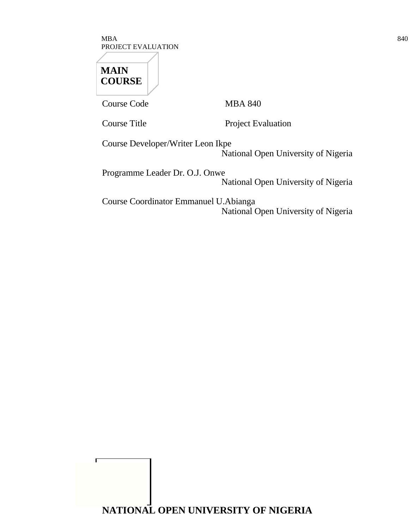$\rm{MBA}$  840 PROJECT EVALUATION

# **MAIN COURSE**

Course Code MBA 840

Г

Course Title Project Evaluation

Course Developer/Writer Leon Ikpe National Open University of Nigeria

Programme Leader Dr. O.J. Onwe National Open University of Nigeria

Course Coordinator Emmanuel U.Abianga National Open University of Nigeria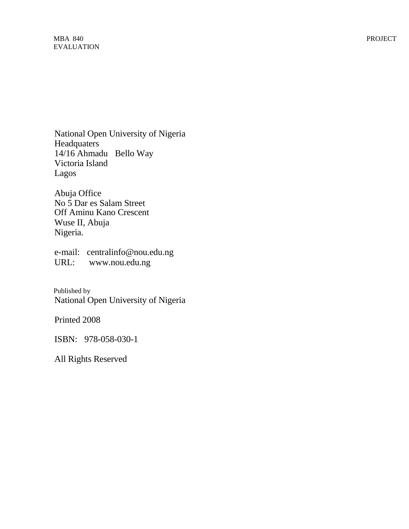MBA 840 PROJECT EVALUATION

National Open University of Nigeria **Headquaters** 14/16 Ahmadu Bello Way Victoria Island Lagos

Abuja Office No 5 Dar es Salam Street Off Aminu Kano Crescent Wuse II, Abuja Nigeria.

e-mail: centralinfo@nou.edu.ng URL: www.nou.edu.ng

Published by National Open University of Nigeria

Printed 2008

ISBN: 978-058-030-1

All Rights Reserved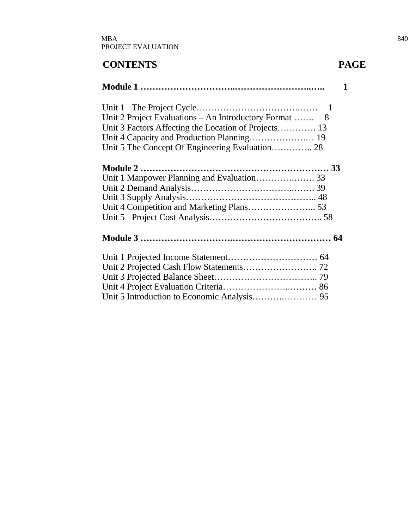# **CONTENTS PAGE**

# **Module 1 …………………………..……………………..….. 1** Unit 1 The Project Cycle…………………………….……. 1 Unit 2 Project Evaluations – An Introductory Format ……. 8 Unit 3 Factors Affecting the Location of Projects…………. 13 Unit 4 Capacity and Production Planning……………….… 19 Unit 5 The Concept Of Engineering Evaluation………….. 28 **Module 2 ……………………………………………………… 33** Unit 1 Manpower Planning and Evaluation………….……. 33 Unit 2 Demand Analysis……………………………..……. 39 Unit 3 Supply Analysis…………………………………….. 48 Unit 4 Competition and Marketing Plans………………….. 53 Unit 5 Project Cost Analysis……………………………….. 58 **Module 3 ………………………….…………………………… 64** Unit 1 Projected Income Statement………………………… 64 Unit 2 Projected Cash Flow Statements……………………. 72 Unit 3 Projected Balance Sheet…………………………….. 79 Unit 4 Project Evaluation Criteria…………………..……… 86 Unit 5 Introduction to Economic Analysis……….………… 95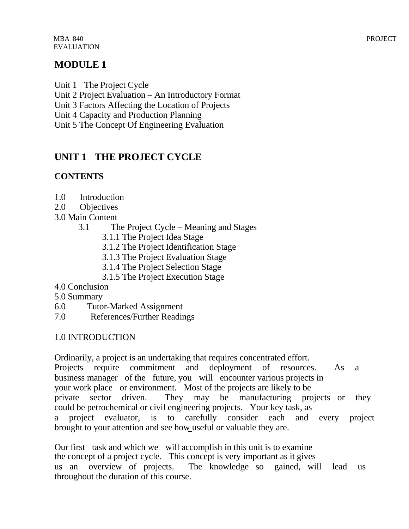# **MODULE 1**

Unit 1 The Project Cycle

Unit 2 Project Evaluation – An Introductory Format

Unit 3 Factors Affecting the Location of Projects

Unit 4 Capacity and Production Planning

Unit 5 The Concept Of Engineering Evaluation

# **UNIT 1 THE PROJECT CYCLE**

# **CONTENTS**

- 1.0 Introduction
- 2.0 Objectives
- 3.0 Main Content
	- 3.1 The Project Cycle Meaning and Stages
		- 3.1.1 The Project Idea Stage
		- 3.1.2 The Project Identification Stage
		- 3.1.3 The Project Evaluation Stage
		- 3.1.4 The Project Selection Stage
		- 3.1.5 The Project Execution Stage
- 4.0 Conclusion
- 5.0 Summary
- 6.0 Tutor-Marked Assignment
- 7.0 References/Further Readings

# 1.0 INTRODUCTION

Ordinarily, a project is an undertaking that requires concentrated effort. Projects require commitment and deployment of resources. As a business manager of the future, you will encounter various projects in your work place or environment. Most of the projects are likely to be private sector driven. They may be manufacturing projects or they could be petrochemical or civil engineering projects. Your key task, as a project evaluator, is to carefully consider each and every project brought to your attention and see how useful or valuable they are.

Our first task and which we will accomplish in this unit is to examine the concept of a project cycle. This concept is very important as it gives us an overview of projects. The knowledge so gained, will lead us throughout the duration of this course.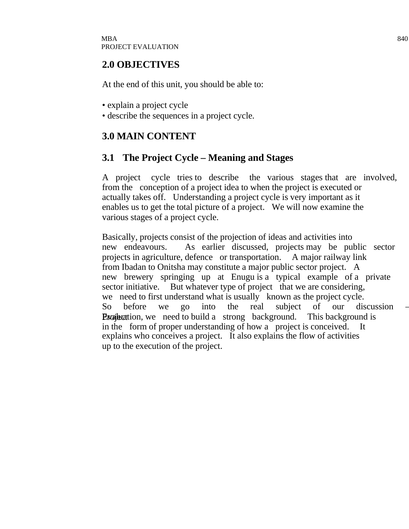#### **2.0 OBJECTIVES**

At the end of this unit, you should be able to:

- explain a project cycle
- describe the sequences in a project cycle.

# **3.0 MAIN CONTENT**

#### **3.1 The Project Cycle – Meaning and Stages**

A project cycle tries to describe the various stages that are involved, from the conception of a project idea to when the project is executed or actually takes off. Understanding a project cycle is very important as it enables us to get the total picture of a project. We will now examine the various stages of a project cycle.

Basically, projects consist of the projection of ideas and activities into new endeavours. As earlier discussed, projects may be public sector projects in agriculture, defence or transportation. A major railway link from Ibadan to Onitsha may constitute a major public sector project. A new brewery springing up at Enugu is a typical example of a private sector initiative. But whatever type of project that we are considering, we need to first understand what is usually known as the project cycle. So before we go into the real subject of our discussion – **Examplement Evaluation, we need to build a strong background. This background is** in the form of proper understanding of how a project is conceived. It explains who conceives a project. It also explains the flow of activities up to the execution of the project.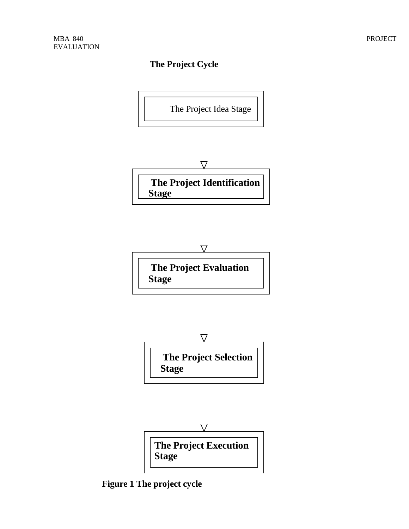#### **The Project Cycle**



**Figure 1 The project cycle**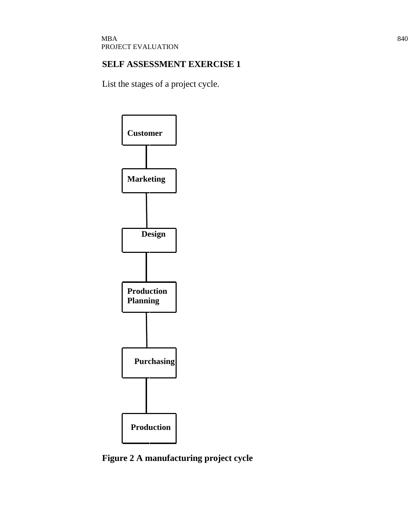#### **SELF ASSESSMENT EXERCISE 1**

List the stages of a project cycle.



**Figure 2 A manufacturing project cycle**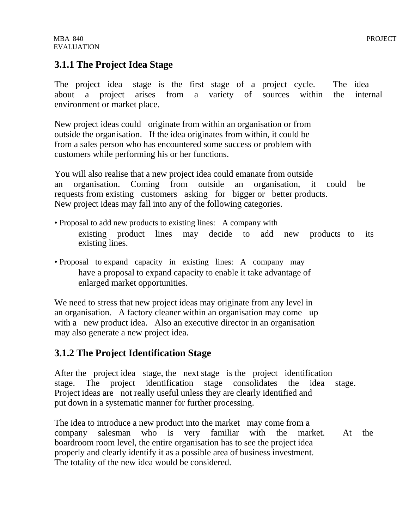# **3.1.1 The Project Idea Stage**

The project idea stage is the first stage of a project cycle. The idea about a project arises from a variety of sources within the internal environment or market place.

New project ideas could originate from within an organisation or from outside the organisation. If the idea originates from within, it could be from a sales person who has encountered some success or problem with customers while performing his or her functions.

You will also realise that a new project idea could emanate from outside an organisation. Coming from outside an organisation, it could be requests from existing customers asking for bigger or better products. New project ideas may fall into any of the following categories.

- Proposal to add new products to existing lines: A company with existing product lines may decide to add new products to its existing lines.
- Proposal to expand capacity in existing lines: A company may have a proposal to expand capacity to enable it take advantage of enlarged market opportunities.

We need to stress that new project ideas may originate from any level in an organisation. A factory cleaner within an organisation may come up with a new product idea. Also an executive director in an organisation may also generate a new project idea.

# **3.1.2 The Project Identification Stage**

After the project idea stage, the next stage is the project identification stage. The project identification stage consolidates the idea stage. Project ideas are not really useful unless they are clearly identified and put down in a systematic manner for further processing.

The idea to introduce a new product into the market may come from a company salesman who is very familiar with the market. At the boardroom room level, the entire organisation has to see the project idea properly and clearly identify it as a possible area of business investment. The totality of the new idea would be considered.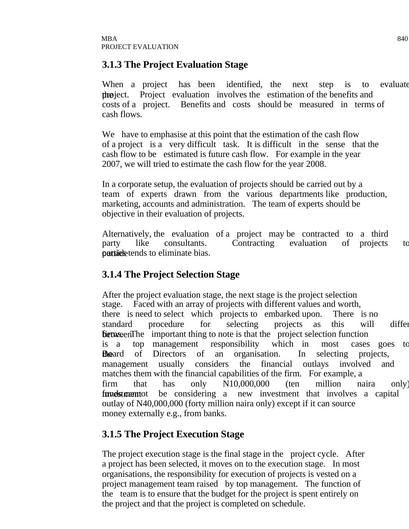#### **3.1.3 The Project Evaluation Stage**

When a project has been identified, the next step is to evaluate the project. Project evaluation involves the estimation of the benefits and costs of a project. Benefits and costs should be measured in terms of cash flows.

We have to emphasise at this point that the estimation of the cash flow of a project is a very difficult task. It is difficult in the sense that the cash flow to be estimated is future cash flow. For example in the year 2007, we will tried to estimate the cash flow for the year 2008.

In a corporate setup, the evaluation of projects should be carried out by a team of experts drawn from the various departments like production, marketing, accounts and administration. The team of experts should be objective in their evaluation of projects.

Alternatively, the evaluation of a project may be contracted to a third party like consultants. Contracting evaluation of projects to particle tends to eliminate bias.

#### **3.1.4 The Project Selection Stage**

After the project evaluation stage, the next stage is the project selection stage. Faced with an array of projects with different values and worth, there is need to select which projects to embarked upon. There is no standard procedure for selecting projects as this will differ **between** firms. The important thing to note is that the project selection function is a top management responsibility which in most cases goes to **the** and of Directors of an organisation. In selecting projects, management usually considers the financial outlays involved and matches them with the financial capabilities of the firm. For example, a firm that has only N10,000,000 (ten million naira only) **funds canonically cannot** be considering a new investment that involves a capital outlay of N40,000,000 (forty million naira only) except if it can source money externally e.g., from banks.

# **3.1.5 The Project Execution Stage**

The project execution stage is the final stage in the project cycle. After a project has been selected, it moves on to the execution stage. In most organisations, the responsibility for execution of projects is vested on a project management team raised by top management. The function of the team is to ensure that the budget for the project is spent entirely on the project and that the project is completed on schedule.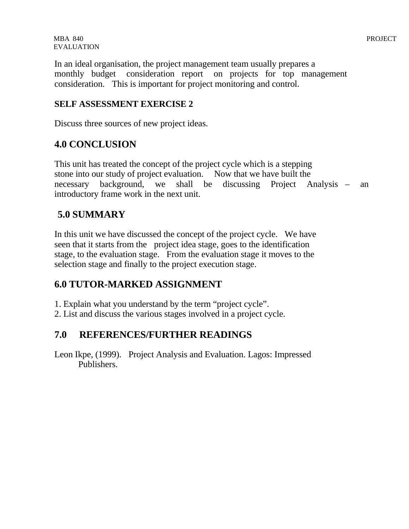In an ideal organisation, the project management team usually prepares a monthly budget consideration report on projects for top management consideration. This is important for project monitoring and control.

#### **SELF ASSESSMENT EXERCISE 2**

Discuss three sources of new project ideas.

#### **4.0 CONCLUSION**

This unit has treated the concept of the project cycle which is a stepping stone into our study of project evaluation. Now that we have built the necessary background, we shall be discussing Project Analysis – an introductory frame work in the next unit.

#### **5.0 SUMMARY**

In this unit we have discussed the concept of the project cycle. We have seen that it starts from the project idea stage, goes to the identification stage, to the evaluation stage. From the evaluation stage it moves to the selection stage and finally to the project execution stage.

#### **6.0 TUTOR-MARKED ASSIGNMENT**

1. Explain what you understand by the term "project cycle".

2. List and discuss the various stages involved in a project cycle.

#### **7.0 REFERENCES/FURTHER READINGS**

Leon Ikpe, (1999). Project Analysis and Evaluation. Lagos: Impressed Publishers.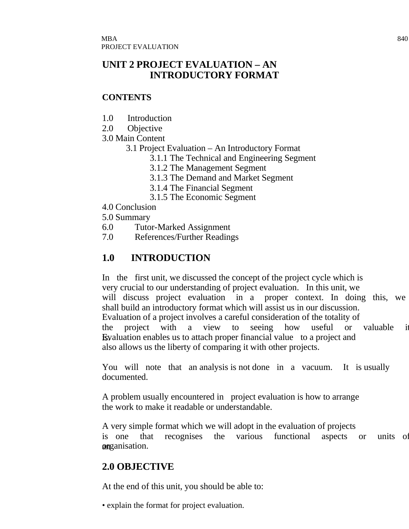# **UNIT 2 PROJECT EVALUATION – AN INTRODUCTORY FORMAT**

#### **CONTENTS**

- 1.0 Introduction
- 2.0 Objective
- 3.0 Main Content
	- 3.1 Project Evaluation An Introductory Format
		- 3.1.1 The Technical and Engineering Segment
		- 3.1.2 The Management Segment
		- 3.1.3 The Demand and Market Segment
		- 3.1.4 The Financial Segment
		- 3.1.5 The Economic Segment
- 4.0 Conclusion
- 5.0 Summary
- 6.0 Tutor-Marked Assignment
- 7.0 References/Further Readings

# **1.0 INTRODUCTION**

In the first unit, we discussed the concept of the project cycle which is very crucial to our understanding of project evaluation. In this unit, we will discuss project evaluation in a proper context. In doing this, we shall build an introductory format which will assist us in our discussion. Evaluation of a project involves a careful consideration of the totality of the project with a view to seeing how useful or valuable it **E**s Evaluation enables us to attach proper financial value to a project and also allows us the liberty of comparing it with other projects.

You will note that an analysis is not done in a vacuum. It is usually documented.

A problem usually encountered in project evaluation is how to arrange the work to make it readable or understandable.

A very simple format which we will adopt in the evaluation of projects is one that recognises the various functional aspects or units of anganisation.

# **2.0 OBJECTIVE**

At the end of this unit, you should be able to:

• explain the format for project evaluation.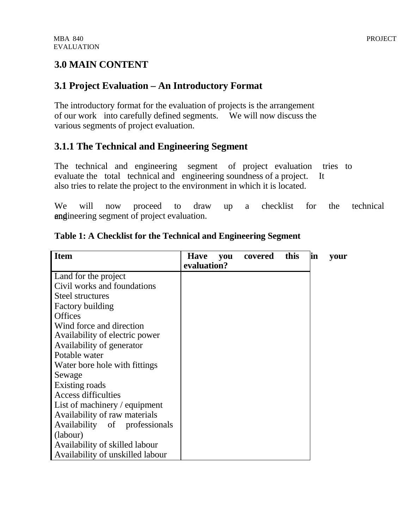# **3.0 MAIN CONTENT**

# **3.1 Project Evaluation – An Introductory Format**

The introductory format for the evaluation of projects is the arrangement of our work into carefully defined segments. We will now discuss the various segments of project evaluation.

# **3.1.1 The Technical and Engineering Segment**

The technical and engineering segment of project evaluation tries to evaluate the total technical and engineering soundness of a project. It also tries to relate the project to the environment in which it is located.

We will now proceed to draw up a checklist for the technical and ineering segment of project evaluation.

| <b>Item</b>                        | <b>Have</b> | <b>vou</b> | covered | this | lin | your |
|------------------------------------|-------------|------------|---------|------|-----|------|
|                                    | evaluation? |            |         |      |     |      |
| Land for the project               |             |            |         |      |     |      |
| Civil works and foundations        |             |            |         |      |     |      |
| Steel structures                   |             |            |         |      |     |      |
| <b>Factory building</b>            |             |            |         |      |     |      |
| <b>Offices</b>                     |             |            |         |      |     |      |
| Wind force and direction           |             |            |         |      |     |      |
| Availability of electric power     |             |            |         |      |     |      |
| Availability of generator          |             |            |         |      |     |      |
| Potable water                      |             |            |         |      |     |      |
| Water bore hole with fittings      |             |            |         |      |     |      |
| Sewage                             |             |            |         |      |     |      |
| Existing roads                     |             |            |         |      |     |      |
| <b>Access difficulties</b>         |             |            |         |      |     |      |
| List of machinery $\ell$ equipment |             |            |         |      |     |      |
| Availability of raw materials      |             |            |         |      |     |      |
| Availability of professionals      |             |            |         |      |     |      |
| (labour)                           |             |            |         |      |     |      |
| Availability of skilled labour     |             |            |         |      |     |      |
| Availability of unskilled labour   |             |            |         |      |     |      |

#### **Table 1: A Checklist for the Technical and Engineering Segment**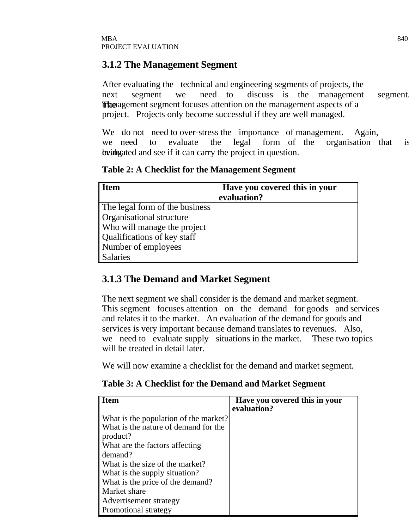# **3.1.2 The Management Segment**

After evaluating the technical and engineering segments of projects, the next segment we need to discuss is the management segment The management segment focuses attention on the management aspects of a project. Projects only become successful if they are well managed.

We do not need to over-stress the importance of management. Again, we need to evaluate the legal form of the organisation that is being banguated and see if it can carry the project in question.

| <b>Item</b>                     | Have you covered this in your<br>evaluation? |
|---------------------------------|----------------------------------------------|
| The legal form of the business  |                                              |
| <b>Organisational structure</b> |                                              |
| Who will manage the project     |                                              |
| Qualifications of key staff     |                                              |
| Number of employees             |                                              |
| <b>Salaries</b>                 |                                              |

**Table 2: A Checklist for the Management Segment**

# **3.1.3 The Demand and Market Segment**

The next segment we shall consider is the demand and market segment. This segment focuses attention on the demand for goods and services and relates it to the market. An evaluation of the demand for goods and services is very important because demand translates to revenues. Also, we need to evaluate supply situations in the market. These two topics will be treated in detail later.

We will now examine a checklist for the demand and market segment.

**Table 3: A Checklist for the Demand and Market Segment**

| <b>Item</b>                           | Have you covered this in your<br>evaluation? |
|---------------------------------------|----------------------------------------------|
| What is the population of the market? |                                              |
| What is the nature of demand for the  |                                              |
| product?                              |                                              |
| What are the factors affecting        |                                              |
| demand?                               |                                              |
| What is the size of the market?       |                                              |
| What is the supply situation?         |                                              |
| What is the price of the demand?      |                                              |
| Market share                          |                                              |
| Advertisement strategy                |                                              |
| <b>Promotional strategy</b>           |                                              |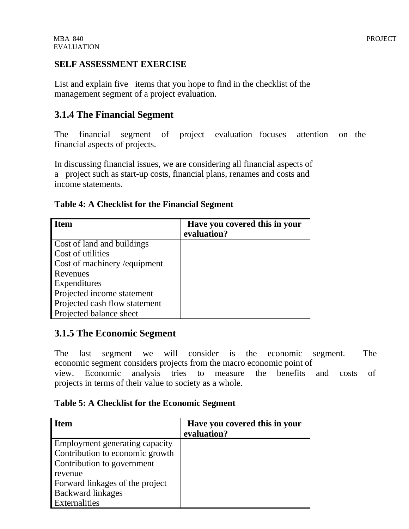#### **SELF ASSESSMENT EXERCISE**

List and explain five items that you hope to find in the checklist of the management segment of a project evaluation.

#### **3.1.4 The Financial Segment**

The financial segment of project evaluation focuses attention on the financial aspects of projects.

In discussing financial issues, we are considering all financial aspects of a project such as start-up costs, financial plans, renames and costs and income statements.

#### **Table 4: A Checklist for the Financial Segment**

| <b>Item</b>                   | Have you covered this in your<br>evaluation? |
|-------------------------------|----------------------------------------------|
| Cost of land and buildings    |                                              |
| Cost of utilities             |                                              |
| Cost of machinery / equipment |                                              |
| Revenues                      |                                              |
| Expenditures                  |                                              |
| Projected income statement    |                                              |
| Projected cash flow statement |                                              |
| Projected balance sheet       |                                              |

#### **3.1.5 The Economic Segment**

The last segment we will consider is the economic segment. The economic segment considers projects from the macro economic point of

view. Economic analysis tries to measure the benefits and costs of projects in terms of their value to society as a whole.

#### **Table 5: A Checklist for the Economic Segment**

| <b>Item</b>                     | Have you covered this in your |
|---------------------------------|-------------------------------|
|                                 | evaluation?                   |
| Employment generating capacity  |                               |
| Contribution to economic growth |                               |
| Contribution to government      |                               |
| revenue                         |                               |
| Forward linkages of the project |                               |
| <b>Backward linkages</b>        |                               |
| Externalities                   |                               |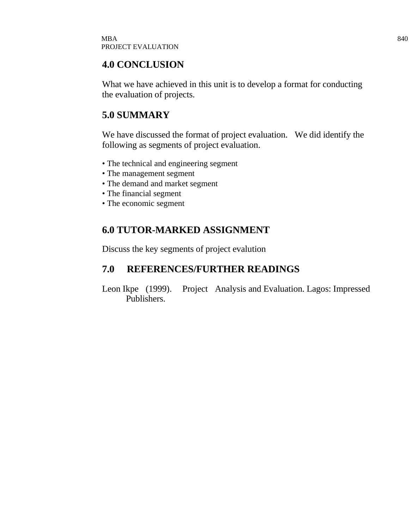#### **4.0 CONCLUSION**

What we have achieved in this unit is to develop a format for conducting the evaluation of projects.

# **5.0 SUMMARY**

We have discussed the format of project evaluation. We did identify the following as segments of project evaluation.

- The technical and engineering segment
- The management segment
- The demand and market segment
- The financial segment
- The economic segment

# **6.0 TUTOR-MARKED ASSIGNMENT**

Discuss the key segments of project evalution

# **7.0 REFERENCES/FURTHER READINGS**

Leon Ikpe (1999). Project Analysis and Evaluation. Lagos: Impressed Publishers.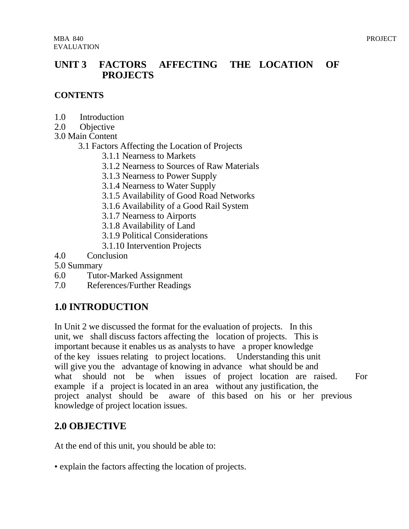#### **UNIT 3 FACTORS AFFECTING THE LOCATION OF PROJECTS**

#### **CONTENTS**

- 1.0 Introduction
- 2.0 Objective
- 3.0 Main Content
	- 3.1 Factors Affecting the Location of Projects
		- 3.1.1 Nearness to Markets
		- 3.1.2 Nearness to Sources of Raw Materials
		- 3.1.3 Nearness to Power Supply
		- 3.1.4 Nearness to Water Supply
		- 3.1.5 Availability of Good Road Networks
		- 3.1.6 Availability of a Good Rail System
		- 3.1.7 Nearness to Airports
		- 3.1.8 Availability of Land
		- 3.1.9 Political Considerations
		- 3.1.10 Intervention Projects
- 4.0 Conclusion
- 5.0 Summary
- 6.0 Tutor-Marked Assignment
- 7.0 References/Further Readings

# **1.0 INTRODUCTION**

In Unit 2 we discussed the format for the evaluation of projects. In this unit, we shall discuss factors affecting the location of projects. This is important because it enables us as analysts to have a proper knowledge of the key issues relating to project locations. Understanding this unit will give you the advantage of knowing in advance what should be and what should not be when issues of project location are raised. For example if a project is located in an area without any justification, the project analyst should be aware of this based on his or her previous knowledge of project location issues.

# **2.0 OBJECTIVE**

At the end of this unit, you should be able to:

• explain the factors affecting the location of projects.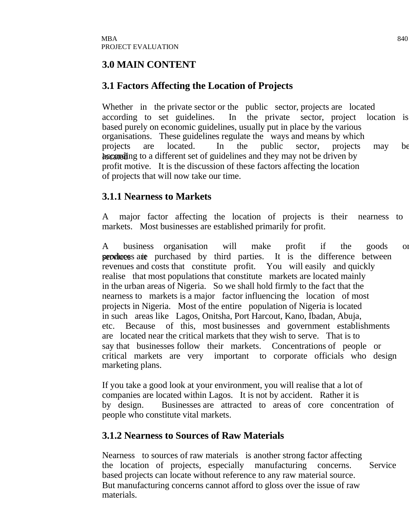#### **3.0 MAIN CONTENT**

#### **3.1 Factors Affecting the Location of Projects**

Whether in the private sector or the public sector, projects are located according to set guidelines. In the private sector, project location is based purely on economic guidelines, usually put in place by the various organisations. These guidelines regulate the ways and means by which projects are located. In the public sector, projects may be hocated ing to a different set of guidelines and they may not be driven by profit motive. It is the discussion of these factors affecting the location of projects that will now take our time.

#### **3.1.1 Nearness to Markets**

A major factor affecting the location of projects is their nearness to markets. Most businesses are established primarily for profit.

A business organisation will make profit if the goods or services are purchased by third parties. It is the difference between revenues and costs that constitute profit. You will easily and quickly realise that most populations that constitute markets are located mainly in the urban areas of Nigeria. So we shall hold firmly to the fact that the nearness to markets is a major factor influencing the location of most projects in Nigeria. Most of the entire population of Nigeria is located in such areas like Lagos, Onitsha, Port Harcout, Kano, Ibadan, Abuja, etc. Because of this, most businesses and government establishments are located near the critical markets that they wish to serve. That is to say that businesses follow their markets. Concentrations of people or critical markets are very important to corporate officials who design marketing plans.

If you take a good look at your environment, you will realise that a lot of companies are located within Lagos. It is not by accident. Rather it is by design. Businesses are attracted to areas of core concentration of people who constitute vital markets.

#### **3.1.2 Nearness to Sources of Raw Materials**

Nearness to sources of raw materials is another strong factor affecting the location of projects, especially manufacturing concerns. Service based projects can locate without reference to any raw material source. But manufacturing concerns cannot afford to gloss over the issue of raw materials.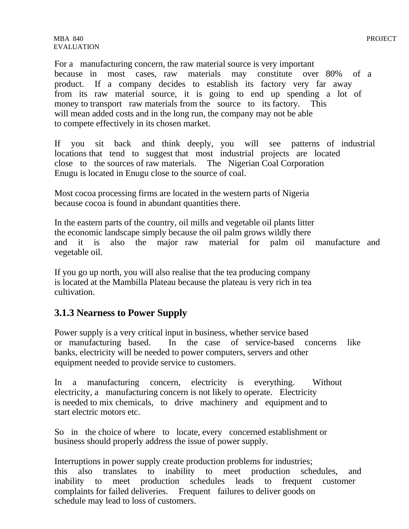MBA 840 PROJECT EVALUATION

For a manufacturing concern, the raw material source is very important because in most cases, raw materials may constitute over 80% of a product. If a company decides to establish its factory very far away from its raw material source, it is going to end up spending a lot of money to transport raw materials from the source to its factory. This will mean added costs and in the long run, the company may not be able to compete effectively in its chosen market.

If you sit back and think deeply, you will see patterns of industrial locations that tend to suggest that most industrial projects are located close to the sources of raw materials. The Nigerian Coal Corporation Enugu is located in Enugu close to the source of coal.

Most cocoa processing firms are located in the western parts of Nigeria because cocoa is found in abundant quantities there.

In the eastern parts of the country, oil mills and vegetable oil plants litter the economic landscape simply because the oil palm grows wildly there and it is also the major raw material for palm oil manufacture and vegetable oil.

If you go up north, you will also realise that the tea producing company is located at the Mambilla Plateau because the plateau is very rich in tea cultivation.

#### **3.1.3 Nearness to Power Supply**

Power supply is a very critical input in business, whether service based or manufacturing based. In the case of service-based concerns like banks, electricity will be needed to power computers, servers and other equipment needed to provide service to customers.

In a manufacturing concern, electricity is everything. Without electricity, a manufacturing concern is not likely to operate. Electricity is needed to mix chemicals, to drive machinery and equipment and to start electric motors etc.

So in the choice of where to locate, every concerned establishment or business should properly address the issue of power supply.

Interruptions in power supply create production problems for industries; this also translates to inability to meet production schedules, and inability to meet production schedules leads to frequent customer complaints for failed deliveries. Frequent failures to deliver goods on schedule may lead to loss of customers.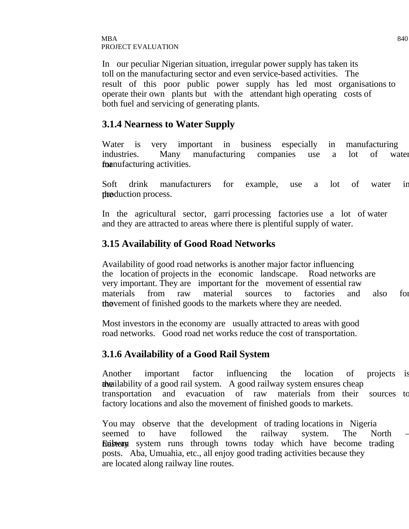In our peculiar Nigerian situation, irregular power supply has taken its toll on the manufacturing sector and even service-based activities. The result of this poor public power supply has led most organisations to operate their own plants but with the attendant high operating costs of both fuel and servicing of generating plants.

#### **3.1.4 Nearness to Water Supply**

Water is very important in business especially in manufacturing industries. Many manufacturing companies use a lot of water foanufacturing activities.

Soft drink manufacturers for example, use a lot of water in the process.

In the agricultural sector, garri processing factories use a lot of water and they are attracted to areas where there is plentiful supply of water.

#### **3.15 Availability of Good Road Networks**

Availability of good road networks is another major factor influencing the location of projects in the economic landscape. Road networks are very important. They are important for the movement of essential raw materials from raw material sources to factories and also for the is vector the markets where they are needed.

Most investors in the economy are usually attracted to areas with good road networks. Good road net works reduce the cost of transportation.

#### **3.1.6 Availability of a Good Rail System**

Another important factor influencing the location of projects is the availability of a good rail system. A good railway system ensures cheap transportation and evacuation of raw materials from their sources to factory locations and also the movement of finished goods to markets.

You may observe that the development of trading locations in Nigeria seemed to have followed the railway system. The North – Eastern runs through towns today which have become trading posts. Aba, Umuahia, etc., all enjoy good trading activities because they are located along railway line routes.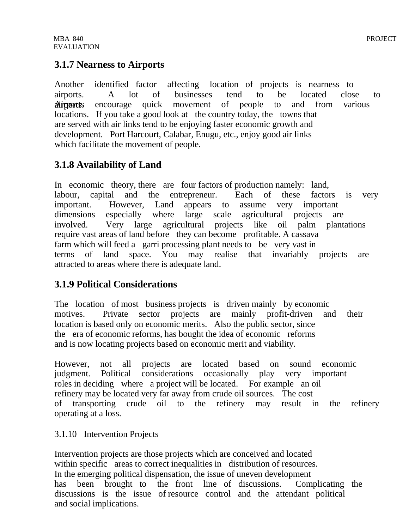#### **3.1.7 Nearness to Airports**

Another identified factor affecting location of projects is nearness to airports. A lot of businesses tend to be located close to airports. Airports encourage quick movement of people to and from various locations. If you take a good look at the country today, the towns that are served with air links tend to be enjoying faster economic growth and development. Port Harcourt, Calabar, Enugu, etc., enjoy good air links which facilitate the movement of people.

# **3.1.8 Availability of Land**

In economic theory, there are four factors of production namely: land, labour, capital and the entrepreneur. Each of these factors is very important. However, Land appears to assume very important dimensions especially where large scale agricultural projects are involved. Very large agricultural projects like oil palm plantations require vast areas of land before they can become profitable. A cassava farm which will feed a garri processing plant needs to be very vast in terms of land space. You may realise that invariably projects are attracted to areas where there is adequate land.

# **3.1.9 Political Considerations**

The location of most business projects is driven mainly by economic motives. Private sector projects are mainly profit-driven and their location is based only on economic merits. Also the public sector, since the era of economic reforms, has bought the idea of economic reforms and is now locating projects based on economic merit and viability.

However, not all projects are located based on sound economic judgment. Political considerations occasionally play very important roles in deciding where a project will be located. For example an oil refinery may be located very far away from crude oil sources. The cost of transporting crude oil to the refinery may result in the refinery operating at a loss.

#### 3.1.10 Intervention Projects

Intervention projects are those projects which are conceived and located within specific areas to correct inequalities in distribution of resources. In the emerging political dispensation, the issue of uneven development has been brought to the front line of discussions. Complicating the discussions is the issue of resource control and the attendant political and social implications.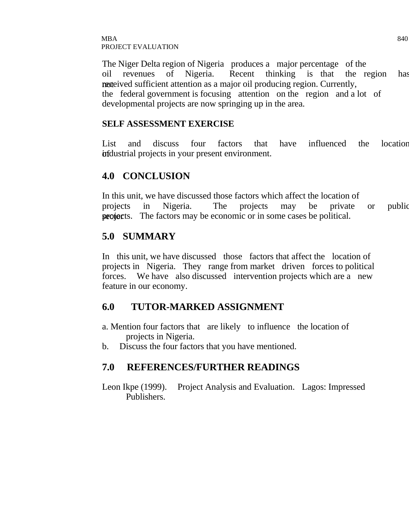The Niger Delta region of Nigeria produces a major percentage of the oil revenues of Nigeria. Recent thinking is that the region has nexteived sufficient attention as a major oil producing region. Currently, the federal government is focusing attention on the region and a lot of developmental projects are now springing up in the area.

#### **SELF ASSESSMENT EXERCISE**

List and discuss four factors that have influenced the location **or in**dustrial projects in your present environment.

#### **4.0 CONCLUSION**

In this unit, we have discussed those factors which affect the location of projects in Nigeria. The projects may be private or public section projects. The factors may be economic or in some cases be political.

#### **5.0 SUMMARY**

In this unit, we have discussed those factors that affect the location of projects in Nigeria. They range from market driven forces to political forces. We have also discussed intervention projects which are a new feature in our economy.

#### **6.0 TUTOR-MARKED ASSIGNMENT**

- a. Mention four factors that are likely to influence the location of projects in Nigeria.
- b. Discuss the four factors that you have mentioned.

# **7.0 REFERENCES/FURTHER READINGS**

Leon Ikpe (1999). Project Analysis and Evaluation. Lagos: Impressed Publishers.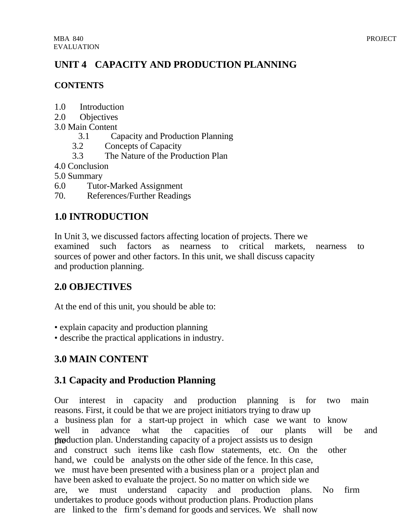# **UNIT 4 CAPACITY AND PRODUCTION PLANNING**

#### **CONTENTS**

- 1.0 Introduction
- 2.0 Objectives
- 3.0 Main Content
	- 3.1 Capacity and Production Planning
	- 3.2 Concepts of Capacity
	- 3.3 The Nature of the Production Plan
- 4.0 Conclusion
- 5.0 Summary
- 6.0 Tutor-Marked Assignment
- 70. References/Further Readings

# **1.0 INTRODUCTION**

In Unit 3, we discussed factors affecting location of projects. There we examined such factors as nearness to critical markets, nearness to sources of power and other factors. In this unit, we shall discuss capacity and production planning.

# **2.0 OBJECTIVES**

At the end of this unit, you should be able to:

- explain capacity and production planning
- describe the practical applications in industry.

# **3.0 MAIN CONTENT**

# **3.1 Capacity and Production Planning**

Our interest in capacity and production planning is for two main reasons. First, it could be that we are project initiators trying to draw up a business plan for a start-up project in which case we want to know well in advance what the capacities of our plants will be and the production plan. Understanding capacity of a project assists us to design and construct such items like cash flow statements, etc. On the other hand, we could be analysts on the other side of the fence. In this case, we must have been presented with a business plan or a project plan and have been asked to evaluate the project. So no matter on which side we are, we must understand capacity and production plans. No firm undertakes to produce goods without production plans. Production plans are linked to the firm's demand for goods and services. We shall now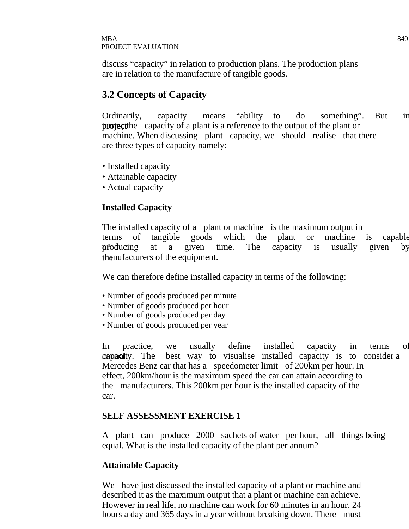discuss "capacity" in relation to production plans. The production plans are in relation to the manufacture of tangible goods.

# **3.2 Concepts of Capacity**

Ordinarily, capacity means "ability to do something". But in **terms**, the capacity of a plant is a reference to the output of the plant or machine. When discussing plant capacity, we should realise that there are three types of capacity namely:

- Installed capacity
- Attainable capacity
- Actual capacity

#### **Installed Capacity**

The installed capacity of a plant or machine is the maximum output in terms of tangible goods which the plant or machine is capable of producing at a given time. The capacity is usually given by the manufacturers of the equipment.

We can therefore define installed capacity in terms of the following:

- Number of goods produced per minute
- Number of goods produced per hour
- Number of goods produced per day
- Number of goods produced per year

In practice, we usually define installed capacity in terms of **annual** capacity. The best way to visualise installed capacity is to consider a Mercedes Benz car that has a speedometer limit of 200km per hour. In effect, 200km/hour is the maximum speed the car can attain according to the manufacturers. This 200km per hour is the installed capacity of the car.

#### **SELF ASSESSMENT EXERCISE 1**

A plant can produce 2000 sachets of water per hour, all things being equal. What is the installed capacity of the plant per annum?

#### **Attainable Capacity**

We have just discussed the installed capacity of a plant or machine and described it as the maximum output that a plant or machine can achieve. However in real life, no machine can work for 60 minutes in an hour, 24 hours a day and 365 days in a year without breaking down. There must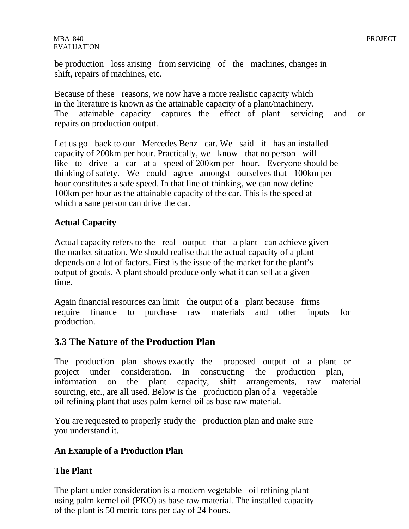be production loss arising from servicing of the machines, changes in shift, repairs of machines, etc.

Because of these reasons, we now have a more realistic capacity which in the literature is known as the attainable capacity of a plant/machinery. The attainable capacity captures the effect of plant servicing and or repairs on production output.

Let us go back to our Mercedes Benz car. We said it has an installed capacity of 200km per hour. Practically, we know that no person will like to drive a car at a speed of 200km per hour. Everyone should be thinking of safety. We could agree amongst ourselves that 100km per hour constitutes a safe speed. In that line of thinking, we can now define 100km per hour as the attainable capacity of the car. This is the speed at which a sane person can drive the car.

#### **Actual Capacity**

Actual capacity refers to the real output that a plant can achieve given the market situation. We should realise that the actual capacity of a plant depends on a lot of factors. First is the issue of the market for the plant's output of goods. A plant should produce only what it can sell at a given time.

Again financial resources can limit the output of a plant because firms require finance to purchase raw materials and other inputs for production.

#### **3.3 The Nature of the Production Plan**

The production plan shows exactly the proposed output of a plant or project under consideration. In constructing the production plan, information on the plant capacity, shift arrangements, raw material sourcing, etc., are all used. Below is the production plan of a vegetable oil refining plant that uses palm kernel oil as base raw material.

You are requested to properly study the production plan and make sure you understand it.

#### **An Example of a Production Plan**

#### **The Plant**

The plant under consideration is a modern vegetable oil refining plant using palm kernel oil (PKO) as base raw material. The installed capacity of the plant is 50 metric tons per day of 24 hours.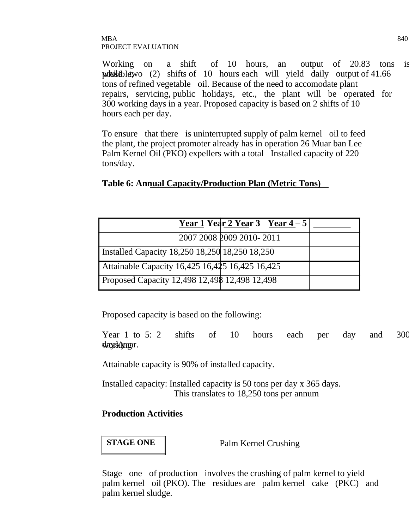#### $\rm{MBA}$  840 PROJECT EVALUATION

Working on a shift of 10 hours, an output of 20.83 tons is possible, while two  $(2)$  shifts of 10 hours each will yield daily output of 41.66 tons of refined vegetable oil. Because of the need to accomodate plant repairs, servicing, public holidays, etc., the plant will be operated for 300 working days in a year. Proposed capacity is based on 2 shifts of 10 hours each per day.

To ensure that there is uninterrupted supply of palm kernel oil to feed the plant, the project promoter already has in operation 26 Muar ban Lee Palm Kernel Oil (PKO) expellers with a total Installed capacity of 220 tons/day.

#### **Table 6: Annual Capacity/Production Plan (Metric Tons)**

|                                                 |                          | <u>Year 1</u> Year 2 Year 3   <u>Year 4</u> – 5 |  |
|-------------------------------------------------|--------------------------|-------------------------------------------------|--|
|                                                 | 2007 2008 2009 2010-2011 |                                                 |  |
| Installed Capacity 18,250 18,250 18,250 18,250  |                          |                                                 |  |
| Attainable Capacity 16,425 16,425 16,425 16,425 |                          |                                                 |  |
| Proposed Capacity 12,498 12,498 12,498 12,498   |                          |                                                 |  |

Proposed capacity is based on the following:

Year 1 to 5: 2 shifts of 10 hours each per day and 300 daysk*in*gar.

Attainable capacity is 90% of installed capacity.

Installed capacity: Installed capacity is 50 tons per day x 365 days. This translates to 18,250 tons per annum

#### **Production Activities**

**STAGE ONE Palm Kernel Crushing** 

Stage one of production involves the crushing of palm kernel to yield palm kernel oil (PKO). The residues are palm kernel cake (PKC) and palm kernel sludge.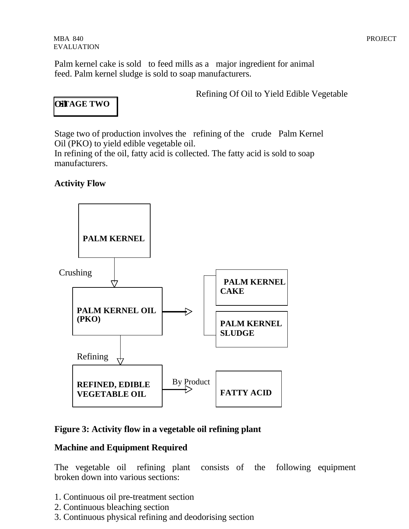Palm kernel cake is sold to feed mills as a major ingredient for animal feed. Palm kernel sludge is sold to soap manufacturers.

Refining Of Oil to Yield Edible Vegetable

# **OSTAGE TWO**

Stage two of production involves the refining of the crude Palm Kernel Oil (PKO) to yield edible vegetable oil.

In refining of the oil, fatty acid is collected. The fatty acid is sold to soap manufacturers.

#### **Activity Flow**



#### **Figure 3: Activity flow in a vegetable oil refining plant**

#### **Machine and Equipment Required**

The vegetable oil refining plant consists of the following equipment broken down into various sections:

- 1. Continuous oil pre-treatment section
- 2. Continuous bleaching section
- 3. Continuous physical refining and deodorising section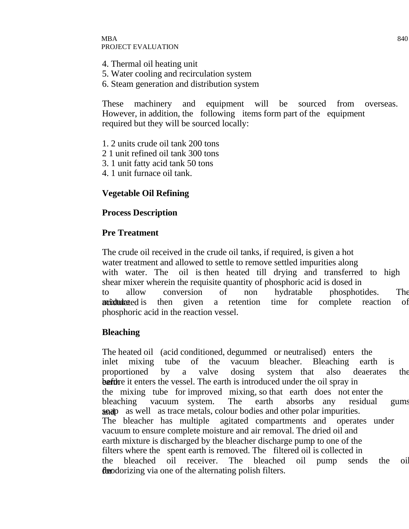- 4. Thermal oil heating unit
- 5. Water cooling and recirculation system
- 6. Steam generation and distribution system

These machinery and equipment will be sourced from overseas. However, in addition, the following items form part of the equipment required but they will be sourced locally:

- 1. 2 units crude oil tank 200 tons
- 2 1 unit refined oil tank 300 tons
- 3. 1 unit fatty acid tank 50 tons
- 4. 1 unit furnace oil tank.

#### **Vegetable Oil Refining**

#### **Process Description**

#### **Pre Treatment**

The crude oil received in the crude oil tanks, if required, is given a hot water treatment and allowed to settle to remove settled impurities along with water. The oil is then heated till drying and transferred to high shear mixer wherein the requisite quantity of phosphoric acid is dosed in to allow conversion of non hydratable phosphotides. The **noixture** is then given a retention time for complete reaction of phosphoric acid in the reaction vessel.

#### **Bleaching**

The heated oil (acid conditioned, degummed or neutralised) enters the inlet mixing tube of the vacuum bleacher. Bleaching earth is proportioned by a valve dosing system that also deaerates the baftire it enters the vessel. The earth is introduced under the oil spray in the mixing tube for improved mixing, so that earth does not enter the bleaching vacuum system. The earth absorbs any residual gums and as well as trace metals, colour bodies and other polar impurities.<br>The bleacher has multiple agitated compartments and operate agitated compartments and operates under vacuum to ensure complete moisture and air removal. The dried oil and earth mixture is discharged by the bleacher discharge pump to one of the filters where the spent earth is removed. The filtered oil is collected in the bleached oil receiver. The bleached oil pump sends the oil for designation dependence of the alternating polish filters.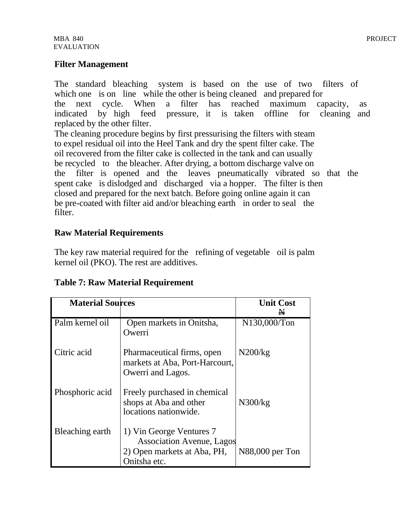#### **Filter Management**

The standard bleaching system is based on the use of two filters of which one is on line while the other is being cleaned and prepared for the next cycle. When a filter has reached maximum capacity, as indicated by high feed pressure, it is taken offline for cleaning and replaced by the other filter. The cleaning procedure begins by first pressurising the filters with steam

to expel residual oil into the Heel Tank and dry the spent filter cake. The oil recovered from the filter cake is collected in the tank and can usually be recycled to the bleacher. After drying, a bottom discharge valve on the filter is opened and the leaves pneumatically vibrated so that the spent cake is dislodged and discharged via a hopper. The filter is then closed and prepared for the next batch. Before going online again it can be pre-coated with filter aid and/or bleaching earth in order to seal the filter.

#### **Raw Material Requirements**

The key raw material required for the refining of vegetable oil is palm kernel oil (PKO). The rest are additives.

| <b>Material Sources</b> |                                                                                                             | <b>Unit Cost</b> |
|-------------------------|-------------------------------------------------------------------------------------------------------------|------------------|
|                         |                                                                                                             | ₩                |
| Palm kernel oil         | Open markets in Onitsha,<br>Owerri                                                                          | N130,000/Ton     |
| Citric acid             | Pharmaceutical firms, open<br>markets at Aba, Port-Harcourt,<br>Owerri and Lagos.                           | N200/kg          |
| Phosphoric acid         | Freely purchased in chemical<br>shops at Aba and other<br>locations nationwide.                             | N300/kg          |
| Bleaching earth         | 1) Vin George Ventures 7<br><b>Association Avenue, Lagos</b><br>2) Open markets at Aba, PH,<br>Onitsha etc. | N88,000 per Ton  |

#### **Table 7: Raw Material Requirement**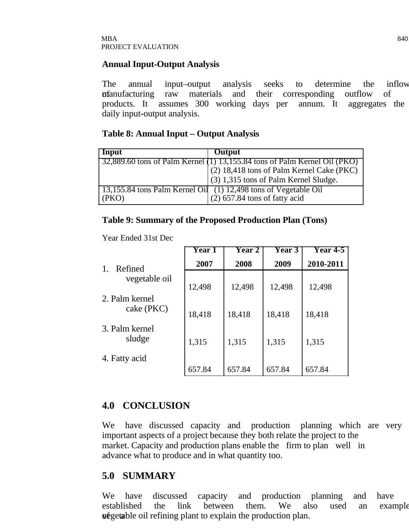#### **Annual Input-Output Analysis**

The annual input–output analysis seeks to determine the inflow of the materials and their corresponding outflow of products. It assumes 300 working days per annum. It aggregates the daily input-output analysis.

#### **Table 8: Annual Input – Output Analysis**

| Input | Output                                                                                                                                                                                                                                                                                                                                                                                                                                                                                               |
|-------|------------------------------------------------------------------------------------------------------------------------------------------------------------------------------------------------------------------------------------------------------------------------------------------------------------------------------------------------------------------------------------------------------------------------------------------------------------------------------------------------------|
|       | $\begin{bmatrix} 32,889.60 \text{ tons of Palm Kernel} \\ (2) 18,418 \text{ tons of Palm Kernel} \\ (2) 18,418 \text{ tons of Palm Kernel} \\ (3) 18,418 \text{ tons of Palm Kernel} \\ (4) 18,418 \text{ tons of Palm Kernel} \\ (5) 18,418 \text{ tons of Palm Kernel} \\ (6) 18,418 \text{ tons of Palm Kernel} \\ (7) 18,418 \text{ tons of Palm Kernel} \\ (8) 18,418 \text{ tons of Palm Kernel} \\ (9) 18,418 \text{ tons of Palm Kernel} \\ (10) 18,418 \text{ tons of Palm Kernel} \\ (11)$ |
|       |                                                                                                                                                                                                                                                                                                                                                                                                                                                                                                      |
|       | (3) 1,315 tons of Palm Kernel Sludge.                                                                                                                                                                                                                                                                                                                                                                                                                                                                |
|       | $\left[ 13, 155.84 \text{ tons Palm Kernel Oil} \right]$ (1) 12,498 tons of Vegetable Oil                                                                                                                                                                                                                                                                                                                                                                                                            |
| (PKO) | $(2)$ 657.84 tons of fatty acid                                                                                                                                                                                                                                                                                                                                                                                                                                                                      |

#### **Table 9: Summary of the Proposed Production Plan (Tons)**

Year Ended 31st Dec

|                              | <b>Year 1</b> | <b>Year 2</b> | <b>Year 3</b> | <b>Year 4-5</b> |
|------------------------------|---------------|---------------|---------------|-----------------|
| Refined<br>1.                | 2007          | 2008          | 2009          | 2010-2011       |
| vegetable oil                | 12,498        | 12,498        | 12,498        | 12,498          |
| 2. Palm kernel<br>cake (PKC) | 18,418        | 18,418        | 18,418        | 18,418          |
| 3. Palm kernel<br>sludge     | 1,315         | 1,315         | 1,315         | 1,315           |
| 4. Fatty acid                | 657.84        | 657.84        | 657.84        | 657.84          |

#### **4.0 CONCLUSION**

We have discussed capacity and production planning which are very important aspects of a project because they both relate the project to the market. Capacity and production plans enable the firm to plan well in advance what to produce and in what quantity too.

#### **5.0 SUMMARY**

We have discussed capacity and production planning and have established the link between them. We also used an example of a vegetable oil refining plant to explain the production plan.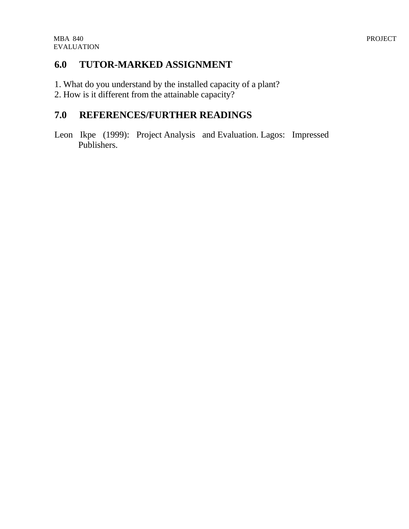### **6.0 TUTOR-MARKED ASSIGNMENT**

- 1. What do you understand by the installed capacity of a plant?
- 2. How is it different from the attainable capacity?

# **7.0 REFERENCES/FURTHER READINGS**

Leon Ikpe (1999): Project Analysis and Evaluation. Lagos: Impressed Publishers.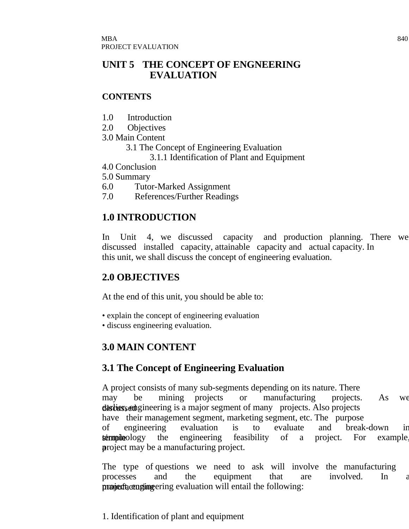### **UNIT 5 THE CONCEPT OF ENGNEERING EVALUATION**

### **CONTENTS**

- 1.0 Introduction
- 2.0 Objectives
- 3.0 Main Content
	- 3.1 The Concept of Engineering Evaluation
		- 3.1.1 Identification of Plant and Equipment
- 4.0 Conclusion
- 5.0 Summary
- 6.0 Tutor-Marked Assignment
- 7.0 References/Further Readings

# **1.0 INTRODUCTION**

In Unit 4, we discussed capacity and production planning. There we discussed installed capacity, attainable capacity and actual capacity. In this unit, we shall discuss the concept of engineering evaluation.

# **2.0 OBJECTIVES**

At the end of this unit, you should be able to:

- explain the concept of engineering evaluation
- discuss engineering evaluation.

# **3.0 MAIN CONTENT**

# **3.1 The Concept of Engineering Evaluation**

A project consists of many sub-segments depending on its nature. There may be mining projects or manufacturing projects. As we discussed equilibrary engineering is a major segment of many projects. Also projects have their management segment, marketing segment, etc. The purpose of engineering evaluation is to evaluate and break-down in  $*in*$  $*in*$  $*in*$  $*in*$  $*in*$  $*in*$  $*in*$  $*in*$  $*in*$  $*in*$  $*in*$  $*in*$  $*in*$  $*in*$  $*in*$  $*in*$  $*in*$  $*in*$  $*in*$  $*in*$  $*in*$  $*in*$  $*in*$  $*in*$ project may be a manufacturing project.

The type of questions we need to ask will involve the manufacturing processes and the equipment that are involved. In a manufacturing evaluation will entail the following:

1. Identification of plant and equipment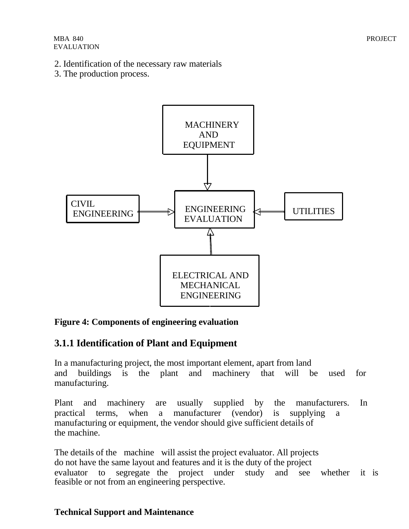- 2. Identification of the necessary raw materials
- 3. The production process.



### **Figure 4: Components of engineering evaluation**

# **3.1.1 Identification of Plant and Equipment**

In a manufacturing project, the most important element, apart from land and buildings is the plant and machinery that will be used for manufacturing.

Plant and machinery are usually supplied by the manufacturers. In practical terms, when a manufacturer (vendor) is supplying a manufacturing or equipment, the vendor should give sufficient details of the machine.

The details of the machine will assist the project evaluator. All projects do not have the same layout and features and it is the duty of the project evaluator to segregate the project under study and see whether it is feasible or not from an engineering perspective.

### **Technical Support and Maintenance**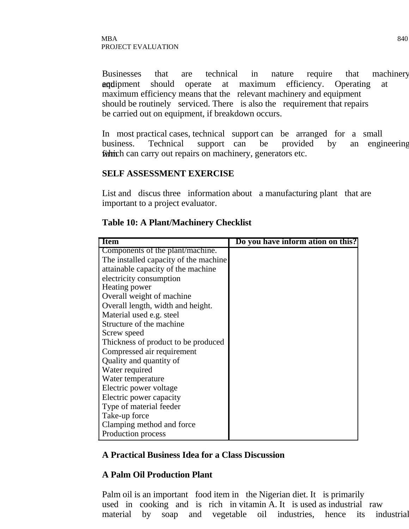Businesses that are technical in nature require that machinery **and equipment** should operate at maximum efficiency. Operating at maximum efficiency means that the relevant machinery and equipment should be routinely serviced. There is also the requirement that repairs be carried out on equipment, if breakdown occurs.

In most practical cases, technical support can be arranged for a small business. Technical support can be provided by an engineering finition can carry out repairs on machinery, generators etc.

#### **SELF ASSESSMENT EXERCISE**

List and discus three information about a manufacturing plant that are important to a project evaluator.

| <b>Item</b>                           | Do you have inform ation on this? |
|---------------------------------------|-----------------------------------|
| Components of the plant/machine.      |                                   |
| The installed capacity of the machine |                                   |
| attainable capacity of the machine    |                                   |
| electricity consumption               |                                   |
| Heating power                         |                                   |
| Overall weight of machine             |                                   |
| Overall length, width and height.     |                                   |
| Material used e.g. steel              |                                   |
| Structure of the machine              |                                   |
| Screw speed                           |                                   |
| Thickness of product to be produced   |                                   |
| Compressed air requirement            |                                   |
| Quality and quantity of               |                                   |
| Water required                        |                                   |
| Water temperature                     |                                   |
| Electric power voltage                |                                   |
| Electric power capacity               |                                   |
| Type of material feeder               |                                   |
| Take-up force                         |                                   |
| Clamping method and force             |                                   |
| Production process                    |                                   |

#### **Table 10: A Plant/Machinery Checklist**

#### **A Practical Business Idea for a Class Discussion**

#### **A Palm Oil Production Plant**

Palm oil is an important food item in the Nigerian diet. It is primarily used in cooking and is rich in vitamin A. It is used as industrial raw material by soap and vegetable oil industries, hence its industrial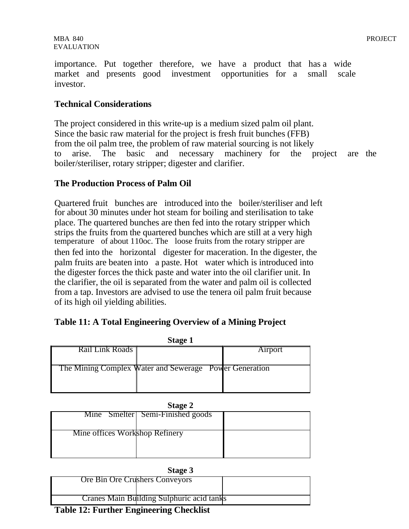#### **Technical Considerations**

The project considered in this write-up is a medium sized palm oil plant. Since the basic raw material for the project is fresh fruit bunches (FFB) from the oil palm tree, the problem of raw material sourcing is not likely to arise. The basic and necessary machinery for the project are the boiler/steriliser, rotary stripper; digester and clarifier.

#### **The Production Process of Palm Oil**

Quartered fruit bunches are introduced into the boiler/steriliser and left for about 30 minutes under hot steam for boiling and sterilisation to take place. The quartered bunches are then fed into the rotary stripper which strips the fruits from the quartered bunches which are still at a very high temperature of about 110oc. The loose fruits from the rotary stripper are then fed into the horizontal digester for maceration. In the digester, the palm fruits are beaten into a paste. Hot water which is introduced into the digester forces the thick paste and water into the oil clarifier unit. In the clarifier, the oil is separated from the water and palm oil is collected from a tap. Investors are advised to use the tenera oil palm fruit because of its high oil yielding abilities.

| Table 11: A Total Engineering Overview of a Mining Project |  |  |  |
|------------------------------------------------------------|--|--|--|
|                                                            |  |  |  |

| <b>Stage 1</b>  |                                                        |         |
|-----------------|--------------------------------------------------------|---------|
| Rail Link Roads |                                                        | Airport |
|                 |                                                        |         |
|                 | The Mining Complex Water and Sewerage Power Generation |         |
|                 |                                                        |         |
|                 |                                                        |         |

| тарс<br>œ |  |
|-----------|--|
|-----------|--|

|                                | Mine Smelter Semi-Finished goods |  |
|--------------------------------|----------------------------------|--|
|                                |                                  |  |
|                                |                                  |  |
|                                |                                  |  |
|                                |                                  |  |
| Mine offices Workshop Refinery |                                  |  |
|                                |                                  |  |
|                                |                                  |  |
|                                |                                  |  |
|                                |                                  |  |
|                                |                                  |  |
|                                |                                  |  |

| Stage |  |
|-------|--|
|       |  |

| Ore Bin Ore Crushers Conveyors            |  |  |
|-------------------------------------------|--|--|
|                                           |  |  |
|                                           |  |  |
|                                           |  |  |
| Cranes Main Building Sulphuric acid tanks |  |  |
| 70 11 40 10                               |  |  |

**Table 12: Further Engineering Checklist**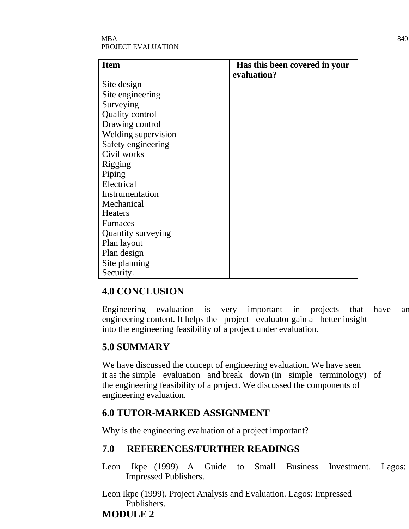#### $\rm{MBA}$  840 PROJECT EVALUATION

| <b>Item</b>            | Has this been covered in your |
|------------------------|-------------------------------|
|                        | evaluation?                   |
| Site design            |                               |
| Site engineering       |                               |
| Surveying              |                               |
| <b>Quality control</b> |                               |
| Drawing control        |                               |
| Welding supervision    |                               |
| Safety engineering     |                               |
| Civil works            |                               |
| Rigging                |                               |
| Piping                 |                               |
| Electrical             |                               |
| Instrumentation        |                               |
| Mechanical             |                               |
| <b>Heaters</b>         |                               |
| <b>Furnaces</b>        |                               |
| Quantity surveying     |                               |
| Plan layout            |                               |
| Plan design            |                               |
| Site planning          |                               |
| Security.              |                               |

# **4.0 CONCLUSION**

Engineering evaluation is very important in projects that have an engineering content. It helps the project evaluator gain a better insight into the engineering feasibility of a project under evaluation.

# **5.0 SUMMARY**

We have discussed the concept of engineering evaluation. We have seen it as the simple evaluation and break down (in simple terminology) of the engineering feasibility of a project. We discussed the components of engineering evaluation.

# **6.0 TUTOR-MARKED ASSIGNMENT**

Why is the engineering evaluation of a project important?

# **7.0 REFERENCES/FURTHER READINGS**

Leon Ikpe (1999). A Guide to Small Business Investment. Lagos: Impressed Publishers.

Leon Ikpe (1999). Project Analysis and Evaluation. Lagos: Impressed Publishers. **MODULE 2**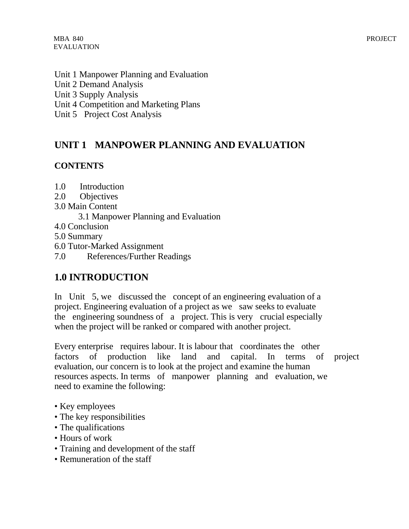Unit 1 Manpower Planning and Evaluation Unit 2 Demand Analysis Unit 3 Supply Analysis Unit 4 Competition and Marketing Plans Unit 5 Project Cost Analysis

# **UNIT 1 MANPOWER PLANNING AND EVALUATION**

### **CONTENTS**

- 1.0 Introduction
- 2.0 Objectives
- 3.0 Main Content
	- 3.1 Manpower Planning and Evaluation
- 4.0 Conclusion
- 5.0 Summary
- 6.0 Tutor-Marked Assignment
- 7.0 References/Further Readings

# **1.0 INTRODUCTION**

In Unit 5, we discussed the concept of an engineering evaluation of a project. Engineering evaluation of a project as we saw seeks to evaluate the engineering soundness of a project. This is very crucial especially when the project will be ranked or compared with another project.

Every enterprise requires labour. It is labour that coordinates the other factors of production like land and capital. In terms of project evaluation, our concern is to look at the project and examine the human resources aspects. In terms of manpower planning and evaluation, we need to examine the following:

- Key employees
- The key responsibilities
- The qualifications
- Hours of work
- Training and development of the staff
- Remuneration of the staff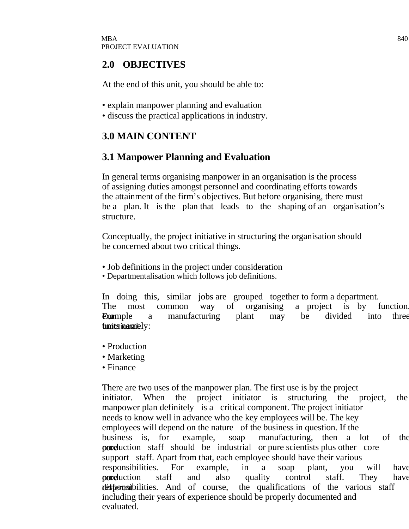### **2.0 OBJECTIVES**

At the end of this unit, you should be able to:

- explain manpower planning and evaluation
- discuss the practical applications in industry.

# **3.0 MAIN CONTENT**

# **3.1 Manpower Planning and Evaluation**

In general terms organising manpower in an organisation is the process of assigning duties amongst personnel and coordinating efforts towards the attainment of the firm's objectives. But before organising, there must be a plan. It is the plan that leads to the shaping of an organisation's structure.

Conceptually, the project initiative in structuring the organisation should be concerned about two critical things.

- Job definitions in the project under consideration
- Departmentalisation which follows job definitions.

In doing this, similar jobs are grouped together to form a department. The most common way of organising a project is by function. **Example** a manufacturing plant may be divided into three  $f$ unitstionantely:

- Production
- Marketing
- Finance

There are two uses of the manpower plan. The first use is by the project initiator. When the project initiator is structuring the project, the manpower plan definitely is a critical component. The project initiator needs to know well in advance who the key employees will be. The key employees will depend on the nature of the business in question. If the business is, for example, soap manufacturing, then a lot of the **production** staff should be industrial or pure scientists plus other core support staff. Apart from that, each employee should have their various responsibilities. For example, in a soap plant, you will have production staff and also quality control staff. They have different responsibilities. And of course, the qualifications of the various staff including their years of experience should be properly documented and evaluated.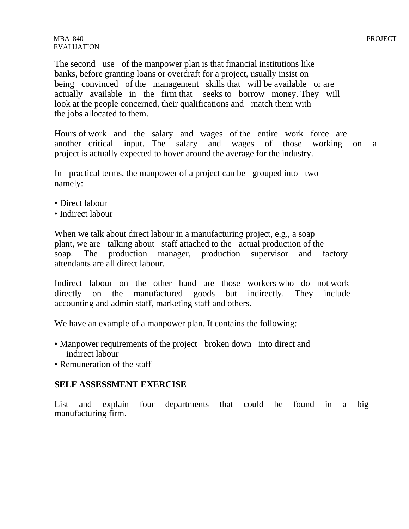MBA 840 PROJECT EVALUATION

The second use of the manpower plan is that financial institutions like banks, before granting loans or overdraft for a project, usually insist on being convinced of the management skills that will be available or are actually available in the firm that seeks to borrow money. They will look at the people concerned, their qualifications and match them with the jobs allocated to them.

Hours of work and the salary and wages of the entire work force are another critical input. The salary and wages of those working on a project is actually expected to hover around the average for the industry.

In practical terms, the manpower of a project can be grouped into two namely:

- Direct labour
- Indirect labour

When we talk about direct labour in a manufacturing project, e.g., a soap plant, we are talking about staff attached to the actual production of the soap. The production manager, production supervisor and factory attendants are all direct labour.

Indirect labour on the other hand are those workers who do not work directly on the manufactured goods but indirectly. They include accounting and admin staff, marketing staff and others.

We have an example of a manpower plan. It contains the following:

- Manpower requirements of the project broken down into direct and indirect labour
- Remuneration of the staff

#### **SELF ASSESSMENT EXERCISE**

List and explain four departments that could be found in a big manufacturing firm.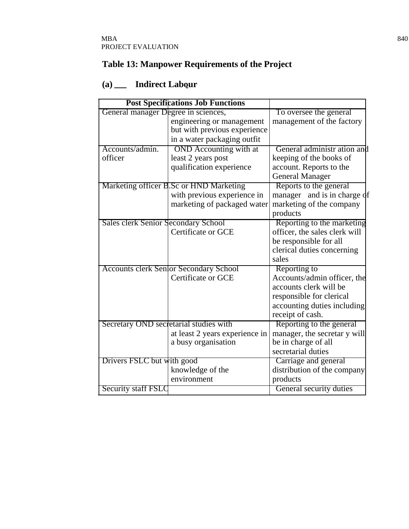# **Table 13: Manpower Requirements of the Project**

# (a) \_\_ **Indirect Labour**

|                                        | <b>Post Specifications Job Functions</b>      |                               |
|----------------------------------------|-----------------------------------------------|-------------------------------|
| General manager Degree in sciences,    |                                               | To oversee the general        |
|                                        | engineering or management                     | management of the factory     |
|                                        | but with previous experience                  |                               |
|                                        | in a water packaging outfit                   |                               |
| Accounts/admin.                        | <b>OND</b> Accounting with at                 | General administr ation and   |
| officer                                | least 2 years post                            | keeping of the books of       |
|                                        | qualification experience                      | account. Reports to the       |
|                                        |                                               | <b>General Manager</b>        |
|                                        | Marketing officer B.Sc or HND Marketing       | Reports to the general        |
|                                        | with previous experience in                   | manager and is in charge of   |
|                                        | marketing of packaged water                   | marketing of the company      |
|                                        |                                               | products                      |
| Sales clerk Senior Secondary School    |                                               | Reporting to the marketing    |
|                                        | Certificate or GCE                            | officer, the sales clerk will |
|                                        |                                               | be responsible for all        |
|                                        |                                               | clerical duties concerning    |
|                                        |                                               | sales                         |
|                                        | <b>Accounts clerk Senlor Secondary School</b> | Reporting to                  |
|                                        | Certificate or GCE                            | Accounts/admin officer, the   |
|                                        |                                               | accounts clerk will be        |
|                                        |                                               | responsible for clerical      |
|                                        |                                               | accounting duties including   |
|                                        |                                               | receipt of cash.              |
| Secretary OND secretarial studies with |                                               | Reporting to the general      |
|                                        | at least 2 years experience in                | manager, the secretar y will  |
|                                        | a busy organisation                           | be in charge of all           |
|                                        |                                               | secretarial duties            |
| Drivers FSLC but with good             |                                               | Carriage and general          |
|                                        | knowledge of the                              | distribution of the company   |
|                                        | environment                                   | products                      |
| <b>Security staff FSLC</b>             |                                               | General security duties       |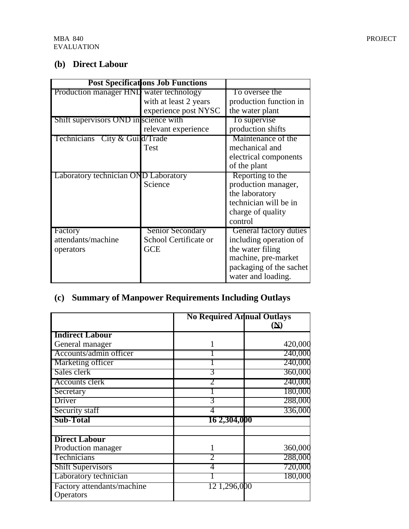# **(b) Direct Labour**

|                                         | <b>Post Specifications Job Functions</b> |                         |
|-----------------------------------------|------------------------------------------|-------------------------|
| Production manager HND water technology |                                          | To oversee the          |
|                                         | with at least 2 years                    | production function in  |
|                                         | experience post NYSC                     | the water plant         |
| Shift supervisors OND in science with   |                                          | To supervise            |
|                                         | relevant experience                      | production shifts       |
| Technicians City & Guild/Trade          |                                          | Maintenance of the      |
|                                         | Test                                     | mechanical and          |
|                                         |                                          | electrical components   |
|                                         |                                          | of the plant            |
| Laboratory technician OND Laboratory    |                                          | Reporting to the        |
|                                         | Science                                  | production manager,     |
|                                         |                                          | the laboratory          |
|                                         |                                          | technician will be in   |
|                                         |                                          | charge of quality       |
|                                         |                                          | control                 |
| Factory                                 | <b>Senior Secondary</b>                  | General factory duties  |
| attendants/machine                      | School Certificate or                    | including operation of  |
| operators                               | <b>GCE</b>                               | the water filing        |
|                                         |                                          | machine, pre-market     |
|                                         |                                          | packaging of the sachet |
|                                         |                                          | water and loading.      |

# **(c) Summary of Manpower Requirements Including Outlays**

|                                         | <b>No Required Annual Outlays</b> |                            |
|-----------------------------------------|-----------------------------------|----------------------------|
|                                         |                                   | $(\underline{\mathbf{N}})$ |
| <b>Indirect Labour</b>                  |                                   |                            |
| General manager                         |                                   | 420,000                    |
| Accounts/admin officer                  |                                   | 240,000                    |
| Marketing officer                       |                                   | 240,000                    |
| Sales clerk                             |                                   | 360,000                    |
| <b>Accounts clerk</b>                   |                                   | 240,000                    |
| Secretary                               |                                   | 180,000                    |
| Driver                                  |                                   | 288,000                    |
| Security staff                          |                                   | 336,000                    |
| <b>Sub-Total</b>                        | 16 2,304,000                      |                            |
| <b>Direct Labour</b>                    |                                   |                            |
| Production manager                      |                                   | 360,000                    |
| Technicians                             | 2                                 | 288,000                    |
| <b>Shift Supervisors</b>                |                                   | 720,000                    |
| Laboratory technician                   |                                   | 180,000                    |
| Factory attendants/machine<br>Operators | 12 1,296,000                      |                            |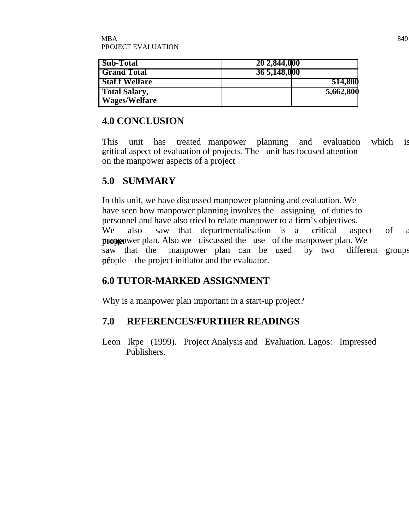| <b>Sub-Total</b>                        | 20 2,844,000 |
|-----------------------------------------|--------------|
| <b>Grand Total</b>                      | 36 5,148,000 |
| <b>Staff Welfare</b>                    | 514,800      |
| <b>Total Salary,</b><br>  Wages/Welfare | 5,662,800    |

### **4.0 CONCLUSION**

This unit has treated manpower planning and evaluation which is gritical aspect of evaluation of projects. The unit has focused attention on the manpower aspects of a project

# **5.0 SUMMARY**

In this unit, we have discussed manpower planning and evaluation. We have seen how manpower planning involves the assigning of duties to personnel and have also tried to relate manpower to a firm's objectives. We also saw that departmentalisation is a critical aspect of a proppower plan. Also we discussed the use of the manpower plan. We saw that the manpower plan can be used by two different groups  $p\hat{e}$ ople – the project initiator and the evaluator.

# **6.0 TUTOR-MARKED ASSIGNMENT**

Why is a manpower plan important in a start-up project?

# **7.0 REFERENCES/FURTHER READINGS**

Leon Ikpe (1999). Project Analysis and Evaluation. Lagos: Impressed Publishers.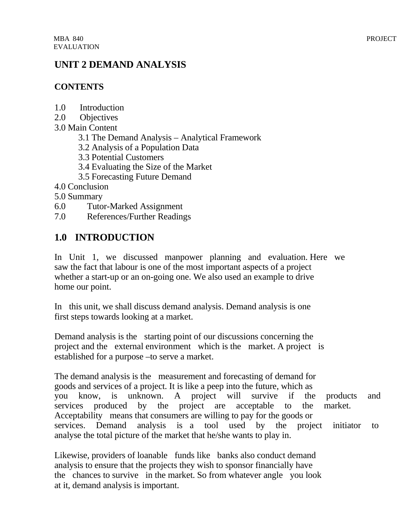### **UNIT 2 DEMAND ANALYSIS**

### **CONTENTS**

- 1.0 Introduction
- 2.0 Objectives
- 3.0 Main Content
	- 3.1 The Demand Analysis Analytical Framework
	- 3.2 Analysis of a Population Data
	- 3.3 Potential Customers
	- 3.4 Evaluating the Size of the Market
	- 3.5 Forecasting Future Demand
- 4.0 Conclusion
- 5.0 Summary
- 6.0 Tutor-Marked Assignment
- 7.0 References/Further Readings

# **1.0 INTRODUCTION**

In Unit 1, we discussed manpower planning and evaluation. Here we saw the fact that labour is one of the most important aspects of a project whether a start-up or an on-going one. We also used an example to drive home our point.

In this unit, we shall discuss demand analysis. Demand analysis is one first steps towards looking at a market.

Demand analysis is the starting point of our discussions concerning the project and the external environment which is the market. A project is established for a purpose –to serve a market.

The demand analysis is the measurement and forecasting of demand for goods and services of a project. It is like a peep into the future, which as you know, is unknown. A project will survive if the products and services produced by the project are acceptable to the market. Acceptability means that consumers are willing to pay for the goods or services. Demand analysis is a tool used by the project initiator to analyse the total picture of the market that he/she wants to play in.

Likewise, providers of loanable funds like banks also conduct demand analysis to ensure that the projects they wish to sponsor financially have the chances to survive in the market. So from whatever angle you look at it, demand analysis is important.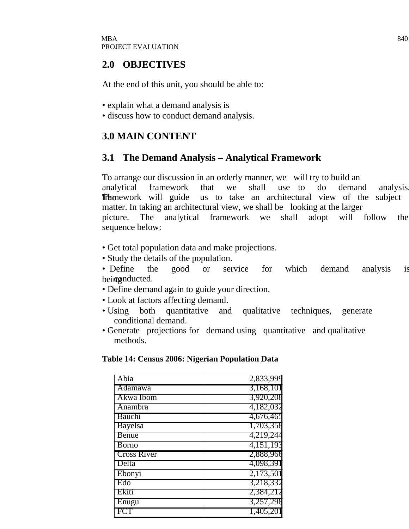### **2.0 OBJECTIVES**

At the end of this unit, you should be able to:

- explain what a demand analysis is
- discuss how to conduct demand analysis.

# **3.0 MAIN CONTENT**

### **3.1 The Demand Analysis – Analytical Framework**

To arrange our discussion in an orderly manner, we will try to build an analytical framework that we shall use to do demand analysis. **The** nework will guide us to take an architectural view of the subject matter. In taking an architectural view, we shall be looking at the larger picture. The analytical framework we shall adopt will follow the sequence below:

- Get total population data and make projections.
- Study the details of the population.
- Define the good or service for which demand analysis is bei**g** enducted.
- Define demand again to guide your direction.
- Look at factors affecting demand.
- Using both quantitative and qualitative techniques, generate conditional demand.
- Generate projections for demand using quantitative and qualitative methods.

#### **Table 14: Census 2006: Nigerian Population Data**

| Abia               | 2,833,999 |
|--------------------|-----------|
| <b>Adamawa</b>     | 3,168,101 |
| Akwa Ibom          | 3,920,208 |
| Anambra            | 4,182,032 |
| Bauchi             | 4,676,465 |
| <b>Bayelsa</b>     | 1,703,358 |
| Benue              | 4,219,244 |
| Borno              | 4,151,193 |
| <b>Cross River</b> | 2,888,966 |
| Delta              | 4,098,391 |
| Ebonyi             | 2,173,501 |
| Edo                | 3,218,332 |
| Ekiti              | 2,384,212 |
| $Enu$ gu           | 3,257,298 |
|                    | 1,405,201 |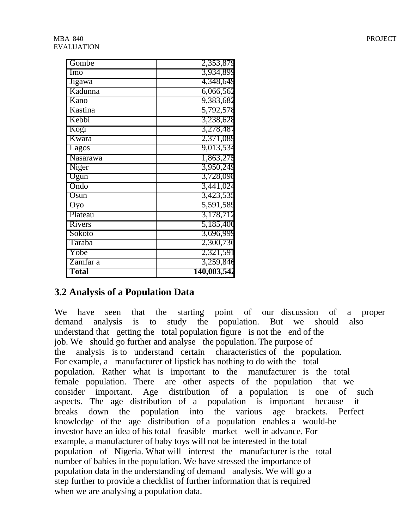| Gombe         | 2,353,879   |
|---------------|-------------|
| Imo           | 3,934,899   |
| <b>Jigawa</b> | 4,348,649   |
| Kadunna       | 6,066,562   |
| Kano          | 9,383,682   |
| Kastina       | 5,792,578   |
| Kebbi         | 3,238,628   |
| Kogi          | 3,278,487   |
| Kwara         | 2,371,089   |
| Lagos         | 9,013,534   |
| Nasarawa      | 1,863,275   |
| Niger         | 3,950,249   |
| Ogun          | 3,728,098   |
| Ondo          | 3,441,024   |
| Osun          | 3,423,535   |
| Oyo           | 5,591,589   |
| Plateau       | 3,178,712   |
| Rivers        | 5,185,400   |
| Sokoto        | 3,696,999   |
| Taraba        | 2,300,736   |
| Yobe          | 2,321,591   |
| Zamfar a      | 3,259,846   |
| Total         | 140,003,542 |

### **3.2 Analysis of a Population Data**

We have seen that the starting point of our discussion of a proper demand analysis is to study the population. But we should also understand that getting the total population figure is not the end of the job. We should go further and analyse the population. The purpose of the analysis is to understand certain characteristics of the population. For example, a manufacturer of lipstick has nothing to do with the total population. Rather what is important to the manufacturer is the total female population. There are other aspects of the population that we consider important. Age distribution of a population is one of such aspects. The age distribution of a population is important because it breaks down the population into the various age brackets. Perfect knowledge of the age distribution of a population enables a would-be investor have an idea of his total feasible market well in advance. For example, a manufacturer of baby toys will not be interested in the total population of Nigeria. What will interest the manufacturer is the total number of babies in the population. We have stressed the importance of population data in the understanding of demand analysis. We will go a step further to provide a checklist of further information that is required when we are analysing a population data.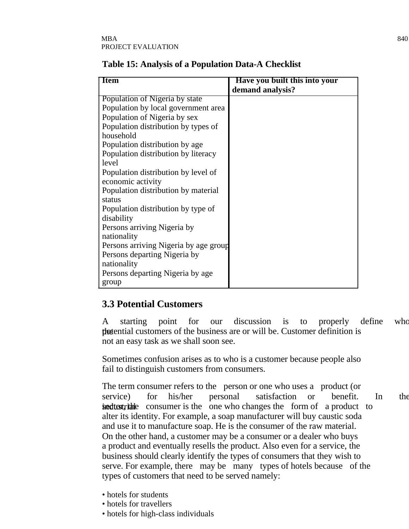| <b>Item</b>                         | Have you built this into your |
|-------------------------------------|-------------------------------|
|                                     | demand analysis?              |
| Population of Nigeria by state      |                               |
| Population by local government area |                               |
| Population of Nigeria by sex        |                               |
| Population distribution by types of |                               |
| household                           |                               |
| Population distribution by age      |                               |
| Population distribution by literacy |                               |
| l level                             |                               |
| Population distribution by level of |                               |
| economic activity                   |                               |
| Population distribution by material |                               |
| status                              |                               |

**Table 15: Analysis of a Population Data-A Checklist**

### **3.3 Potential Customers**

Population distribution by type of

Persons arriving Nigeria by age group

Persons arriving Nigeria by

Persons departing Nigeria by

Persons departing Nigeria by age

disability

nationality

nationality

group

A starting point for our discussion is to properly define who the potential customers of the business are or will be. Customer definition is not an easy task as we shall soon see.

Sometimes confusion arises as to who is a customer because people also fail to distinguish customers from consumers.

The term consumer refers to the person or one who uses a product (or service) for his/her personal satisfaction or benefit. In the  $\delta$  adtest the consumer is the one who changes the form of a product to alter its identity. For example, a soap manufacturer will buy caustic soda and use it to manufacture soap. He is the consumer of the raw material. On the other hand, a customer may be a consumer or a dealer who buys a product and eventually resells the product. Also even for a service, the business should clearly identify the types of consumers that they wish to serve. For example, there may be many types of hotels because of the types of customers that need to be served namely:

- hotels for students
- hotels for travellers
- hotels for high-class individuals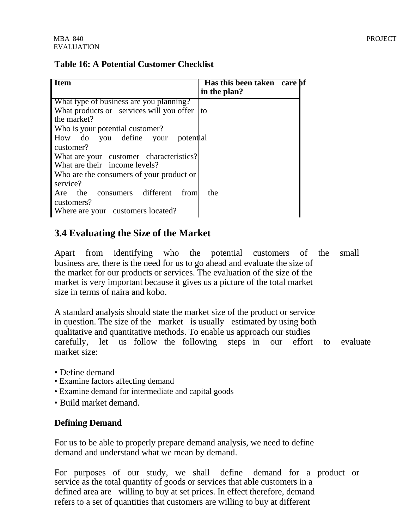#### **Table 16: A Potential Customer Checklist**

| <b>Item</b>                                     | Has this been taken care of<br>in the plan? |
|-------------------------------------------------|---------------------------------------------|
| What type of business are you planning?         |                                             |
| What products or services will you offer $ $ to |                                             |
| the market?                                     |                                             |
| Who is your potential customer?                 |                                             |
| How do you define your potential                |                                             |
| customer?                                       |                                             |
| What are your customer characteristics?         |                                             |
| What are their income levels?                   |                                             |
| Who are the consumers of your product or        |                                             |
| service?                                        |                                             |
| Are the consumers different from                | the                                         |
| customers?                                      |                                             |
| Where are your customers located?               |                                             |

### **3.4 Evaluating the Size of the Market**

Apart from identifying who the potential customers of the small business are, there is the need for us to go ahead and evaluate the size of the market for our products or services. The evaluation of the size of the market is very important because it gives us a picture of the total market size in terms of naira and kobo.

A standard analysis should state the market size of the product or service in question. The size of the market is usually estimated by using both qualitative and quantitative methods. To enable us approach our studies carefully, let us follow the following steps in our effort to evaluate market size:

- Define demand
- Examine factors affecting demand
- Examine demand for intermediate and capital goods
- Build market demand.

#### **Defining Demand**

For us to be able to properly prepare demand analysis, we need to define demand and understand what we mean by demand.

For purposes of our study, we shall define demand for a product or service as the total quantity of goods or services that able customers in a defined area are willing to buy at set prices. In effect therefore, demand refers to a set of quantities that customers are willing to buy at different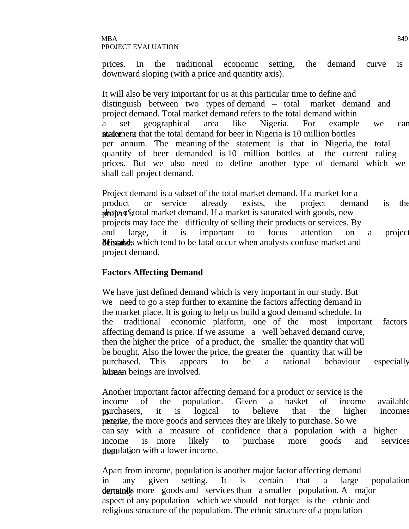prices. In the traditional economic setting, the demand curve is downward sloping (with a price and quantity axis).

It will also be very important for us at this particular time to define and distinguish between two types of demand – total market demand and project demand. Total market demand refers to the total demand within a set geographical area like Nigeria. For example we can statement that the total demand for beer in Nigeria is 10 million bottles per annum. The meaning of the statement is that in Nigeria, the total quantity of beer demanded is 10 million bottles at the current ruling prices. But we also need to define another type of demand which we shall call project demand.

Project demand is a subset of the total market demand. If a market for a product or service already exists, the project demand is the **phote** of stotal market demand. If a market is saturated with goods, new projects may face the difficulty of selling their products or services. By and large, it is important to focus attention on a project Netistaked desires which tend to be fatal occur when analysts confuse market and project demand.

#### **Factors Affecting Demand**

We have just defined demand which is very important in our study. But we need to go a step further to examine the factors affecting demand in the market place. It is going to help us build a good demand schedule. In the traditional economic platform, one of the most important factors affecting demand is price. If we assume a well behaved demand curve, then the higher the price of a product, the smaller the quantity that will be bought. Also the lower the price, the greater the quantity that will be purchased. This appears to be a rational behaviour especially where heings are involved.

Another important factor affecting demand for a product or service is the income of the population. Given a basket of income available purchasers, it is logical to believe that the higher incomes peopike, the more goods and services they are likely to purchase. So we can say with a measure of confidence that a population with a higher income is more likely to purchase more goods and services than ulation with a lower income.

Apart from income, population is another major factor affecting demand in any given setting. It is certain that a large population dertuands more goods and services than a smaller population. A major aspect of any population which we should not forget is the ethnic and religious structure of the population. The ethnic structure of a population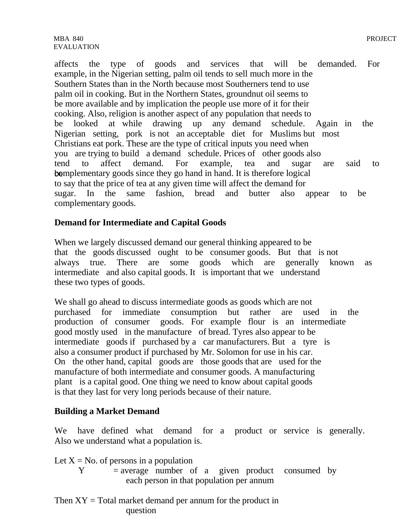affects the type of goods and services that will be demanded. For example, in the Nigerian setting, palm oil tends to sell much more in the Southern States than in the North because most Southerners tend to use palm oil in cooking. But in the Northern States, groundnut oil seems to be more available and by implication the people use more of it for their cooking. Also, religion is another aspect of any population that needs to be looked at while drawing up any demand schedule. Again in the Nigerian setting, pork is not an acceptable diet for Muslims but most Christians eat pork. These are the type of critical inputs you need when you are trying to build a demand schedule. Prices of other goods also tend to affect demand. For example, tea and sugar are said to be be complementary goods since they go hand in hand. It is therefore logical to say that the price of tea at any given time will affect the demand for sugar. In the same fashion, bread and butter also appear to be complementary goods.

### **Demand for Intermediate and Capital Goods**

When we largely discussed demand our general thinking appeared to be that the goods discussed ought to be consumer goods. But that is not always true. There are some goods which are generally known as intermediate and also capital goods. It is important that we understand these two types of goods.

We shall go ahead to discuss intermediate goods as goods which are not purchased for immediate consumption but rather are used in the production of consumer goods. For example flour is an intermediate good mostly used in the manufacture of bread. Tyres also appear to be intermediate goods if purchased by a car manufacturers. But a tyre is also a consumer product if purchased by Mr. Solomon for use in his car. On the other hand, capital goods are those goods that are used for the manufacture of both intermediate and consumer goods. A manufacturing plant is a capital good. One thing we need to know about capital goods is that they last for very long periods because of their nature.

#### **Building a Market Demand**

We have defined what demand for a product or service is generally. Also we understand what a population is.

Let  $X = No$ . of persons in a population

 $Y = average$  number of a given product consumed by each person in that population per annum

Then  $XY = Total$  market demand per annum for the product in question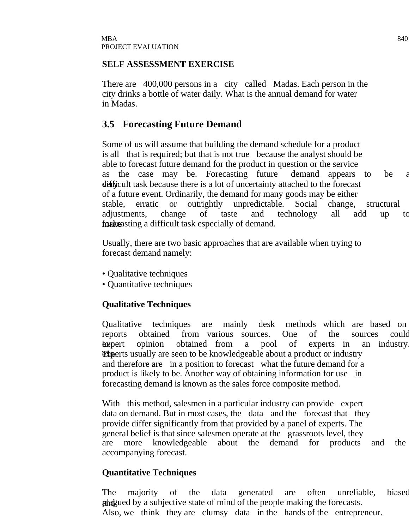#### **SELF ASSESSMENT EXERCISE**

There are 400,000 persons in a city called Madas. Each person in the city drinks a bottle of water daily. What is the annual demand for water in Madas.

### **3.5 Forecasting Future Demand**

Some of us will assume that building the demand schedule for a product is all that is required; but that is not true because the analyst should be able to forecast future demand for the product in question or the service as the case may be. Forecasting future demand appears to be a difficult task because there is a lot of uncertainty attached to the forecast of a future event. Ordinarily, the demand for many goods may be either stable, erratic or outrightly unpredictable. Social change, structural adjustments, change of taste and technology all add up to **forgeneism** for demand.

Usually, there are two basic approaches that are available when trying to forecast demand namely:

- Qualitative techniques
- Quantitative techniques

### **Qualitative Techniques**

Qualitative techniques are mainly desk methods which are based on reports obtained from various sources. One of the sources could be expert opinion obtained from a pool of experts in an industry **The experts usually are seen to be knowledgeable about a product or industry** and therefore are in a position to forecast what the future demand for a product is likely to be. Another way of obtaining information for use in forecasting demand is known as the sales force composite method.

With this method, salesmen in a particular industry can provide expert data on demand. But in most cases, the data and the forecast that they provide differ significantly from that provided by a panel of experts. The general belief is that since salesmen operate at the grassroots level, they are more knowledgeable about the demand for products and the accompanying forecast.

#### **Quantitative Techniques**

The majority of the data generated are often unreliable, biased **played** by a subjective state of mind of the people making the forecasts. Also, we think they are clumsy data in the hands of the entrepreneur.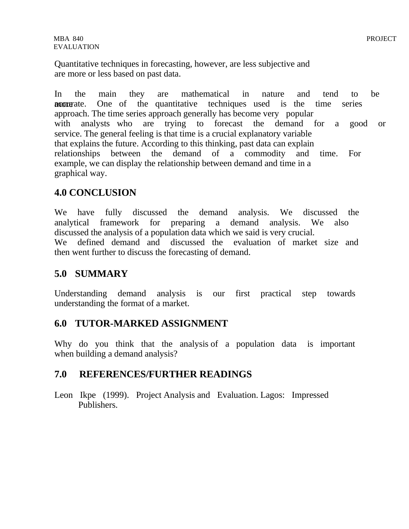Quantitative techniques in forecasting, however, are less subjective and are more or less based on past data.

In the main they are mathematical in nature and tend to be motogenerate. One of the quantitative techniques used is the time series approach. The time series approach generally has become very popular with analysts who are trying to forecast the demand for a good or service. The general feeling is that time is a crucial explanatory variable that explains the future. According to this thinking, past data can explain relationships between the demand of a commodity and time. For example, we can display the relationship between demand and time in a graphical way. 

### **4.0 CONCLUSION**

We have fully discussed the demand analysis. We discussed the analytical framework for preparing a demand analysis. We also discussed the analysis of a population data which we said is very crucial. We defined demand and discussed the evaluation of market size and then went further to discuss the forecasting of demand.

### **5.0 SUMMARY**

Understanding demand analysis is our first practical step towards understanding the format of a market.

### **6.0 TUTOR-MARKED ASSIGNMENT**

Why do you think that the analysis of a population data is important when building a demand analysis?

### **7.0 REFERENCES/FURTHER READINGS**

Leon Ikpe (1999). Project Analysis and Evaluation. Lagos: Impressed Publishers.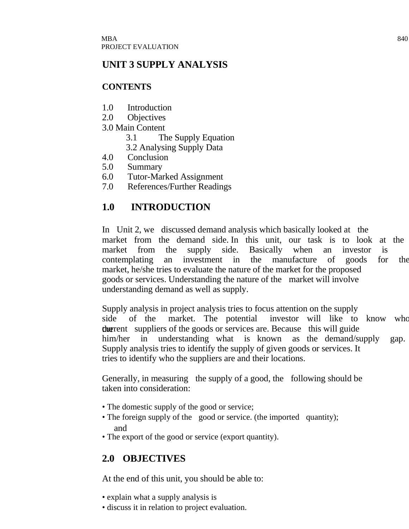# **UNIT 3 SUPPLY ANALYSIS**

### **CONTENTS**

- 1.0 Introduction
- 2.0 Objectives
- 3.0 Main Content
	- 3.1 The Supply Equation
	- 3.2 Analysing Supply Data
- 4.0 Conclusion
- 5.0 Summary
- 6.0 Tutor-Marked Assignment
- 7.0 References/Further Readings

# **1.0 INTRODUCTION**

In Unit 2, we discussed demand analysis which basically looked at the market from the demand side. In this unit, our task is to look at the market from the supply side. Basically when an investor is contemplating an investment in the manufacture of goods for the market, he/she tries to evaluate the nature of the market for the proposed goods or services. Understanding the nature of the market will involve understanding demand as well as supply.

Supply analysis in project analysis tries to focus attention on the supply side of the market. The potential investor will like to know who the current suppliers of the goods or services are. Because this will guide him/her in understanding what is known as the demand/supply gap. Supply analysis tries to identify the supply of given goods or services. It tries to identify who the suppliers are and their locations.

Generally, in measuring the supply of a good, the following should be taken into consideration:

- The domestic supply of the good or service;
- The foreign supply of the good or service. (the imported quantity); and
- The export of the good or service (export quantity).

# **2.0 OBJECTIVES**

At the end of this unit, you should be able to:

- explain what a supply analysis is
- discuss it in relation to project evaluation.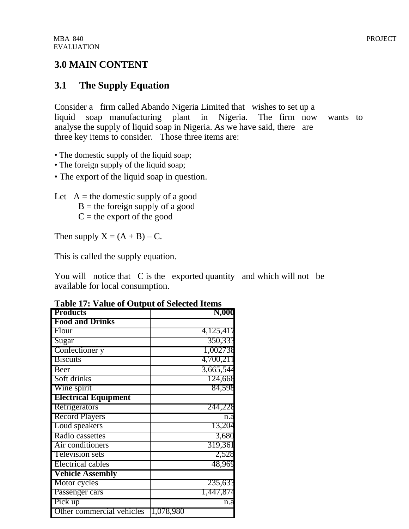### **3.0 MAIN CONTENT**

# **3.1 The Supply Equation**

Consider a firm called Abando Nigeria Limited that wishes to set up a liquid soap manufacturing plant in Nigeria. The firm now wants to analyse the supply of liquid soap in Nigeria. As we have said, there are three key items to consider. Those three items are:

- The domestic supply of the liquid soap;
- The foreign supply of the liquid soap;
- The export of the liquid soap in question.

Let  $A =$  the domestic supply of a good  $B =$  the foreign supply of a good  $C =$  the export of the good

Then supply  $X = (A + B) - C$ .

This is called the supply equation.

You will notice that C is the exported quantity and which will not be available for local consumption.

| <b>Products</b>             | N,000     |
|-----------------------------|-----------|
| <b>Food and Drinks</b>      |           |
| Flour                       | 4,125,417 |
| Sugar                       | 350,333   |
| Confectioner y              | 1,002738  |
| <b>Biscuits</b>             | 4,700,211 |
| Beer                        | 3,665,544 |
| Soft drinks                 | 124,668   |
| Wine spirit                 | 84,598    |
| <b>Electrical Equipment</b> |           |
| Refrigerators               | 244,228   |
| <b>Record Players</b>       | n.a       |
| Loud speakers               | 13,204    |
| Radio cassettes             | 3,680     |
| Air conditioners            | 319,361   |
| Television sets             | 2,528     |
| <b>Electrical cables</b>    | 48,969    |
| <b>Vehicle Assembly</b>     |           |
| Motor cycles                | 235,633   |
| Passenger cars              | 1,447,874 |
| Pick up                     | n.a       |
| Other commercial vehicles   | 1,078,980 |

**Table 17: Value of Output of Selected Items**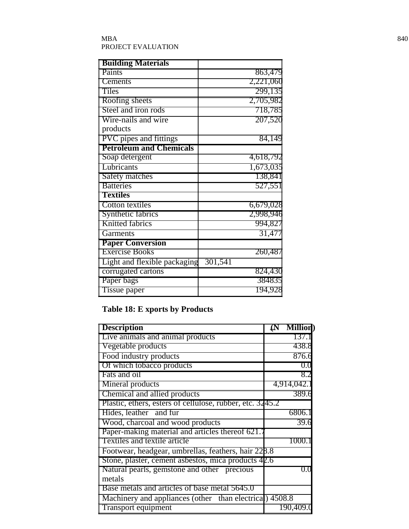#### $\rm{MBA}$  840 PROJECT EVALUATION

| <b>Building Materials</b>      |           |
|--------------------------------|-----------|
| Paints                         | 863,479   |
| <b>Cements</b>                 | 2,221,060 |
| Tiles                          | 299,135   |
| Roofing sheets                 | 2,705,982 |
| Steel and iron rods            | 718,785   |
| Wire-nails and wire            | 207,520   |
| products                       |           |
| <b>PVC</b> pipes and fittings  | 84,149    |
| <b>Petroleum and Chemicals</b> |           |
| Soap detergent                 | 4,618,792 |
| Lubricants                     | 1,673,035 |
| Safety matches                 | 138,841   |
| <b>Batteries</b>               | 527,551   |
| <b>Textiles</b>                |           |
| Cotton textiles                | 6,679,028 |
| Synthetic fabrics              | 2,998,946 |
| <b>Knitted fabrics</b>         | 994,827   |
| Garments                       | 31,477    |
| <b>Paper Conversion</b>        |           |
| <b>Exercise Books</b>          | 260,48    |
| Light and flexible packaging   | 301,541   |
| corrugated cartons             | 824,430   |
| Paper bags                     | 384835    |
| Tissue paper                   | 194,928   |

# **Table 18: E xports by Products**

| <b>Description</b>                                        | $\Delta$ | <b>Million</b> |
|-----------------------------------------------------------|----------|----------------|
| Live animals and animal products                          |          | 137.1          |
| Vegetable products                                        |          | 438.8          |
| Food industry products                                    |          | 876.6          |
| Of which tobacco products                                 |          | 0.0            |
| Fats and oil                                              |          | 8.2            |
| Mineral products                                          |          | 4,914,042.     |
| Chemical and allied products                              |          | 389.6          |
| Plastic, ethers, esters of cellulose, rubber, etc. 3245.2 |          |                |
| Hides, leather and fur                                    |          | 6806.1         |
| Wood, charcoal and wood products                          |          | 39.6           |
| Paper-making material and articles thereof 621.           |          |                |
| Textiles and textile article                              |          | 1000.          |
| Footwear, headgear, umbrellas, feathers, hair 228.8       |          |                |
| Stone, plaster, cement asbestos, mica products 42.6       |          |                |
| Natural pearls, gemstone and other precious               |          | 0.0            |
| metals                                                    |          |                |
| Base metals and articles of base metal 5645.0             |          |                |
| Machinery and appliances (other than electrical) 4508.8   |          |                |
| <b>Transport equipment</b>                                |          | 190,409.0      |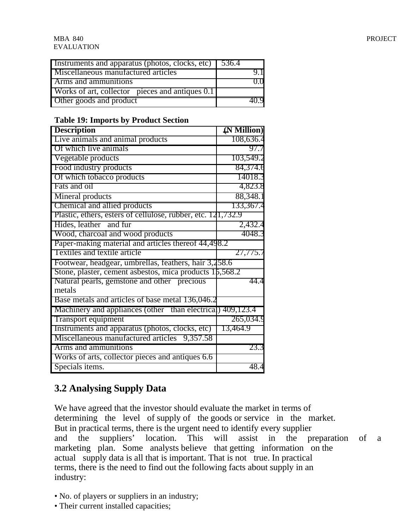| Instruments and apparatus (photos, clocks, etc) 536.4 |  |
|-------------------------------------------------------|--|
| Miscellaneous manufactured articles                   |  |
| <b>Arms and ammunitions</b>                           |  |
| Works of art, collector pieces and antiques 0.1       |  |
| Other goods and product                               |  |

#### **Table 19: Imports by Product Section**

| <b>Description</b>                                           | $(N$ Million) |
|--------------------------------------------------------------|---------------|
| Live animals and animal products                             | 108,636.4     |
| Of which live animals                                        | 97.7          |
| Vegetable products                                           | 103,549.2     |
| Food industry products                                       | 84,374.6      |
| Of which tobacco products                                    | 14018.3       |
| Fats and oil                                                 | 4,823.8       |
| Mineral products                                             | 88,348.1      |
| Chemical and allied products                                 | 133,367.4     |
| Plastic, ethers, esters of cellulose, rubber, etc. 121,732.9 |               |
| Hides, leather and fur                                       | 2,432.4       |
| Wood, charcoal and wood products                             | 4048.3        |
| Paper-making material and articles thereof 44,498.2          |               |
| Textiles and textile article                                 | 27,775.7      |
| Footwear, headgear, umbrellas, feathers, hair 3,258.6        |               |
| Stone, plaster, cement asbestos, mica products $15,568.2$    |               |
| Natural pearls, gemstone and other precious                  | 44.4          |
| metals                                                       |               |
| Base metals and articles of base metal 136,046.2             |               |
| Machinery and appliances (other than electrical)             | 409,123.4     |
| Transport equipment                                          | 265,034.9     |
| Instruments and apparatus (photos, clocks, etc)              | 13,464.9      |
| Miscellaneous manufactured articles<br>9,357.58              |               |
| Arms and ammunitions                                         | 23.3          |
| Works of arts, collector pieces and antiques 6.6             |               |
| Specials items.                                              | 48.4          |

# **3.2 Analysing Supply Data**

We have agreed that the investor should evaluate the market in terms of determining the level of supply of the goods or service in the market. But in practical terms, there is the urgent need to identify every supplier and the suppliers' location. This will assist in the preparation of a marketing plan. Some analysts believe that getting information on the actual supply data is all that is important. That is not true. In practical terms, there is the need to find out the following facts about supply in an industry:

- No. of players or suppliers in an industry;
- Their current installed capacities;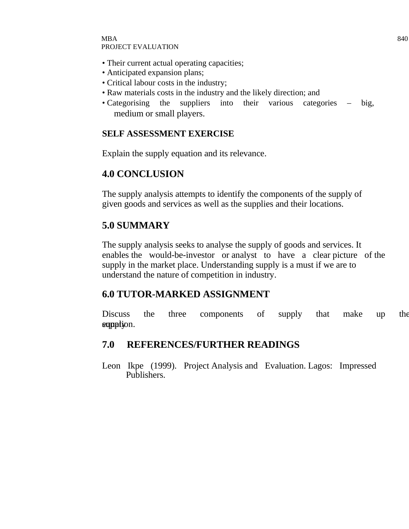- Their current actual operating capacities;
- Anticipated expansion plans;
- Critical labour costs in the industry;
- Raw materials costs in the industry and the likely direction; and
- Categorising the suppliers into their various categories big, medium or small players.

#### **SELF ASSESSMENT EXERCISE**

Explain the supply equation and its relevance.

### **4.0 CONCLUSION**

The supply analysis attempts to identify the components of the supply of given goods and services as well as the supplies and their locations.

# **5.0 SUMMARY**

The supply analysis seeks to analyse the supply of goods and services. It enables the would-be-investor or analyst to have a clear picture of the supply in the market place. Understanding supply is a must if we are to understand the nature of competition in industry.

### **6.0 TUTOR-MARKED ASSIGNMENT**

Discuss the three components of supply that make up the supption.

### **7.0 REFERENCES/FURTHER READINGS**

Leon Ikpe (1999). Project Analysis and Evaluation. Lagos: Impressed Publishers.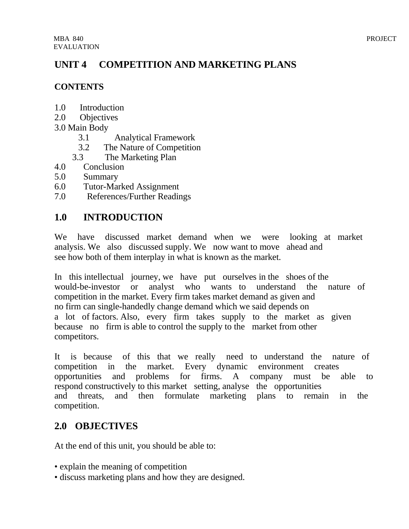# **UNIT 4 COMPETITION AND MARKETING PLANS**

### **CONTENTS**

- 1.0 Introduction
- 2.0 Objectives
- 3.0 Main Body
	- 3.1 Analytical Framework
	- 3.2 The Nature of Competition
	- 3.3 The Marketing Plan
- 4.0 Conclusion
- 5.0 Summary
- 6.0 Tutor-Marked Assignment
- 7.0 References/Further Readings

# **1.0 INTRODUCTION**

We have discussed market demand when we were looking at market analysis. We also discussed supply. We now want to move ahead and see how both of them interplay in what is known as the market.

In this intellectual journey, we have put ourselves in the shoes of the would-be-investor or analyst who wants to understand the nature of competition in the market. Every firm takes market demand as given and no firm can single-handedly change demand which we said depends on a lot of factors. Also, every firm takes supply to the market as given because no firm is able to control the supply to the market from other competitors.

It is because of this that we really need to understand the nature of competition in the market. Every dynamic environment creates opportunities and problems for firms. A company must be able to respond constructively to this market setting, analyse the opportunities and threats, and then formulate marketing plans to remain in the competition.

# **2.0 OBJECTIVES**

At the end of this unit, you should be able to:

- explain the meaning of competition
- discuss marketing plans and how they are designed.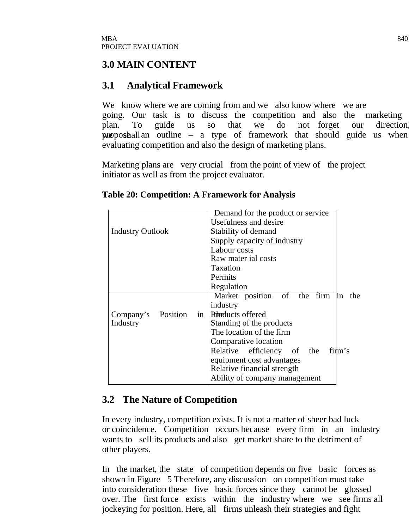### **3.0 MAIN CONTENT**

# **3.1 Analytical Framework**

We know where we are coming from and we also know where we are going. Our task is to discuss the competition and also the marketing plan. To guide us so that we do not forget our direction, **proposhallan** outline – a type of framework that should guide us when evaluating competition and also the design of marketing plans.

Marketing plans are very crucial from the point of view of the project initiator as well as from the project evaluator.

|                             | Demand for the product or service |             |
|-----------------------------|-----------------------------------|-------------|
|                             | Usefulness and desire             |             |
| <b>Industry Outlook</b>     | Stability of demand               |             |
|                             | Supply capacity of industry       |             |
|                             | Labour costs                      |             |
|                             | Raw mater ial costs               |             |
|                             | Taxation                          |             |
|                             | Permits                           |             |
|                             | Regulation                        |             |
|                             | Market position of the firm       | the<br>lin. |
|                             | industry                          |             |
| Position<br>Company's<br>in | Puraducts offered                 |             |
| Industry                    | Standing of the products          |             |
|                             | The location of the firm          |             |
|                             | Comparative location              |             |
|                             | Relative efficiency of the        | $fitm$ 's   |
|                             | equipment cost advantages         |             |
|                             | Relative financial strength       |             |
|                             | Ability of company management     |             |

### **Table 20: Competition: A Framework for Analysis**

# **3.2 The Nature of Competition**

In every industry, competition exists. It is not a matter of sheer bad luck or coincidence. Competition occurs because every firm in an industry wants to sell its products and also get market share to the detriment of other players.

In the market, the state of competition depends on five basic forces as shown in Figure 5 Therefore, any discussion on competition must take into consideration these five basic forces since they cannot be glossed over. The first force exists within the industry where we see firms all jockeying for position. Here, all firms unleash their strategies and fight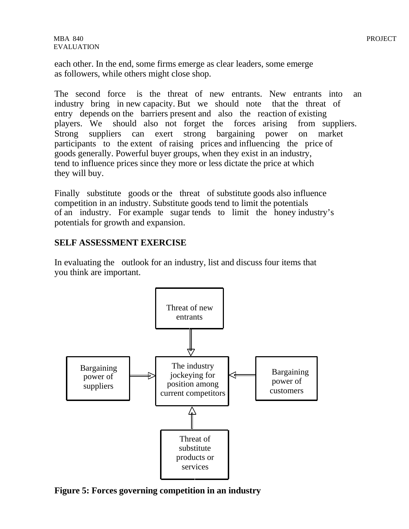each other. In the end, some firms emerge as clear leaders, some emerge as followers, while others might close shop.

The second force is the threat of new entrants. New entrants into an industry bring in new capacity. But we should note that the threat of entry depends on the barriers present and also the reaction of existing players. We should also not forget the forces arising from suppliers. Strong suppliers can exert strong bargaining power on market participants to the extent of raising prices and influencing the price of goods generally. Powerful buyer groups, when they exist in an industry, tend to influence prices since they more or less dictate the price at which they will buy.

Finally substitute goods or the threat of substitute goods also influence competition in an industry. Substitute goods tend to limit the potentials of an industry. For example sugar tends to limit the honey industry's potentials for growth and expansion.

#### **SELF ASSESSMENT EXERCISE**

In evaluating the outlook for an industry, list and discuss four items that you think are important.



**Figure 5: Forces governing competition in an industry**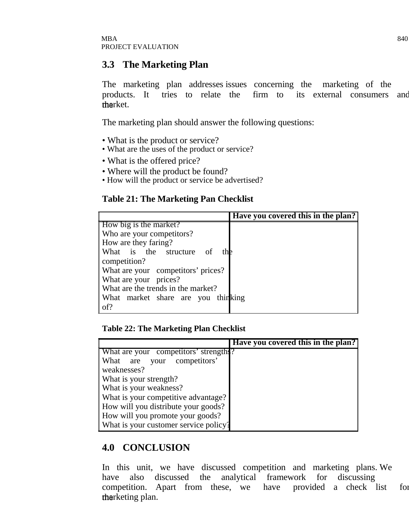### **3.3 The Marketing Plan**

The marketing plan addresses issues concerning the marketing of the products. It tries to relate the firm to its external consumers and tharket.

The marketing plan should answer the following questions:

- What is the product or service?
- What are the uses of the product or service?
- What is the offered price?
- Where will the product be found?
- How will the product or service be advertised?

#### **Table 21: The Marketing Pan Checklist**

|                                    | Have you covered this in the plan? |
|------------------------------------|------------------------------------|
| How big is the market?             |                                    |
| Who are your competitors?          |                                    |
| How are they faring?               |                                    |
| What is the structure of<br>the    |                                    |
| competition?                       |                                    |
| What are your competitors' prices? |                                    |
| What are your prices?              |                                    |
| What are the trends in the market? |                                    |
| What market share are you thinking |                                    |
| of?                                |                                    |

#### **Table 22: The Marketing Plan Checklist**

|                                       | Have you covered this in the plan? |
|---------------------------------------|------------------------------------|
| What are your competitors' strengths? |                                    |
| What are your competitors'            |                                    |
| weaknesses?                           |                                    |
| What is your strength?                |                                    |
| What is your weakness?                |                                    |
| What is your competitive advantage?   |                                    |
| How will you distribute your goods?   |                                    |
| How will you promote your goods?      |                                    |
| What is your customer service policy? |                                    |

### **4.0 CONCLUSION**

In this unit, we have discussed competition and marketing plans. We have also discussed the analytical framework for discussing competition. Apart from these, we have provided a check list for the rketing plan.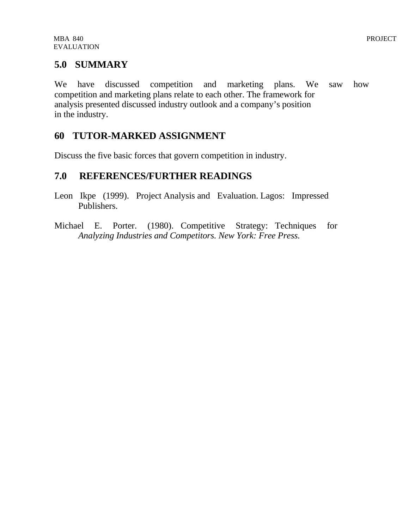### **5.0 SUMMARY**

We have discussed competition and marketing plans. We saw how competition and marketing plans relate to each other. The framework for analysis presented discussed industry outlook and a company's position in the industry.

### **60 TUTOR-MARKED ASSIGNMENT**

Discuss the five basic forces that govern competition in industry.

### **7.0 REFERENCES/FURTHER READINGS**

- Leon Ikpe (1999). Project Analysis and Evaluation. Lagos: Impressed Publishers.
- Michael E. Porter. (1980). Competitive Strategy: Techniques for *Analyzing Industries and Competitors. New York: Free Press.*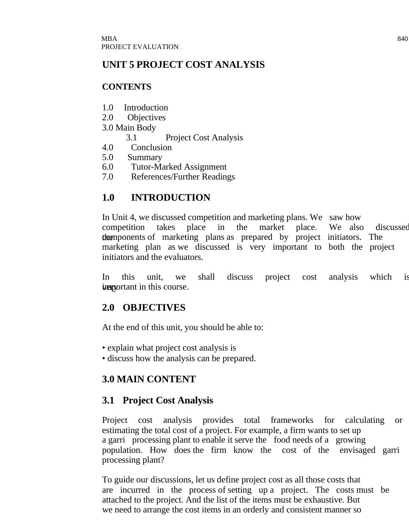# **UNIT 5 PROJECT COST ANALYSIS**

### **CONTENTS**

- 1.0 Introduction
- 2.0 Objectives
- 3.0 Main Body
	- 3.1 Project Cost Analysis
- 4.0 Conclusion
- 5.0 Summary
- 6.0 Tutor-Marked Assignment
- 7.0 References/Further Readings

# **1.0 INTRODUCTION**

In Unit 4, we discussed competition and marketing plans. We saw how competition takes place in the market place. We also discussed the components of marketing plans as prepared by project initiators. The marketing plan as we discussed is very important to both the project initiators and the evaluators.

In this unit, we shall discuss project cost analysis which is in this course.

### **2.0 OBJECTIVES**

At the end of this unit, you should be able to:

- explain what project cost analysis is
- discuss how the analysis can be prepared.

# **3.0 MAIN CONTENT**

# **3.1 Project Cost Analysis**

Project cost analysis provides total frameworks for calculating or estimating the total cost of a project. For example, a firm wants to set up a garri processing plant to enable it serve the food needs of a growing population. How does the firm know the cost of the envisaged garri processing plant?

To guide our discussions, let us define project cost as all those costs that are incurred in the process of setting up a project. The costs must be attached to the project. And the list of the items must be exhaustive. But we need to arrange the cost items in an orderly and consistent manner so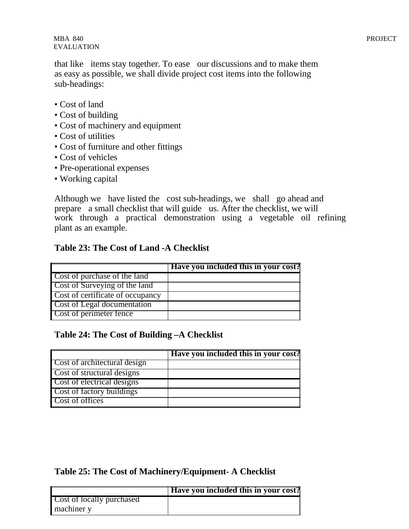that like items stay together. To ease our discussions and to make them as easy as possible, we shall divide project cost items into the following sub-headings:

- Cost of land
- Cost of building
- Cost of machinery and equipment
- Cost of utilities
- Cost of furniture and other fittings
- Cost of vehicles
- Pre-operational expenses
- Working capital

Although we have listed the cost sub-headings, we shall go ahead and prepare a small checklist that will guide us. After the checklist, we will work through a practical demonstration using a vegetable oil refining plant as an example.

#### **Table 23: The Cost of Land -A Checklist**

|                                      | Have you included this in your cost? |
|--------------------------------------|--------------------------------------|
| <b>Cost of purchase of the land</b>  |                                      |
| <b>Cost of Surveying of the land</b> |                                      |
| Cost of certificate of occupancy     |                                      |
| <b>Cost of Legal documentation</b>   |                                      |
| <b>Cost of perimeter fence</b>       |                                      |

### **Table 24: The Cost of Building –A Checklist**

|                                     | Have you included this in your cost? |
|-------------------------------------|--------------------------------------|
| <b>Cost of architectural design</b> |                                      |
| <b>Cost of structural designs</b>   |                                      |
| <b>Cost of electrical designs</b>   |                                      |
| <b>Cost of factory buildings</b>    |                                      |
| Cost of offices                     |                                      |

#### **Table 25: The Cost of Machinery/Equipment- A Checklist**

|                                  | Have you included this in your cost? |
|----------------------------------|--------------------------------------|
| <b>Cost of locally purchased</b> |                                      |
| machiner y                       |                                      |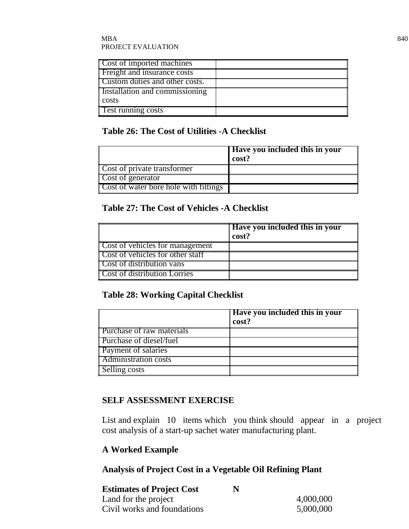#### $\rm{MBA}$  840 PROJECT EVALUATION

| <b>Cost of imported machines</b>      |  |
|---------------------------------------|--|
| Freight and insurance costs           |  |
| <b>Custom duties and other costs.</b> |  |
| Installation and commissioning        |  |
| costs                                 |  |
| <b>Test running costs</b>             |  |

#### **Table 26: The Cost of Utilities -A Checklist**

|                                              | <b>Have you included this in your</b><br>cost? |
|----------------------------------------------|------------------------------------------------|
| Cost of private transformer                  |                                                |
| <b>Cost of generator</b>                     |                                                |
| <b>Cost of water bore hole with fittings</b> |                                                |

### **Table 27: The Cost of Vehicles -A Checklist**

|                                        | <b>Have you included this in your</b><br>cost? |
|----------------------------------------|------------------------------------------------|
| <b>Cost of vehicles for management</b> |                                                |
| Cost of vehicles for other staff       |                                                |
| <b>Cost of distribution vans</b>       |                                                |
| <b>Cost of distribution Lorries</b>    |                                                |

### **Table 28: Working Capital Checklist**

|                                  | Have you included this in your<br>cost? |
|----------------------------------|-----------------------------------------|
| <b>Purchase of raw materials</b> |                                         |
| <b>Purchase of diesel/fuel</b>   |                                         |
| <b>Payment of salaries</b>       |                                         |
| Administration costs             |                                         |
| Selling costs                    |                                         |

### **SELF ASSESSMENT EXERCISE**

List and explain 10 items which you think should appear in a project cost analysis of a start-up sachet water manufacturing plant.

### **A Worked Example**

### **Analysis of Project Cost in a Vegetable Oil Refining Plant**

| <b>Estimates of Project Cost</b> | N |           |
|----------------------------------|---|-----------|
| Land for the project             |   | 4,000,000 |
| Civil works and foundations      |   | 5,000,000 |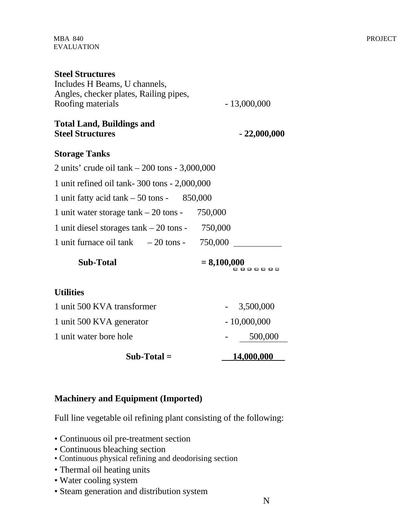| <b>Steel Structures</b>                                     |                                  |
|-------------------------------------------------------------|----------------------------------|
| Includes H Beams, U channels,                               |                                  |
| Angles, checker plates, Railing pipes,                      |                                  |
| Roofing materials                                           | $-13,000,000$                    |
| <b>Total Land, Buildings and</b><br><b>Steel Structures</b> | $-22,000,000$                    |
| <b>Storage Tanks</b>                                        |                                  |
| 2 units' crude oil tank – 200 tons - 3,000,000              |                                  |
| 1 unit refined oil tank-300 tons - 2,000,000                |                                  |
| 1 unit fatty acid tank $-50$ tons $-850,000$                |                                  |
| 1 unit water storage $\tanh - 20$ tons -                    | 750,000                          |
| 1 unit diesel storages $tank - 20$ tons - 750,000           |                                  |
| 1 unit furnace oil tank $-20$ tons - $750,000$              |                                  |
| <b>Sub-Total</b>                                            | $= 8,100,000$<br>, , , , , , , , |
| <b>Utilities</b>                                            |                                  |
| 1 unit 500 KVA transformer                                  | 3,500,000                        |
| 1 unit 500 KVA generator                                    | $-10,000,000$                    |
| 1 unit water bore hole                                      | 500,000                          |
| $Sub-Total =$                                               | 14,000,000                       |

### **Machinery and Equipment (Imported)**

Full line vegetable oil refining plant consisting of the following:

- Continuous oil pre-treatment section
- Continuous bleaching section
- Continuous physical refining and deodorising section
- Thermal oil heating units
- Water cooling system
- Steam generation and distribution system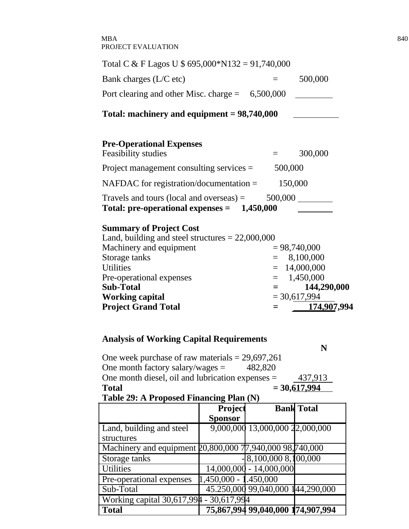#### $\rm{MBA}$  840 PROJECT EVALUATION

| Total C & F Lagos U \$ $695,000*N132 = 91,740,000$                                                                                                                               |         |                                                                    |
|----------------------------------------------------------------------------------------------------------------------------------------------------------------------------------|---------|--------------------------------------------------------------------|
| Bank charges (L/C etc)                                                                                                                                                           |         | 500,000                                                            |
| Port clearing and other Misc. charge = $6,500,000$                                                                                                                               |         |                                                                    |
| Total: machinery and equipment $= 98,740,000$                                                                                                                                    |         |                                                                    |
| <b>Pre-Operational Expenses</b><br>Feasibility studies                                                                                                                           |         | 300,000                                                            |
| Project management consulting services $=$ 500,000                                                                                                                               |         |                                                                    |
| NAFDAC for registration/documentation $=$                                                                                                                                        | 150,000 |                                                                    |
| Travels and tours (local and overseas) $=$<br>Total: pre-operational expenses $=$ 1,450,000                                                                                      |         |                                                                    |
| <b>Summary of Project Cost</b><br>Land, building and steel structures $= 22,000,000$<br>Machinery and equipment<br>Storage tanks<br><b>Utilities</b><br>Pre-operational expenses |         | $= 98,740,000$<br>$= 8,100,000$<br>$= 14,000,000$<br>$= 1,450,000$ |
| <b>Sub-Total</b>                                                                                                                                                                 | $=$ $-$ | 144,290,000                                                        |
| <b>Working capital</b><br><b>Project Grand Total</b>                                                                                                                             | $=$     | $= 30,617,994$<br>174,907,994                                      |

# **Analysis of Working Capital Requirements**

|              |                                                   |  |         | N              |  |
|--------------|---------------------------------------------------|--|---------|----------------|--|
|              | One week purchase of raw materials $= 29,697,261$ |  |         |                |  |
|              | One month factory salary/wages $=$                |  | 482.820 |                |  |
|              | One month diesel, oil and lubrication expenses =  |  |         | 437,913        |  |
| <b>Total</b> |                                                   |  |         | $= 30,617,994$ |  |

### **Table 29: A Proposed Financing Plan (N)**

|                                                          | Project               |                                   | <b>Bank Total</b> |
|----------------------------------------------------------|-----------------------|-----------------------------------|-------------------|
|                                                          | <b>Sponsor</b>        |                                   |                   |
| Land, building and steel                                 |                       | 9,000,000 13,000,000 22,000,000   |                   |
| structures                                               |                       |                                   |                   |
| Machinery and equipment 20,800,000 77,940,000 98,740,000 |                       |                                   |                   |
| Storage tanks                                            |                       | $8,100,000\overline{8,100,000}$   |                   |
| <b>Utilities</b>                                         |                       | $14,000,000 - 14,000,000$         |                   |
| Pre-operational expenses                                 | 1,450,000 - 1.450,000 |                                   |                   |
| Sub-Total                                                |                       | 45.250,000 99,040,000 144,290,000 |                   |
| Working capital $30,617,994 - 30,617,994$                |                       |                                   |                   |
| <b>Total</b>                                             |                       | 75,867,994 99,040,000 174,907,994 |                   |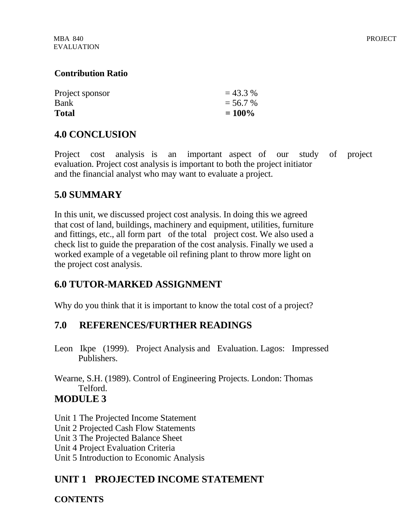| Project sponsor | $= 43.3 %$ |
|-----------------|------------|
| Bank            | $= 56.7 %$ |
| <b>Total</b>    | $= 100\%$  |

# **4.0 CONCLUSION**

Project cost analysis is an important aspect of our study of project evaluation. Project cost analysis is important to both the project initiator and the financial analyst who may want to evaluate a project.

# **5.0 SUMMARY**

In this unit, we discussed project cost analysis. In doing this we agreed that cost of land, buildings, machinery and equipment, utilities, furniture and fittings, etc., all form part of the total project cost. We also used a check list to guide the preparation of the cost analysis. Finally we used a worked example of a vegetable oil refining plant to throw more light on the project cost analysis.

# **6.0 TUTOR-MARKED ASSIGNMENT**

Why do you think that it is important to know the total cost of a project?

# **7.0 REFERENCES/FURTHER READINGS**

Leon Ikpe (1999). Project Analysis and Evaluation. Lagos: Impressed Publishers.

Wearne, S.H. (1989). Control of Engineering Projects. London: Thomas Telford. **MODULE 3**

Unit 1 The Projected Income Statement Unit 2 Projected Cash Flow Statements Unit 3 The Projected Balance Sheet Unit 4 Project Evaluation Criteria Unit 5 Introduction to Economic Analysis

# **UNIT 1 PROJECTED INCOME STATEMENT**

**CONTENTS**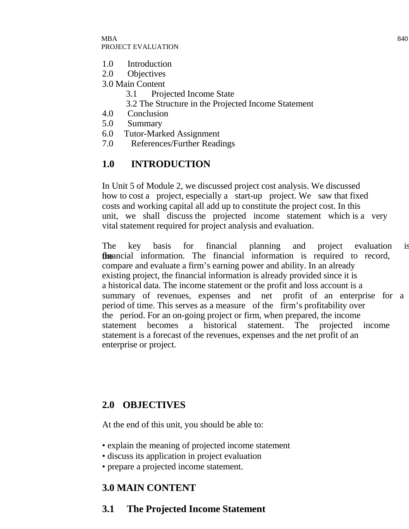#### $\rm{MBA}$  840 PROJECT EVALUATION

- 1.0 Introduction
- 2.0 Objectives
- 3.0 Main Content
	- 3.1 Projected Income State
	- 3.2 The Structure in the Projected Income Statement
- 4.0 Conclusion
- 5.0 Summary
- 6.0 Tutor-Marked Assignment
- 7.0 References/Further Readings

# **1.0 INTRODUCTION**

In Unit 5 of Module 2, we discussed project cost analysis. We discussed how to cost a project, especially a start-up project. We saw that fixed costs and working capital all add up to constitute the project cost. In this unit, we shall discuss the projected income statement which is a very vital statement required for project analysis and evaluation.

The key basis for financial planning and project evaluation is the financial information. The financial information is required to record, compare and evaluate a firm's earning power and ability. In an already existing project, the financial information is already provided since it is a historical data. The income statement or the profit and loss account is a summary of revenues, expenses and net profit of an enterprise for a period of time. This serves as a measure of the firm's profitability over the period. For an on-going project or firm, when prepared, the income statement becomes a historical statement. The projected income statement is a forecast of the revenues, expenses and the net profit of an enterprise or project.

# **2.0 OBJECTIVES**

At the end of this unit, you should be able to:

- explain the meaning of projected income statement
- discuss its application in project evaluation
- prepare a projected income statement.

# **3.0 MAIN CONTENT**

# **3.1 The Projected Income Statement**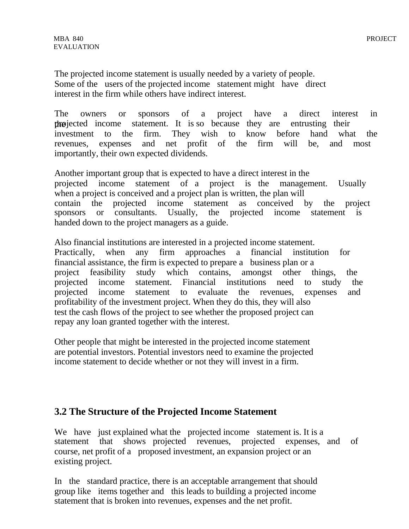The projected income statement is usually needed by a variety of people. Some of the users of the projected income statement might have direct interest in the firm while others have indirect interest.

The owners or sponsors of a project have a direct interest in the projected income statement. It is so because they are entrusting their investment to the firm. They wish to know before hand what the revenues, expenses and net profit of the firm will be, and most importantly, their own expected dividends.

Another important group that is expected to have a direct interest in the projected income statement of a project is the management. Usually when a project is conceived and a project plan is written, the plan will contain the projected income statement as conceived by the project sponsors or consultants. Usually, the projected income statement is handed down to the project managers as a guide.

Also financial institutions are interested in a projected income statement. Practically, when any firm approaches a financial institution for financial assistance, the firm is expected to prepare a business plan or a project feasibility study which contains, amongst other things, the projected income statement. Financial institutions need to study the projected income statement to evaluate the revenues, expenses and profitability of the investment project. When they do this, they will also test the cash flows of the project to see whether the proposed project can repay any loan granted together with the interest.

Other people that might be interested in the projected income statement are potential investors. Potential investors need to examine the projected income statement to decide whether or not they will invest in a firm.

#### **3.2 The Structure of the Projected Income Statement**

We have just explained what the projected income statement is. It is a statement that shows projected revenues, projected expenses, and of course, net profit of a proposed investment, an expansion project or an existing project.

In the standard practice, there is an acceptable arrangement that should group like items together and this leads to building a projected income statement that is broken into revenues, expenses and the net profit.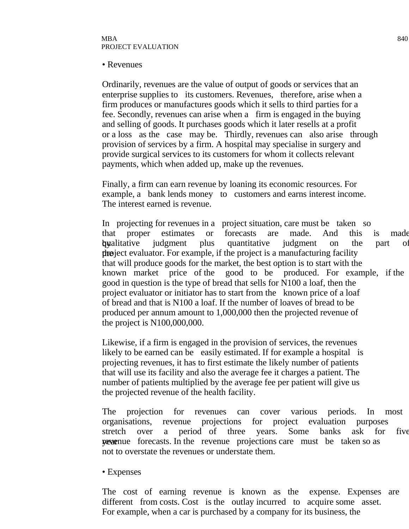• Revenues

Ordinarily, revenues are the value of output of goods or services that an enterprise supplies to its customers. Revenues, therefore, arise when a firm produces or manufactures goods which it sells to third parties for a fee. Secondly, revenues can arise when a firm is engaged in the buying and selling of goods. It purchases goods which it later resells at a profit or a loss as the case may be. Thirdly, revenues can also arise through provision of services by a firm. A hospital may specialise in surgery and provide surgical services to its customers for whom it collects relevant payments, which when added up, make up the revenues.

Finally, a firm can earn revenue by loaning its economic resources. For example, a bank lends money to customers and earns interest income. The interest earned is revenue.

In projecting for revenues in a project situation, care must be taken so that proper estimates or forecasts are made. And this is made by qualitative judgment plus quantitative judgment on the part of the project evaluator. For example, if the project is a manufacturing facility that will produce goods for the market, the best option is to start with the known market price of the good to be produced. For example, if the good in question is the type of bread that sells for N100 a loaf, then the project evaluator or initiator has to start from the known price of a loaf of bread and that is N100 a loaf. If the number of loaves of bread to be produced per annum amount to 1,000,000 then the projected revenue of the project is N100,000,000.

Likewise, if a firm is engaged in the provision of services, the revenues likely to be earned can be easily estimated. If for example a hospital is projecting revenues, it has to first estimate the likely number of patients that will use its facility and also the average fee it charges a patient. The number of patients multiplied by the average fee per patient will give us the projected revenue of the health facility.

The projection for revenues can cover various periods. In most organisations, revenue projections for project evaluation purposes stretch over a period of three years. Some banks ask for five **revenue** forecasts. In the revenue projections care must be taken so as not to overstate the revenues or understate them.

• Expenses

The cost of earning revenue is known as the expense. Expenses are different from costs. Cost is the outlay incurred to acquire some asset. For example, when a car is purchased by a company for its business, the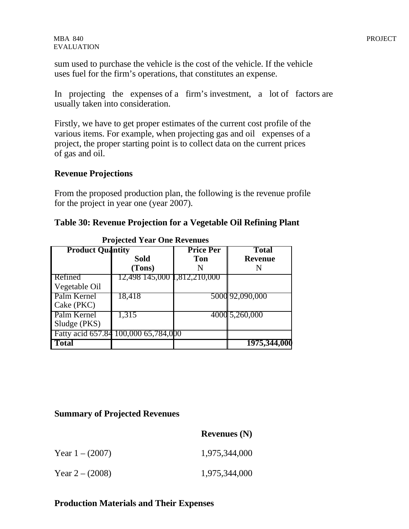sum used to purchase the vehicle is the cost of the vehicle. If the vehicle uses fuel for the firm's operations, that constitutes an expense.

In projecting the expenses of a firm's investment, a lot of factors are usually taken into consideration.

Firstly, we have to get proper estimates of the current cost profile of the various items. For example, when projecting gas and oil expenses of a project, the proper starting point is to collect data on the current prices of gas and oil.

#### **Revenue Projections**

From the proposed production plan, the following is the revenue profile for the project in year one (year 2007).

#### **Table 30: Revenue Projection for a Vegetable Oil Refining Plant**

| <b>Product Quantity</b>                      |                                             | <b>Price Per</b> | <b>Total</b>    |
|----------------------------------------------|---------------------------------------------|------------------|-----------------|
|                                              | <b>Sold</b>                                 | <b>Ton</b>       | <b>Revenue</b>  |
|                                              | (Tons)                                      | N                | N               |
| <b>Refined</b>                               | 12,498 145,000 1,812,210,000                |                  |                 |
| Vegetable Oil                                |                                             |                  |                 |
| Palm Kernel<br>$\mathsf{Cake}(\mathsf{PKC})$ | 18,418                                      |                  | 5000 92,090,000 |
| Palm Kernel<br>Sludge (PKS)                  | 1,315                                       |                  | 4000 5,260,000  |
|                                              | <b>Fatty acid 657.84 100,000 65,784,000</b> |                  |                 |
| <b>Total</b>                                 |                                             |                  | 1975,344,000    |

#### **Projected Year One Revenues**

#### **Summary of Projected Revenues**

|                   | Revellues (IV) |
|-------------------|----------------|
| Year $1 - (2007)$ | 1,975,344,000  |
| Year $2 - (2008)$ | 1,975,344,000  |

 **Revenues (N)**

#### **Production Materials and Their Expenses**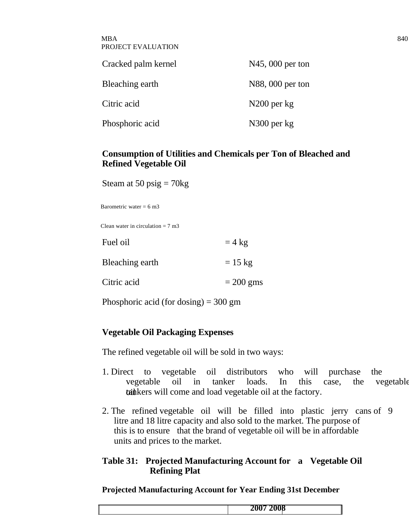| <b>MBA</b>         | 840 |
|--------------------|-----|
| PROJECT EVALUATION |     |

| Cracked palm kernel | $N45$ , 000 per ton |
|---------------------|---------------------|
| Bleaching earth     | N88, 000 per ton    |
| Citric acid         | $N200$ per $kg$     |
| Phosphoric acid     | N300 per kg         |

#### **Consumption of Utilities and Chemicals per Ton of Bleached and Refined Vegetable Oil**

Steam at 50 psig  $= 70$ kg

Barometric water =  $6 \text{ m}$ 3

Clean water in circulation  $= 7$  m<sup>3</sup>

| Fuel oil        | $= 4$ kg          |
|-----------------|-------------------|
| Bleaching earth | $= 15 \text{ kg}$ |
| Citric acid     | $= 200$ gms       |

Phosphoric acid (for dosing)  $= 300$  gm

#### **Vegetable Oil Packaging Expenses**

The refined vegetable oil will be sold in two ways:

- 1. Direct to vegetable oil distributors who will purchase the vegetable oil in tanker loads. In this case, the vegetable tainkers will come and load vegetable oil at the factory.
- 2. The refined vegetable oil will be filled into plastic jerry cans of 9 litre and 18 litre capacity and also sold to the market. The purpose of this is to ensure that the brand of vegetable oil will be in affordable units and prices to the market.

#### **Table 31: Projected Manufacturing Account for a Vegetable Oil Refining Plat**

**Projected Manufacturing Account for Year Ending 31st December**

| 2008<br>200 |
|-------------|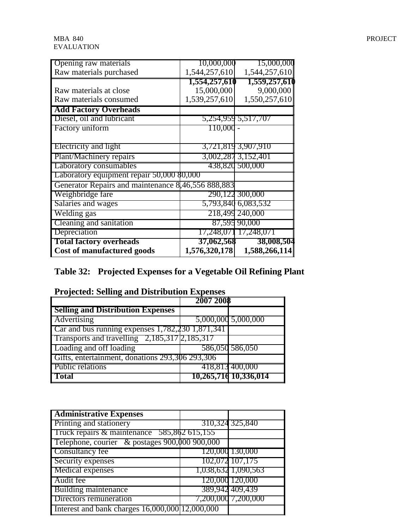| Opening raw materials                              | 10,000,000    | 15,000,000            |
|----------------------------------------------------|---------------|-----------------------|
| Raw materials purchased                            | 1,544,257,610 | 1,544,257,610         |
|                                                    | 1,554,257,610 | 1,559,257,610         |
| Raw materials at close                             | 15,000,000    | 9,000,000             |
| Raw materials consumed                             | 1,539,257,610 | 1,550,257,610         |
| <b>Add Factory Overheads</b>                       |               |                       |
| Diesel, oil and lubricant                          |               | 5,254,959 5,517,707   |
| Factory uniform                                    | 110,000       |                       |
|                                                    |               |                       |
| Electricity and light                              |               | 3,721,819 3,907,910   |
| Plant/Machinery repairs                            |               | 3,002,287 3,152,401   |
| Laboratory consumables                             |               | 438,820 500,000       |
| Laboratory equipment repair 50,000 \$0,000         |               |                       |
| Generator Repairs and maintenance 8,46,556 888,883 |               |                       |
| Weighbridge fare                                   |               | 290,122 300,000       |
| Salaries and wages                                 |               | 5,793,840 6,083,532   |
| Welding gas                                        |               | 218,499 240,000       |
| Cleaning and sanitation                            |               | 87,595 90,000         |
| Depreciation                                       |               | 17,248,071 17,248,071 |
| <b>Total factory overheads</b>                     | 37,062,568    | 38,008,504            |
| <b>Cost of manufactured goods</b>                  | 1,576,320,178 | 1,588,266,114         |

# **Table 32: Projected Expenses for a Vegetable Oil Refining Plant**

|                                                   | 2007 2008 |                       |
|---------------------------------------------------|-----------|-----------------------|
| <b>Selling and Distribution Expenses</b>          |           |                       |
| <b>Advertising</b>                                |           | 5,000,000 5,000,000   |
| Car and bus running expenses 1,782,230 1,871,341  |           |                       |
| Transports and travelling $2,185,317$ $2,185,317$ |           |                       |
| Loading and off loading                           |           | 586,050 586,050       |
| Gifts, entertainment, donations 293,306 293,306   |           |                       |
| <b>Public relations</b>                           |           | 418,813 400,000       |
| 'Total                                            |           | 10,265,716 10,336,014 |

#### **Projected: Selling and Distribution Expenses**

| <b>Administrative Expenses</b>                  |                     |
|-------------------------------------------------|---------------------|
| <b>Printing and stationery</b>                  | 310,324 325,840     |
| Truck repairs $\&$ maintenance 585,862 615,155  |                     |
| Telephone, courier & postages 900,000 900,000   |                     |
| Consultancy fee                                 | 120,000 130,000     |
| Security expenses                               | 102,072 107,175     |
| Medical expenses                                | 1,038,632 1,090,563 |
| Audit fee                                       | 120,000 120,000     |
| <b>Building maintenance</b>                     | 389,942 409,439     |
| Directors remuneration                          | 7,200,000 7,200,000 |
| Interest and bank charges 16,000,000 12,000,000 |                     |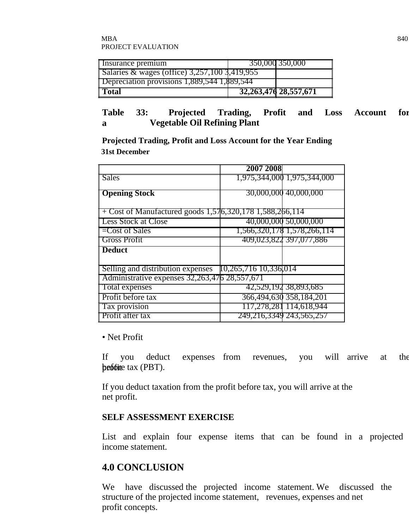| Insurance premium                                 | 350,000 350,000           |
|---------------------------------------------------|---------------------------|
| Salaries & wages (office) $3,257,100$ $3,419,955$ |                           |
| Depreciation provisions 1,889,544 1,889,544       |                           |
| l Total                                           | 32, 263, 476 28, 557, 671 |

#### **Table 33: Projected Trading, Profit and Loss Account for a Vegetable Oil Refining Plant**

**Projected Trading, Profit and Loss Account for the Year Ending 31st December**

|                                                            | 2007 2008           |                             |
|------------------------------------------------------------|---------------------|-----------------------------|
| <b>Sales</b>                                               |                     | 1,975,344,000 1,975,344,000 |
| <b>Opening Stock</b>                                       |                     | 30,000,000 40,000,000       |
|                                                            |                     |                             |
| $+$ Cost of Manufactured goods 1,576,320,178 1,588,266,114 |                     |                             |
| <b>Less Stock at Close</b>                                 |                     | 40,000,000 50,000,000       |
| $=$ Cost of Sales                                          |                     | 1,566,320,178 1,578,266,114 |
| <b>Gross Profit</b>                                        |                     | 409,023,822 397,077,886     |
| <b>Deduct</b>                                              |                     |                             |
|                                                            |                     |                             |
| Selling and distribution expenses                          | 10,265,71610,336014 |                             |
| Administrative expenses 32,263,476 28,557,671              |                     |                             |
| Total expenses                                             |                     | 42,529,192 38,893,685       |
| Profit before tax                                          |                     | 366,494,630 358,184,201     |
| Tax provision                                              |                     | 117,278,281 114,618,944     |
| Profit after tax                                           |                     | 249,216,3349 243,565,257    |

• Net Profit

If you deduct expenses from revenues, you will arrive at the  $\mathbf{p}$  profite tax (PBT).

If you deduct taxation from the profit before tax, you will arrive at the net profit.

#### **SELF ASSESSMENT EXERCISE**

List and explain four expense items that can be found in a projected income statement.

# **4.0 CONCLUSION**

We have discussed the projected income statement. We discussed the structure of the projected income statement, revenues, expenses and net profit concepts.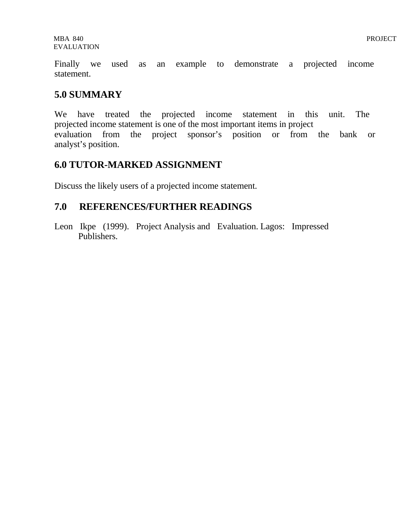Finally we used as an example to demonstrate a projected income statement.

# **5.0 SUMMARY**

We have treated the projected income statement in this unit. The projected income statement is one of the most important items in project evaluation from the project sponsor's position or from the bank or analyst's position.

# **6.0 TUTOR-MARKED ASSIGNMENT**

Discuss the likely users of a projected income statement.

# **7.0 REFERENCES/FURTHER READINGS**

Leon Ikpe (1999). Project Analysis and Evaluation. Lagos: Impressed Publishers.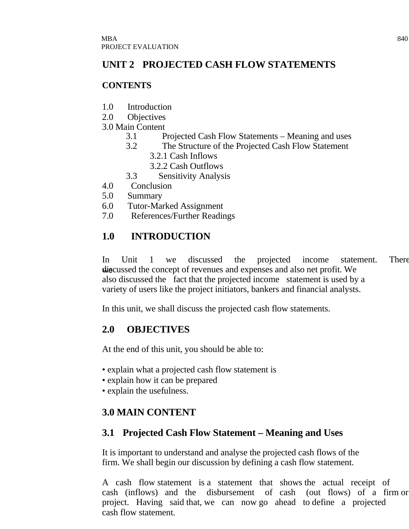# **UNIT 2 PROJECTED CASH FLOW STATEMENTS**

## **CONTENTS**

- 1.0 Introduction
- 2.0 Objectives
- 3.0 Main Content
	- 3.1 Projected Cash Flow Statements Meaning and uses
	- 3.2 The Structure of the Projected Cash Flow Statement
		- 3.2.1 Cash Inflows
		- 3.2.2 Cash Outflows
	- 3.3 Sensitivity Analysis
- 4.0 Conclusion
- 5.0 Summary
- 6.0 Tutor-Marked Assignment
- 7.0 References/Further Readings

# **1.0 INTRODUCTION**

In Unit 1 we discussed the projected income statement. There discussed the concept of revenues and expenses and also net profit. We also discussed the fact that the projected income statement is used by a variety of users like the project initiators, bankers and financial analysts.

In this unit, we shall discuss the projected cash flow statements.

# **2.0 OBJECTIVES**

At the end of this unit, you should be able to:

- explain what a projected cash flow statement is
- explain how it can be prepared
- explain the usefulness.

# **3.0 MAIN CONTENT**

# **3.1 Projected Cash Flow Statement – Meaning and Uses**

It is important to understand and analyse the projected cash flows of the firm. We shall begin our discussion by defining a cash flow statement.

A cash flow statement is a statement that shows the actual receipt of cash (inflows) and the disbursement of cash (out flows) of a firm or project. Having said that, we can now go ahead to define a projected cash flow statement.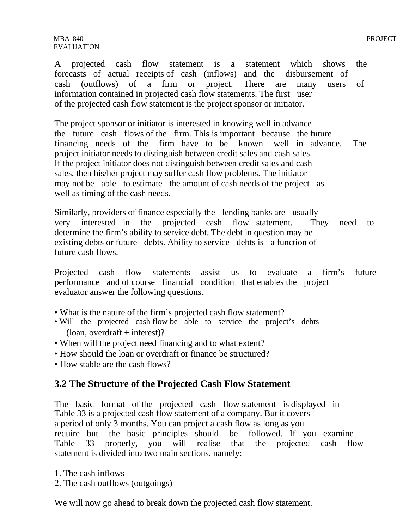A projected cash flow statement is a statement which shows the forecasts of actual receipts of cash (inflows) and the disbursement of cash (outflows) of a firm or project. There are many users of information contained in projected cash flow statements. The first user of the projected cash flow statement is the project sponsor or initiator.

The project sponsor or initiator is interested in knowing well in advance the future cash flows of the firm. This is important because the future financing needs of the firm have to be known well in advance. The project initiator needs to distinguish between credit sales and cash sales. If the project initiator does not distinguish between credit sales and cash sales, then his/her project may suffer cash flow problems. The initiator may not be able to estimate the amount of cash needs of the project as well as timing of the cash needs.

Similarly, providers of finance especially the lending banks are usually very interested in the projected cash flow statement. They need to determine the firm's ability to service debt. The debt in question may be existing debts or future debts. Ability to service debts is a function of future cash flows.

Projected cash flow statements assist us to evaluate a firm's future performance and of course financial condition that enables the project evaluator answer the following questions.

- What is the nature of the firm's projected cash flow statement?
- Will the projected cash flow be able to service the project's debts  $($ loan, overdraft + interest $)$ ?
- When will the project need financing and to what extent?
- How should the loan or overdraft or finance be structured?
- How stable are the cash flows?

#### **3.2 The Structure of the Projected Cash Flow Statement**

The basic format of the projected cash flow statement is displayed in Table 33 is a projected cash flow statement of a company. But it covers a period of only 3 months. You can project a cash flow as long as you require but the basic principles should be followed. If you examine Table 33 properly, you will realise that the projected cash flow statement is divided into two main sections, namely:

- 1. The cash inflows
- 2. The cash outflows (outgoings)

We will now go ahead to break down the projected cash flow statement.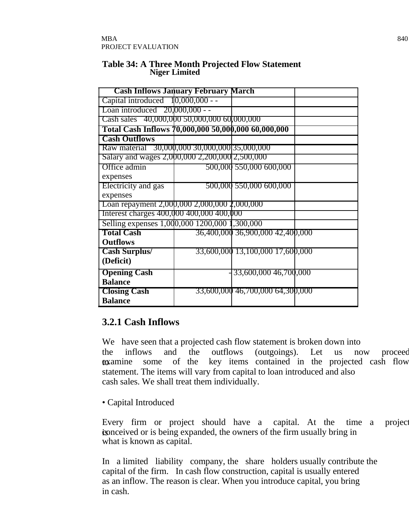#### **Table 34: A Three Month Projected Flow Statement Niger Limited**

| <b>Cash Inflows January February March</b>          |                                  |  |
|-----------------------------------------------------|----------------------------------|--|
| Capital introduced $10,000,000 -$                   |                                  |  |
| Loan introduced $20,000,000 -$                      |                                  |  |
| Cash sales 40,000,000 50,000,000 60,000,000         |                                  |  |
| Total Cash Inflows 70,000,000 50,000,000 60,000,000 |                                  |  |
| <b>Cash Outflows</b>                                |                                  |  |
| Raw material 30,000,000 30,000,000 35,000,000       |                                  |  |
| Salary and wages 2,000,000 2,200,000 2,500,000      |                                  |  |
| Office admin                                        | 500,000 550,000 600,000          |  |
| expenses                                            |                                  |  |
| Electricity and gas                                 | 500,000 550,000 600,000          |  |
| expenses                                            |                                  |  |
| Loan repayment 2,000,000 2,000,000 2,000,000        |                                  |  |
| Interest charges 400,000 400,000 400,000            |                                  |  |
| Selling expenses 1,000,000 1200,000 1,300,000       |                                  |  |
| <b>Total Cash</b>                                   | 36,400,000 36,900,000 42,400,000 |  |
| <b>Outflows</b>                                     |                                  |  |
| <b>Cash Surplus/</b>                                | 33,600,000 13,100,000 17,600,000 |  |
| (Deficit)                                           |                                  |  |
| <b>Opening Cash</b>                                 | 33,600,000 46,700,000            |  |
| <b>Balance</b>                                      |                                  |  |
| <b>Closing Cash</b>                                 | 33,600,000 46,700,000 64,300,000 |  |
| <b>Balance</b>                                      |                                  |  |

# **3.2.1 Cash Inflows**

We have seen that a projected cash flow statement is broken down into the inflows and the outflows (outgoings). Let us now proceed **examine** some of the key items contained in the projected cash flow statement. The items will vary from capital to loan introduced and also cash sales. We shall treat them individually.

• Capital Introduced

Every firm or project should have a capital. At the time a project is conceived or is being expanded, the owners of the firm usually bring in what is known as capital.

In a limited liability company, the share holders usually contribute the capital of the firm. In cash flow construction, capital is usually entered as an inflow. The reason is clear. When you introduce capital, you bring in cash.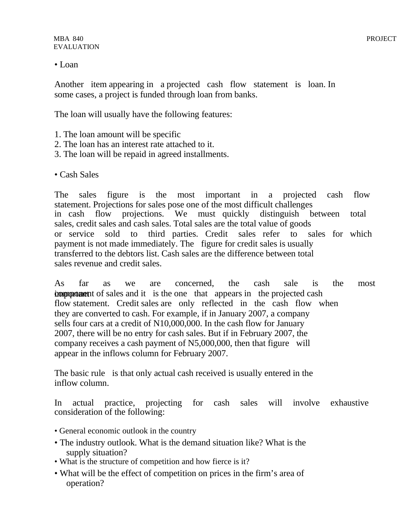#### • Loan

Another item appearing in a projected cash flow statement is loan. In some cases, a project is funded through loan from banks.

The loan will usually have the following features:

- 1. The loan amount will be specific
- 2. The loan has an interest rate attached to it.
- 3. The loan will be repaid in agreed installments.
- Cash Sales

The sales figure is the most important in a projected cash flow statement. Projections for sales pose one of the most difficult challenges in cash flow projections. We must quickly distinguish between total sales, credit sales and cash sales. Total sales are the total value of goods or service sold to third parties. Credit sales refer to sales for which payment is not made immediately. The figure for credit sales is usually transferred to the debtors list. Cash sales are the difference between total sales revenue and credit sales.

As far as we are concerned, the cash sale is the most **comportant** component of sales and it is the one that appears in the projected cash flow statement. Credit sales are only reflected in the cash flow when they are converted to cash. For example, if in January 2007, a company sells four cars at a credit of N10,000,000. In the cash flow for January 2007, there will be no entry for cash sales. But if in February 2007, the company receives a cash payment of N5,000,000, then that figure will appear in the inflows column for February 2007.

The basic rule is that only actual cash received is usually entered in the inflow column.

In actual practice, projecting for cash sales will involve exhaustive consideration of the following:

- General economic outlook in the country
- The industry outlook. What is the demand situation like? What is the supply situation?
- What is the structure of competition and how fierce is it?
- What will be the effect of competition on prices in the firm's area of operation?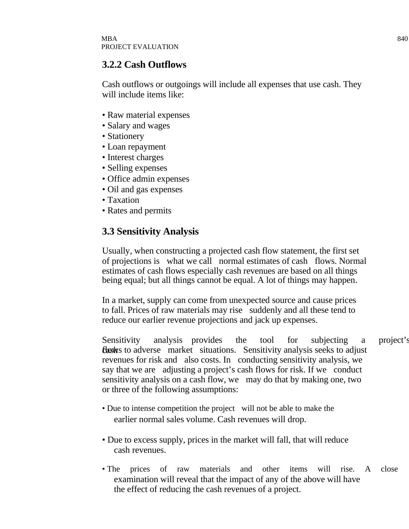## **3.2.2 Cash Outflows**

Cash outflows or outgoings will include all expenses that use cash. They will include items like:

- Raw material expenses
- Salary and wages
- Stationery
- Loan repayment
- Interest charges
- Selling expenses
- Office admin expenses
- Oil and gas expenses
- Taxation
- Rates and permits

# **3.3 Sensitivity Analysis**

Usually, when constructing a projected cash flow statement, the first set of projections is what we call normal estimates of cash flows. Normal estimates of cash flows especially cash revenues are based on all things being equal; but all things cannot be equal. A lot of things may happen.

In a market, supply can come from unexpected source and cause prices to fall. Prices of raw materials may rise suddenly and all these tend to reduce our earlier revenue projections and jack up expenses.

Sensitivity analysis provides the tool for subjecting a project's **flows** to adverse market situations. Sensitivity analysis seeks to adjust revenues for risk and also costs. In conducting sensitivity analysis, we say that we are adjusting a project's cash flows for risk. If we conduct sensitivity analysis on a cash flow, we may do that by making one, two or three of the following assumptions:

- Due to intense competition the project will not be able to make the earlier normal sales volume. Cash revenues will drop.
- Due to excess supply, prices in the market will fall, that will reduce cash revenues.
- The prices of raw materials and other items will rise. A close examination will reveal that the impact of any of the above will have the effect of reducing the cash revenues of a project.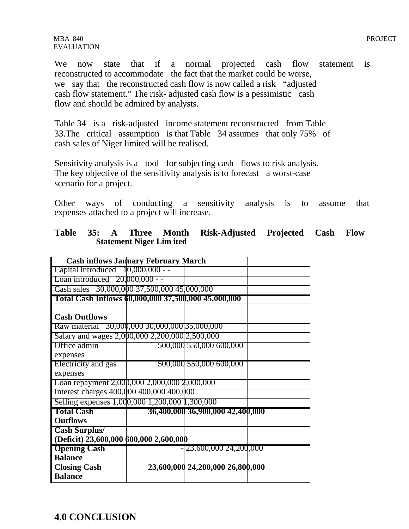MBA 840 PROJECT EVALUATION

We now state that if a normal projected cash flow statement is reconstructed to accommodate the fact that the market could be worse, we say that the reconstructed cash flow is now called a risk "adjusted cash flow statement." The risk- adjusted cash flow is a pessimistic cash flow and should be admired by analysts.

Table 34 is a risk-adjusted income statement reconstructed from Table 33.The critical assumption is that Table 34 assumes that only 75% of cash sales of Niger limited will be realised.

Sensitivity analysis is a tool for subjecting cash flows to risk analysis. The key objective of the sensitivity analysis is to forecast a worst-case scenario for a project.

Other ways of conducting a sensitivity analysis is to assume that expenses attached to a project will increase.

| <b>Cash inflows January February March</b>          |                                  |  |
|-----------------------------------------------------|----------------------------------|--|
| Capital introduced $10,000,000 -$                   |                                  |  |
| Loan introduced $20,000,000 -$                      |                                  |  |
| Cash sales 30,000,000 37,500,000 45,000,000         |                                  |  |
| Total Cash Inflows 60,000,000 37,500,000 45,000,000 |                                  |  |
| <b>Cash Outflows</b>                                |                                  |  |
| Raw material 30,000,000 30,000,000 35,000,000       |                                  |  |
| Salary and wages 2,000,000 2,200,000 2,500,000      |                                  |  |
| Office admin                                        | 500,000 550,000 600,000          |  |
| expenses                                            |                                  |  |
| Electricity and gas                                 | 500,000 550,000 600,000          |  |
| expenses                                            |                                  |  |
| Loan repayment 2,000,000 2,000,000 2,000,000        |                                  |  |
| Interest charges 400,000 400,000 400,000            |                                  |  |
| Selling expenses 1,000,000 1,200,000 1,300,000      |                                  |  |
| <b>Total Cash</b>                                   | 36,400,000 36,900,000 42,400,000 |  |
| <b>Outflows</b>                                     |                                  |  |
| <b>Cash Surplus/</b>                                |                                  |  |
| (Deficit) 23,600,000 600,000 2,600,000              |                                  |  |
| <b>Opening Cash</b>                                 | 23,600,000 24,200,000            |  |
| <b>Balance</b>                                      |                                  |  |
| <b>Closing Cash</b>                                 | 23,600,000 24,200,000 26,800,000 |  |
| <b>Balance</b>                                      |                                  |  |

|  |                                 | Table 35: A Three Month Risk-Adjusted Projected Cash Flow |  |  |
|--|---------------------------------|-----------------------------------------------------------|--|--|
|  | <b>Statement Niger Lim ited</b> |                                                           |  |  |

**4.0 CONCLUSION**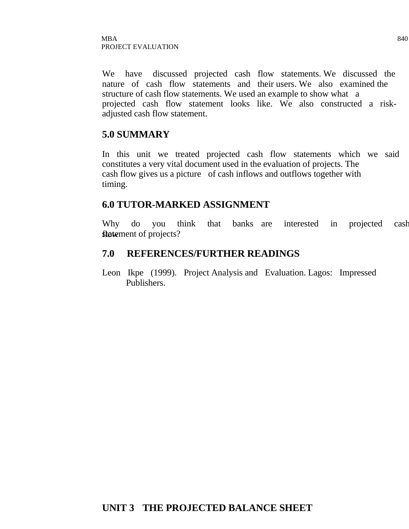We have discussed projected cash flow statements. We discussed the nature of cash flow statements and their users. We also examined the structure of cash flow statements. We used an example to show what a projected cash flow statement looks like. We also constructed a riskadjusted cash flow statement.

## **5.0 SUMMARY**

In this unit we treated projected cash flow statements which we said constitutes a very vital document used in the evaluation of projects. The cash flow gives us a picture of cash inflows and outflows together with timing.

#### **6.0 TUTOR-MARKED ASSIGNMENT**

Why do you think that banks are interested in projected cash flowement of projects?

## **7.0 REFERENCES/FURTHER READINGS**

Leon Ikpe (1999). Project Analysis and Evaluation. Lagos: Impressed Publishers.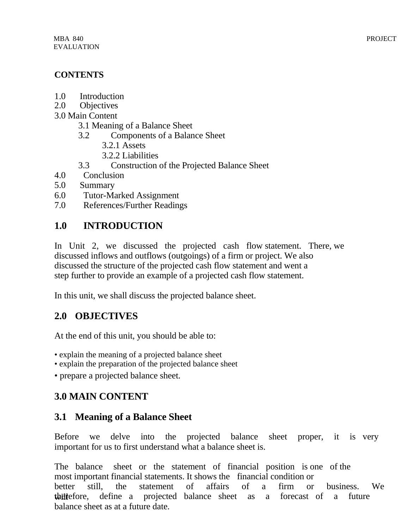# **CONTENTS**

- 1.0 Introduction
- 2.0 Objectives
- 3.0 Main Content
	- 3.1 Meaning of a Balance Sheet
	- 3.2 Components of a Balance Sheet
		- 3.2.1 Assets
		- 3.2.2 Liabilities
	- 3.3 Construction of the Projected Balance Sheet
- 4.0 Conclusion
- 5.0 Summary
- 6.0 Tutor-Marked Assignment
- 7.0 References/Further Readings

# **1.0 INTRODUCTION**

In Unit 2, we discussed the projected cash flow statement. There, we discussed inflows and outflows (outgoings) of a firm or project. We also discussed the structure of the projected cash flow statement and went a step further to provide an example of a projected cash flow statement.

In this unit, we shall discuss the projected balance sheet.

# **2.0 OBJECTIVES**

At the end of this unit, you should be able to:

- explain the meaning of a projected balance sheet
- explain the preparation of the projected balance sheet
- prepare a projected balance sheet.

# **3.0 MAIN CONTENT**

# **3.1 Meaning of a Balance Sheet**

Before we delve into the projected balance sheet proper, it is very important for us to first understand what a balance sheet is.

The balance sheet or the statement of financial position is one of the most important financial statements. It shows the financial condition or better still, the statement of affairs of a firm or business. We the therefore, define a projected balance sheet as a forecast of a future balance sheet as at a future date.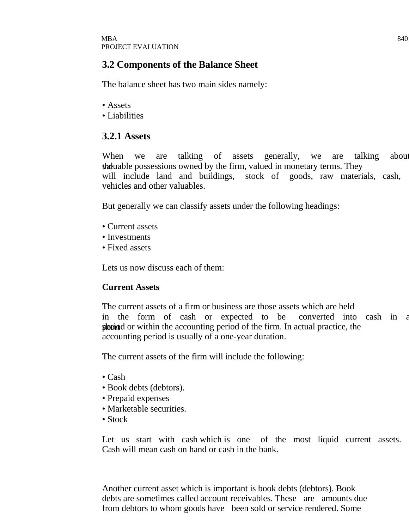# **3.2 Components of the Balance Sheet**

The balance sheet has two main sides namely:

- Assets
- Liabilities

# **3.2.1 Assets**

When we are talking of assets generally, we are talking about the valuable possessions owned by the firm, valued in monetary terms. They will include land and buildings, stock of goods, raw materials, cash, vehicles and other valuables.

But generally we can classify assets under the following headings:

- Current assets
- Investments
- Fixed assets

Lets us now discuss each of them:

#### **Current Assets**

The current assets of a firm or business are those assets which are held in the form of cash or expected to be converted into cash in a shorted or within the accounting period of the firm. In actual practice, the accounting period is usually of a one-year duration.

The current assets of the firm will include the following:

- Cash
- Book debts (debtors).
- Prepaid expenses
- Marketable securities.
- Stock

Let us start with cash which is one of the most liquid current assets. Cash will mean cash on hand or cash in the bank.

Another current asset which is important is book debts (debtors). Book debts are sometimes called account receivables. These are amounts due from debtors to whom goods have been sold or service rendered. Some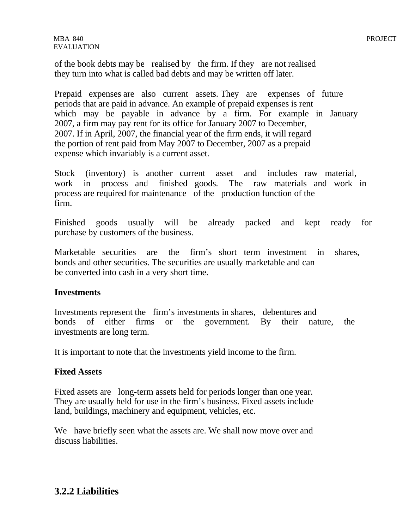of the book debts may be realised by the firm. If they are not realised they turn into what is called bad debts and may be written off later.

Prepaid expenses are also current assets. They are expenses of future periods that are paid in advance. An example of prepaid expenses is rent which may be payable in advance by a firm. For example in January 2007, a firm may pay rent for its office for January 2007 to December, 2007. If in April, 2007, the financial year of the firm ends, it will regard the portion of rent paid from May 2007 to December, 2007 as a prepaid expense which invariably is a current asset.

Stock (inventory) is another current asset and includes raw material, work in process and finished goods. The raw materials and work in process are required for maintenance of the production function of the firm.

Finished goods usually will be already packed and kept ready for purchase by customers of the business.

Marketable securities are the firm's short term investment in shares, bonds and other securities. The securities are usually marketable and can be converted into cash in a very short time.

#### **Investments**

Investments represent the firm's investments in shares, debentures and bonds of either firms or the government. By their nature, the investments are long term.

It is important to note that the investments yield income to the firm.

#### **Fixed Assets**

Fixed assets are long-term assets held for periods longer than one year. They are usually held for use in the firm's business. Fixed assets include land, buildings, machinery and equipment, vehicles, etc.

We have briefly seen what the assets are. We shall now move over and discuss liabilities.

# **3.2.2 Liabilities**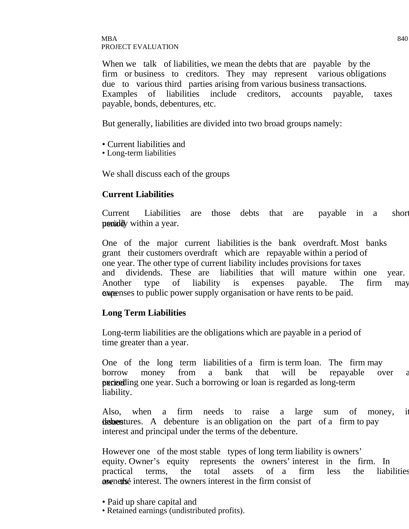#### $\rm{MBA}$  840 PROJECT EVALUATION

When we talk of liabilities, we mean the debts that are payable by the firm or business to creditors. They may represent various obligations due to various third parties arising from various business transactions. Examples of liabilities include creditors, accounts payable, taxes payable, bonds, debentures, etc.

But generally, liabilities are divided into two broad groups namely:

- Current liabilities and
- Long-term liabilities

We shall discuss each of the groups

#### **Current Liabilities**

Current Liabilities are those debts that are payable in a short periodly within a year.

One of the major current liabilities is the bank overdraft. Most banks grant their customers overdraft which are repayable within a period of one year. The other type of current liability includes provisions for taxes and dividends. These are liabilities that will mature within one year. Another type of liability is expenses payable. The firm may **expenses** to public power supply organisation or have rents to be paid.

#### **Long Term Liabilities**

Long-term liabilities are the obligations which are payable in a period of time greater than a year.

One of the long term liabilities of a firm is term loan. The firm may borrow money from a bank that will be repayable over a **period** experimently one year. Such a borrowing or loan is regarded as long-term liability.

Also, when a firm needs to raise a large sum of money, it **its issues** debenture is an obligation on the part of a firm to pay interest and principal under the terms of the debenture.

However one of the most stable types of long term liability is owners' equity. Owner's equity represents the owners' interest in the firm. In practical terms, the total assets of a firm less the liabilities *are nettherefferencerical contents interest in the firm consist of* 

- Paid up share capital and
- Retained earnings (undistributed profits).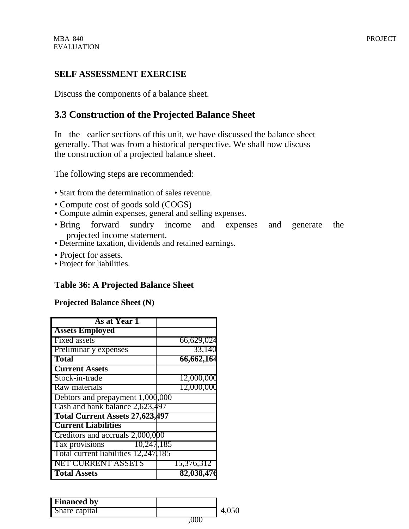#### **SELF ASSESSMENT EXERCISE**

Discuss the components of a balance sheet.

# **3.3 Construction of the Projected Balance Sheet**

In the earlier sections of this unit, we have discussed the balance sheet generally. That was from a historical perspective. We shall now discuss the construction of a projected balance sheet.

The following steps are recommended:

- Start from the determination of sales revenue.
- Compute cost of goods sold (COGS)
- Compute admin expenses, general and selling expenses.
- Bring forward sundry income and expenses and generate the projected income statement.
- Determine taxation, dividends and retained earnings.
- Project for assets.
- Project for liabilities.

#### **Table 36: A Projected Balance Sheet**

#### **Projected Balance Sheet (N)**

| <b>As at Year 1</b>                    |            |
|----------------------------------------|------------|
| <b>Assets Employed</b>                 |            |
| Fixed assets                           | 66,629,024 |
| Preliminar y expenses                  | 33,140     |
| <b>Total</b>                           | 66,662,164 |
| <b>Current Assets</b>                  |            |
| Stock-in-trade                         | 12,000,000 |
| Raw materials                          | 12,000,000 |
| Debtors and prepayment 1,000,000       |            |
| Cash and bank balance 2,623,497        |            |
| <b>Total Current Assets 27,623,497</b> |            |
| <b>Current Liabilities</b>             |            |
| Creditors and accruals 2,000,000       |            |
| 10,247,185<br>Tax provisions           |            |
| Total current liabilities 12,247,185   |            |
| NET CURRENT ASSETS                     | 15,376,312 |
| <b>Total Assets</b>                    | 82,038,476 |

| <b>Financed by</b> |  |
|--------------------|--|
| Share capital      |  |
|                    |  |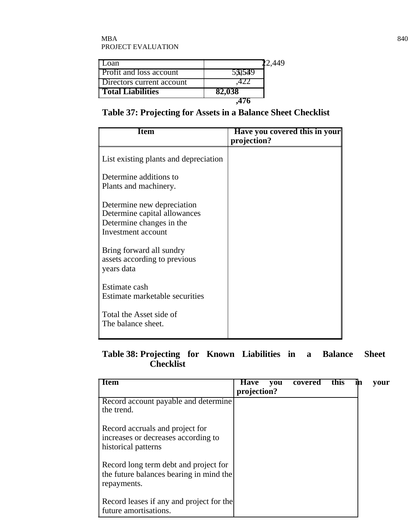| Loan                           |        |  |
|--------------------------------|--------|--|
| <b>Profit and loss account</b> | 530539 |  |
| Directors current account      |        |  |
| <b>Total Liabilities</b>       | 82,038 |  |
|                                |        |  |

# **Table 37: Projecting for Assets in a Balance Sheet Checklist**

| Item                                                                                                         | Have you covered this in your<br>projection? |
|--------------------------------------------------------------------------------------------------------------|----------------------------------------------|
| List existing plants and depreciation                                                                        |                                              |
| Determine additions to<br>Plants and machinery.                                                              |                                              |
| Determine new depreciation<br>Determine capital allowances<br>Determine changes in the<br>Investment account |                                              |
| Bring forward all sundry<br>assets according to previous<br>years data                                       |                                              |
| Estimate cash<br>Estimate marketable securities                                                              |                                              |
| Total the Asset side of<br>The balance sheet.                                                                |                                              |

## **Table 38: Projecting for Known Liabilities in a Balance Sheet Checklist**

| Item                                                                                            | <b>Have</b><br>you<br>projection? | covered | this | ın | vour |
|-------------------------------------------------------------------------------------------------|-----------------------------------|---------|------|----|------|
| Record account payable and determine<br>the trend.                                              |                                   |         |      |    |      |
| Record accruals and project for<br>increases or decreases according to<br>historical patterns   |                                   |         |      |    |      |
| Record long term debt and project for<br>the future balances bearing in mind the<br>repayments. |                                   |         |      |    |      |
| Record leases if any and project for the<br>future amortisations.                               |                                   |         |      |    |      |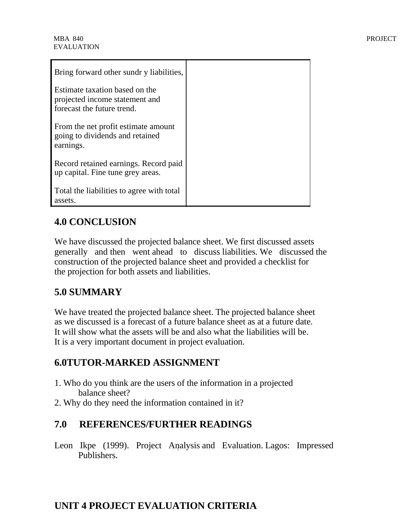| Bring forward other sundr y liabilities,                                                       |  |
|------------------------------------------------------------------------------------------------|--|
| Estimate taxation based on the<br>projected income statement and<br>forecast the future trend. |  |
| From the net profit estimate amount<br>going to dividends and retained<br>earnings.            |  |
| Record retained earnings. Record paid<br>up capital. Fine tune grey areas.                     |  |
| Total the liabilities to agree with total<br>assets.                                           |  |

# **4.0 CONCLUSION**

We have discussed the projected balance sheet. We first discussed assets generally and then went ahead to discuss liabilities. We discussed the construction of the projected balance sheet and provided a checklist for the projection for both assets and liabilities.

# **5.0 SUMMARY**

We have treated the projected balance sheet. The projected balance sheet as we discussed is a forecast of a future balance sheet as at a future date. It will show what the assets will be and also what the liabilities will be. It is a very important document in project evaluation.

# **6.0TUTOR-MARKED ASSIGNMENT**

- 1. Who do you think are the users of the information in a projected balance sheet?
- 2. Why do they need the information contained in it?

# **7.0 REFERENCES/FURTHER READINGS**

Leon Ikpe (1999). Project Analysis and Evaluation. Lagos: Impressed Publishers.

# **UNIT 4 PROJECT EVALUATION CRITERIA**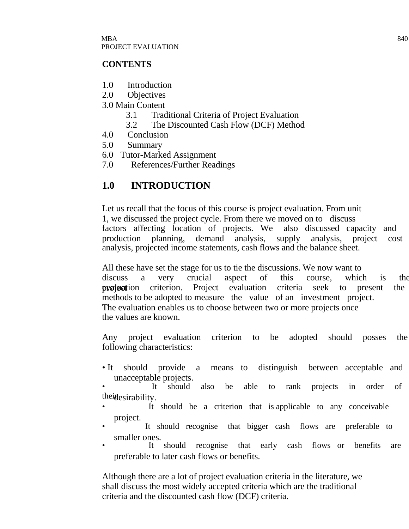#### **CONTENTS**

- 1.0 Introduction
- 2.0 Objectives
- 3.0 Main Content
	- 3.1 Traditional Criteria of Project Evaluation
	- 3.2 The Discounted Cash Flow (DCF) Method
- 4.0 Conclusion
- 5.0 Summary
- 6.0 Tutor-Marked Assignment
- 7.0 References/Further Readings

# **1.0 INTRODUCTION**

Let us recall that the focus of this course is project evaluation. From unit 1, we discussed the project cycle. From there we moved on to discuss<br>factors affecting location of projects. We also discussed capacity and factors affecting location of projects. We production planning, demand analysis, supply analysis, project cost analysis, projected income statements, cash flows and the balance sheet.

All these have set the stage for us to tie the discussions. We now want to discuss a very crucial aspect of this course, which is the **evaluation** criterion. Project evaluation criteria seek to present the methods to be adopted to measure the value of an investment project. The evaluation enables us to choose between two or more projects once the values are known.

Any project evaluation criterion to be adopted should posses the following characteristics:

• It should provide a means to distinguish between acceptable and unacceptable projects.

It should also be able to rank projects in order of the idesirability.

- It should be a criterion that is applicable to any conceivable project.
- It should recognise that bigger cash flows are preferable to smaller ones.<br>It should
- It should recognise that early cash flows or benefits are preferable to later cash flows or benefits.

Although there are a lot of project evaluation criteria in the literature, we shall discuss the most widely accepted criteria which are the traditional criteria and the discounted cash flow (DCF) criteria.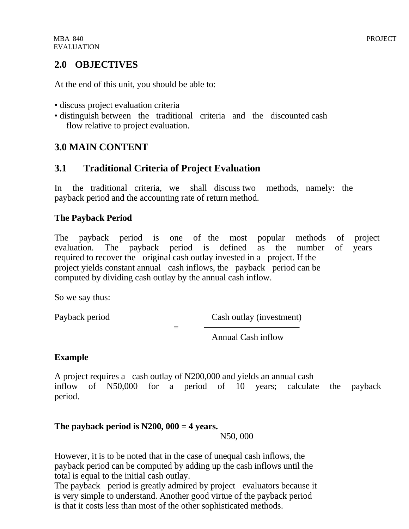# **2.0 OBJECTIVES**

At the end of this unit, you should be able to:

- discuss project evaluation criteria
- distinguish between the traditional criteria and the discounted cash flow relative to project evaluation.

# **3.0 MAIN CONTENT**

# **3.1 Traditional Criteria of Project Evaluation**

In the traditional criteria, we shall discuss two methods, namely: the payback period and the accounting rate of return method.

# **The Payback Period**

The payback period is one of the most popular methods of project evaluation. The payback period is defined as the number of years required to recover the original cash outlay invested in a project. If the project yields constant annual cash inflows, the payback period can be computed by dividing cash outlay by the annual cash inflow.

So we say thus:

Payback period Cash outlay (investment)

Annual Cash inflow

#### **Example**

A project requires a cash outlay of N200,000 and yields an annual cash inflow of N50,000 for a period of 10 years; calculate the payback period.

#### **The payback period is N200, 000 = 4 years.** N50, 000

However, it is to be noted that in the case of unequal cash inflows, the payback period can be computed by adding up the cash inflows until the total is equal to the initial cash outlay.

=

The payback period is greatly admired by project evaluators because it is very simple to understand. Another good virtue of the payback period is that it costs less than most of the other sophisticated methods.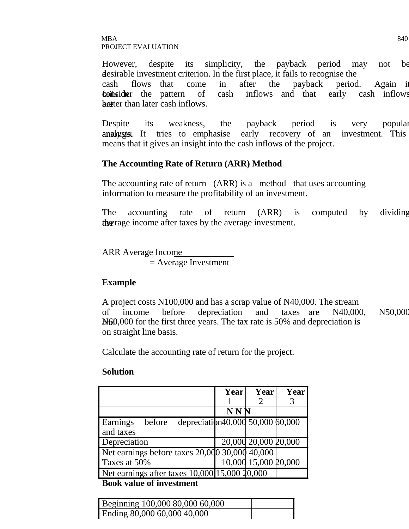#### $\rm{MBA}$  840 PROJECT EVALUATION

However, despite its simplicity, the payback period may not be desirable investment criterion. In the first place, it fails to recognise the cash flows that come in after the payback period. Again it **fails the** pattern of cash inflows and that early cash inflows better than later cash inflows.

Despite its weakness, the payback period is very popular analyst It tries to emphasise early recovery of an investment. This means that it gives an insight into the cash inflows of the project.

#### **The Accounting Rate of Return (ARR) Method**

The accounting rate of return (ARR) is a method that uses accounting information to measure the profitability of an investment.

The accounting rate of return (ARR) is computed by dividing the average income after taxes by the average investment.

ARR Average Income

= Average Investment

#### **Example**

A project costs N100,000 and has a scrap value of N40,000. The stream of income before depreciation and taxes are N40,000, N50,000  $M<sub>60</sub>$ ,000 for the first three years. The tax rate is 50% and depreciation is on straight line basis.

Calculate the accounting rate of return for the project.

#### **Solution**

|                                                                           | Year       | Year                 | <b>Year</b> |
|---------------------------------------------------------------------------|------------|----------------------|-------------|
|                                                                           |            |                      |             |
|                                                                           | <b>NNN</b> |                      |             |
| depreciation40,000 50,000 60,000<br><b>Earnings</b><br>before             |            |                      |             |
| and taxes                                                                 |            |                      |             |
| Depreciation                                                              |            | 20,000 20,000 20,000 |             |
| Net earnings before taxes 20,000 30,000 40,000                            |            |                      |             |
| Taxes at 50%                                                              |            | 10,000 15,000 20,000 |             |
| Net earnings after taxes $10,000$ $\overline{15,000}$ $\overline{20,000}$ |            |                      |             |

**Book value of investment** 

| Beginning 100,000 80,000 60,000 |  |  |
|---------------------------------|--|--|
| Ending 80,000 60,000 40,000     |  |  |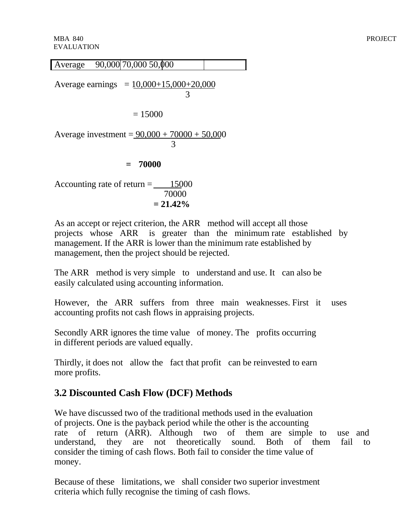Average 90,000 70,000 50,000 Average earnings  $= 10,000+15,000+20,000$  3  $= 15000$ Average investment =  $90,000 + 70000 + 50,000$  3 **= 70000**

Accounting rate of return  $=$  15000 70000  $= 21.42\%$ 

As an accept or reject criterion, the ARR method will accept all those projects whose ARR is greater than the minimum rate established by management. If the ARR is lower than the minimum rate established by management, then the project should be rejected.

The ARR method is very simple to understand and use. It can also be easily calculated using accounting information.

However, the ARR suffers from three main weaknesses. First it uses accounting profits not cash flows in appraising projects.

Secondly ARR ignores the time value of money. The profits occurring in different periods are valued equally.

Thirdly, it does not allow the fact that profit can be reinvested to earn more profits.

# **3.2 Discounted Cash Flow (DCF) Methods**

We have discussed two of the traditional methods used in the evaluation of projects. One is the payback period while the other is the accounting rate of return (ARR). Although two of them are simple to use and understand, they are not theoretically sound. Both of them fail to consider the timing of cash flows. Both fail to consider the time value of money.

Because of these limitations, we shall consider two superior investment criteria which fully recognise the timing of cash flows.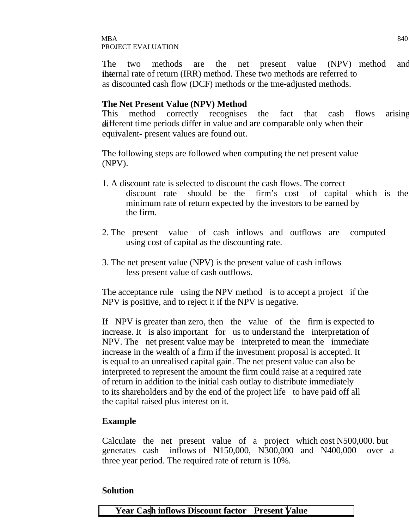The two methods are the net present value (NPV) method and the the internal rate of return (IRR) method. These two methods are referred to as discounted cash flow (DCF) methods or the tme-adjusted methods.

#### **The Net Present Value (NPV) Method**

This method correctly recognises the fact that cash flows arising different time periods differ in value and are comparable only when their equivalent- present values are found out.

The following steps are followed when computing the net present value (NPV).

- 1. A discount rate is selected to discount the cash flows. The correct discount rate should be the firm's cost of capital which is the minimum rate of return expected by the investors to be earned by the firm.
- 2. The present value of cash inflows and outflows are computed using cost of capital as the discounting rate.
- 3. The net present value (NPV) is the present value of cash inflows less present value of cash outflows.

The acceptance rule using the NPV method is to accept a project if the NPV is positive, and to reject it if the NPV is negative.

If NPV is greater than zero, then the value of the firm is expected to increase. It is also important for us to understand the interpretation of NPV. The net present value may be interpreted to mean the immediate increase in the wealth of a firm if the investment proposal is accepted. It is equal to an unrealised capital gain. The net present value can also be interpreted to represent the amount the firm could raise at a required rate of return in addition to the initial cash outlay to distribute immediately to its shareholders and by the end of the project life to have paid off all the capital raised plus interest on it.

#### **Example**

Calculate the net present value of a project which cost N500,000. but generates cash inflows of N150,000, N300,000 and N400,000 over a three year period. The required rate of return is 10%.

#### **Solution**

**Year Cash inflows Discount factor Present Value**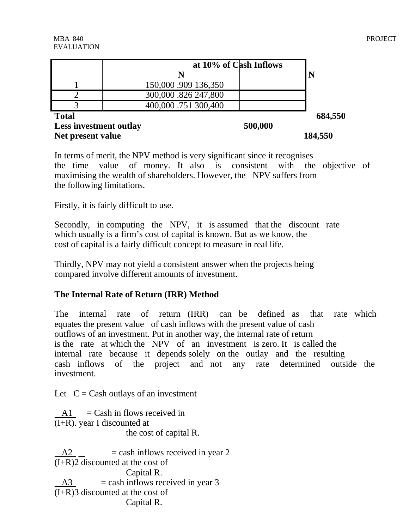|              | at 10% of Cash Inflows |         |
|--------------|------------------------|---------|
|              |                        |         |
|              | 150,000 .909 136,350   |         |
|              | 300,000 .826 247,800   |         |
|              | 400,000 .751 300,400   |         |
| <b>Total</b> |                        | 684,550 |

**Less investment outlay 500,000 Net present value 184,550** 

In terms of merit, the NPV method is very significant since it recognises the time value of money. It also is consistent with the objective of maximising the wealth of shareholders. However, the NPV suffers from the following limitations.

Firstly, it is fairly difficult to use.

Secondly, in computing the NPV, it is assumed that the discount rate which usually is a firm's cost of capital is known. But as we know, the cost of capital is a fairly difficult concept to measure in real life.

Thirdly, NPV may not yield a consistent answer when the projects being compared involve different amounts of investment.

#### **The Internal Rate of Return (IRR) Method**

The internal rate of return (IRR) can be defined as that rate which equates the present value of cash inflows with the present value of cash outflows of an investment. Put in another way, the internal rate of return is the rate at which the NPV of an investment is zero. It is called the internal rate because it depends solely on the outlay and the resulting cash inflows of the project and not any rate determined outside the investment.

Let  $C = Cash$  outlays of an investment

 $A1 =$ Cash in flows received in (I+R). year I discounted at the cost of capital R.

 $A2 = \cosh \text{ inflows received in year 2}$ (I+R)2 discounted at the cost of Capital R.  $A3$  = cash inflows received in year 3  $(I+R)$ 3 discounted at the cost of Capital R.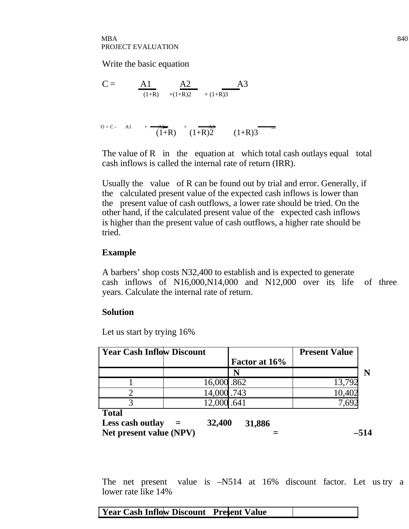Write the basic equation

$$
C = \frac{A1}{(1+R)} \frac{A2}{+(1+R)2} + \frac{A3}{(1+R)3}
$$

$$
0 = C - A1 + \frac{A2}{(1+R)} + \frac{A3}{(1+R)^2} \qquad (1+R)3
$$

The value of R in the equation at which total cash outlays equal total cash inflows is called the internal rate of return (IRR).

Usually the value of R can be found out by trial and error. Generally, if the calculated present value of the expected cash inflows is lower than the present value of cash outflows, a lower rate should be tried. On the other hand, if the calculated present value of the expected cash inflows is higher than the present value of cash outflows, a higher rate should be tried.

#### **Example**

A barbers' shop costs N32,400 to establish and is expected to generate cash inflows of N16,000,N14,000 and N12,000 over its life of three years. Calculate the internal rate of return.

#### **Solution**

Let us start by trying 16%

| <b>Year Cash Inflow Discount</b> |             |               | <b>Present Value</b> |  |
|----------------------------------|-------------|---------------|----------------------|--|
|                                  |             | Factor at 16% |                      |  |
|                                  |             |               |                      |  |
|                                  | 16,000.862  |               |                      |  |
|                                  | 14,000 .743 |               | 10,402               |  |
|                                  | 12,000.641  |               |                      |  |
| <b>Total</b>                     |             |               |                      |  |
| Less cash outlay                 | 32,400      | 31,886        |                      |  |

Net present value  $(NPV)$   $=$   $-514$ 

The net present value is –N514 at 16% discount factor. Let us try a lower rate like 14%

#### **Year Cash Inflow Discount Present Value**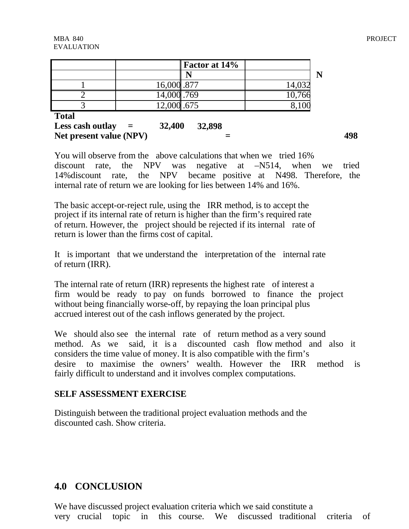|              | <b>Factor at 14%</b> |        |
|--------------|----------------------|--------|
|              |                      |        |
|              | 16,000 .877          | 14,032 |
|              | 14,000 .769          | 10,766 |
|              | 12,000 .675          |        |
| <b>Total</b> |                      |        |

**Less cash outlay = 32,400 32,898** Net present value (NPV)  $=$  498

You will observe from the above calculations that when we tried 16% discount rate, the NPV was negative at –N514, when we tried 14%discount rate, the NPV became positive at N498. Therefore, the internal rate of return we are looking for lies between 14% and 16%.

The basic accept-or-reject rule, using the IRR method, is to accept the project if its internal rate of return is higher than the firm's required rate of return. However, the project should be rejected if its internal rate of return is lower than the firms cost of capital.

It is important that we understand the interpretation of the internal rate of return (IRR).

The internal rate of return (IRR) represents the highest rate of interest a firm would be ready to pay on funds borrowed to finance the project without being financially worse-off, by repaying the loan principal plus accrued interest out of the cash inflows generated by the project.

We should also see the internal rate of return method as a very sound method. As we said, it is a discounted cash flow method and also it considers the time value of money. It is also compatible with the firm's desire to maximise the owners' wealth. However the IRR method is fairly difficult to understand and it involves complex computations.

#### **SELF ASSESSMENT EXERCISE**

Distinguish between the traditional project evaluation methods and the discounted cash. Show criteria.

# **4.0 CONCLUSION**

We have discussed project evaluation criteria which we said constitute a very crucial topic in this course. We discussed traditional criteria of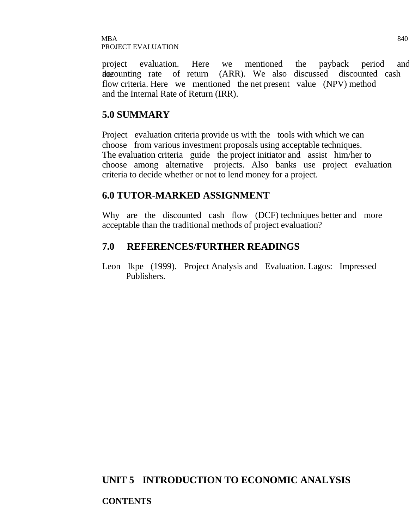project evaluation. Here we mentioned the payback period and the counting rate of return (ARR). We also discussed discounted cash flow criteria. Here we mentioned the net present value (NPV) method and the Internal Rate of Return (IRR).

## **5.0 SUMMARY**

Project evaluation criteria provide us with the tools with which we can choose from various investment proposals using acceptable techniques. The evaluation criteria guide the project initiator and assist him/her to choose among alternative projects. Also banks use project evaluation criteria to decide whether or not to lend money for a project.

## **6.0 TUTOR-MARKED ASSIGNMENT**

Why are the discounted cash flow (DCF) techniques better and more acceptable than the traditional methods of project evaluation?

## **7.0 REFERENCES/FURTHER READINGS**

Leon Ikpe (1999). Project Analysis and Evaluation. Lagos: Impressed Publishers.

# **UNIT 5 INTRODUCTION TO ECONOMIC ANALYSIS**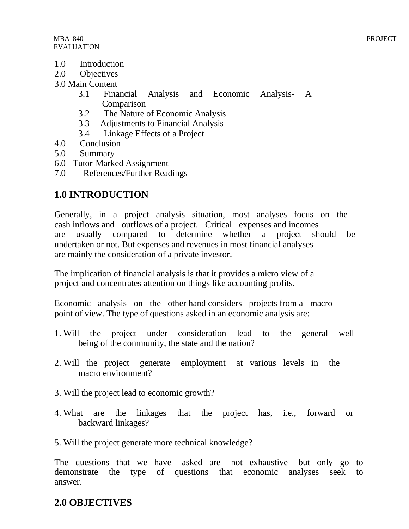- 1.0 Introduction
- 2.0 Objectives
- 3.0 Main Content
	- 3.1 Financial Analysis and Economic Analysis- A Comparison
	- 3.2 The Nature of Economic Analysis
	- 3.3 Adjustments to Financial Analysis
	- 3.4 Linkage Effects of a Project
- 4.0 Conclusion
- 5.0 Summary
- 6.0 Tutor-Marked Assignment
- 7.0 References/Further Readings

# **1.0 INTRODUCTION**

Generally, in a project analysis situation, most analyses focus on the cash inflows and outflows of a project. Critical expenses and incomes are usually compared to determine whether a project should be undertaken or not. But expenses and revenues in most financial analyses are mainly the consideration of a private investor.

The implication of financial analysis is that it provides a micro view of a project and concentrates attention on things like accounting profits.

Economic analysis on the other hand considers projects from a macro point of view. The type of questions asked in an economic analysis are:

- 1. Will the project under consideration lead to the general well being of the community, the state and the nation?
- 2. Will the project generate employment at various levels in the macro environment?
- 3. Will the project lead to economic growth?
- 4. What are the linkages that the project has, i.e., forward or backward linkages?
- 5. Will the project generate more technical knowledge?

The questions that we have asked are not exhaustive but only go to demonstrate the type of questions that economic analyses seek to answer.

# **2.0 OBJECTIVES**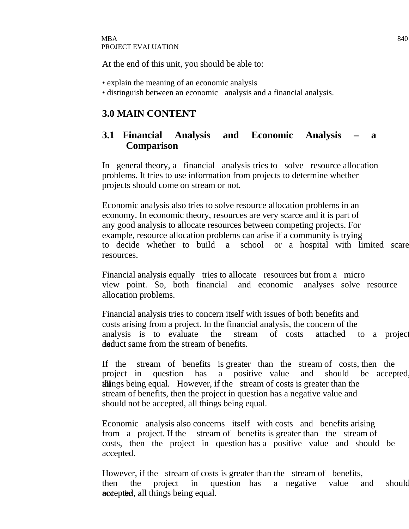At the end of this unit, you should be able to:

- explain the meaning of an economic analysis
- distinguish between an economic analysis and a financial analysis.

# **3.0 MAIN CONTENT**

# **3.1 Financial Analysis and Economic Analysis – a Comparison**

In general theory, a financial analysis tries to solve resource allocation problems. It tries to use information from projects to determine whether projects should come on stream or not.

Economic analysis also tries to solve resource allocation problems in an economy. In economic theory, resources are very scarce and it is part of any good analysis to allocate resources between competing projects. For example, resource allocation problems can arise if a community is trying to decide whether to build a school or a hospital with limited scare resources.

Financial analysis equally tries to allocate resources but from a micro view point. So, both financial and economic analyses solve resource allocation problems.

Financial analysis tries to concern itself with issues of both benefits and costs arising from a project. In the financial analysis, the concern of the analysis is to evaluate the stream of costs attached to a project deduct same from the stream of benefits.

If the stream of benefits is greater than the stream of costs, then the project in question has a positive value and should be accepted all things being equal. However, if the stream of costs is greater than the stream of benefits, then the project in question has a negative value and should not be accepted, all things being equal.

Economic analysis also concerns itself with costs and benefits arising from a project. If the stream of benefits is greater than the stream of costs, then the project in question has a positive value and should be accepted.

However, if the stream of costs is greater than the stream of benefits, then the project in question has a negative value and should not epithed, all things being equal.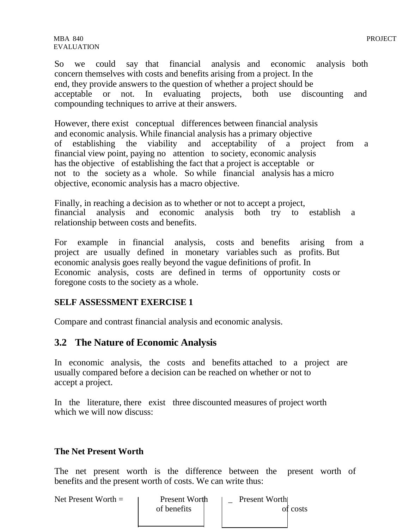So we could say that financial analysis and economic analysis both concern themselves with costs and benefits arising from a project. In the end, they provide answers to the question of whether a project should be acceptable or not. In evaluating projects, both use discounting and compounding techniques to arrive at their answers.

However, there exist conceptual differences between financial analysis and economic analysis. While financial analysis has a primary objective of establishing the viability and acceptability of a project from a financial view point, paying no attention to society, economic analysis has the objective of establishing the fact that a project is acceptable or not to the society as a whole. So while financial analysis has a micro objective, economic analysis has a macro objective.

Finally, in reaching a decision as to whether or not to accept a project, financial analysis and economic analysis both try to establish a relationship between costs and benefits.

For example in financial analysis, costs and benefits arising from a project are usually defined in monetary variables such as profits. But economic analysis goes really beyond the vague definitions of profit. In Economic analysis, costs are defined in terms of opportunity costs or foregone costs to the society as a whole.

#### **SELF ASSESSMENT EXERCISE 1**

Compare and contrast financial analysis and economic analysis.

#### **3.2 The Nature of Economic Analysis**

In economic analysis, the costs and benefits attached to a project are usually compared before a decision can be reached on whether or not to accept a project.

In the literature, there exist three discounted measures of project worth which we will now discuss:

#### **The Net Present Worth**

The net present worth is the difference between the present worth of benefits and the present worth of costs. We can write thus:

| Net Present Worth $=$ | Present Worth<br>of benefits |  | Present Worth | of costs |
|-----------------------|------------------------------|--|---------------|----------|
|-----------------------|------------------------------|--|---------------|----------|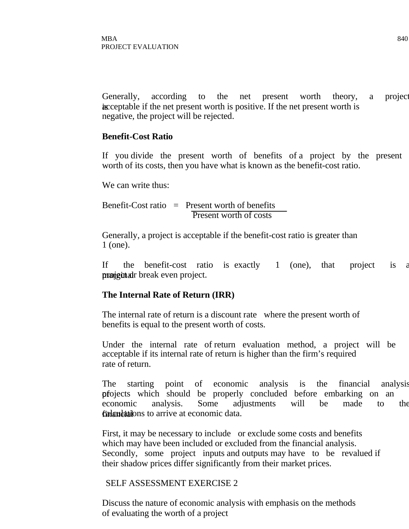Generally, according to the net present worth theory, a project is acceptable if the net present worth is positive. If the net present worth is negative, the project will be rejected.

#### **Benefit-Cost Ratio**

If you divide the present worth of benefits of a project by the present worth of its costs, then you have what is known as the benefit-cost ratio.

We can write thus:

Benefit-Cost ratio  $=$  Present worth of benefits Present worth of costs

Generally, a project is acceptable if the benefit-cost ratio is greater than 1 (one).

If the benefit-cost ratio is exactly 1 (one), that project is a project all break even project.

#### **The Internal Rate of Return (IRR)**

The internal rate of return is a discount rate where the present worth of benefits is equal to the present worth of costs.

Under the internal rate of return evaluation method, a project will be acceptable if its internal rate of return is higher than the firm's required rate of return.

The starting point of economic analysis is the financial analysis of projects which should be properly concluded before embarking on an economic analysis. Some adjustments will be made to the **financial calculations** to arrive at economic data.

First, it may be necessary to include or exclude some costs and benefits which may have been included or excluded from the financial analysis. Secondly, some project inputs and outputs may have to be revalued if their shadow prices differ significantly from their market prices.

#### SELF ASSESSMENT EXERCISE 2

Discuss the nature of economic analysis with emphasis on the methods of evaluating the worth of a project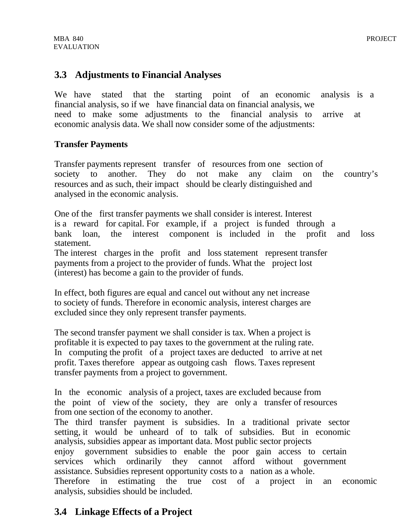### **3.3 Adjustments to Financial Analyses**

We have stated that the starting point of an economic analysis is a financial analysis, so if we have financial data on financial analysis, we need to make some adjustments to the financial analysis to arrive at economic analysis data. We shall now consider some of the adjustments:

#### **Transfer Payments**

Transfer payments represent transfer of resources from one section of society to another. They do not make any claim on the country's resources and as such, their impact should be clearly distinguished and analysed in the economic analysis.

One of the first transfer payments we shall consider is interest. Interest is a reward for capital. For example, if a project is funded through a bank loan, the interest component is included in the profit and loss statement.

The interest charges in the profit and loss statement represent transfer payments from a project to the provider of funds. What the project lost (interest) has become a gain to the provider of funds.

In effect, both figures are equal and cancel out without any net increase to society of funds. Therefore in economic analysis, interest charges are excluded since they only represent transfer payments.

The second transfer payment we shall consider is tax. When a project is profitable it is expected to pay taxes to the government at the ruling rate. In computing the profit of a project taxes are deducted to arrive at net profit. Taxes therefore appear as outgoing cash flows. Taxes represent transfer payments from a project to government.

In the economic analysis of a project, taxes are excluded because from the point of view of the society, they are only a transfer of resources from one section of the economy to another.

The third transfer payment is subsidies. In a traditional private sector setting, it would be unheard of to talk of subsidies. But in economic analysis, subsidies appear as important data. Most public sector projects enjoy government subsidies to enable the poor gain access to certain services which ordinarily they cannot afford without government assistance. Subsidies represent opportunity costs to a nation as a whole. Therefore in estimating the true cost of a project in an economic analysis, subsidies should be included.

# **3.4 Linkage Effects of a Project**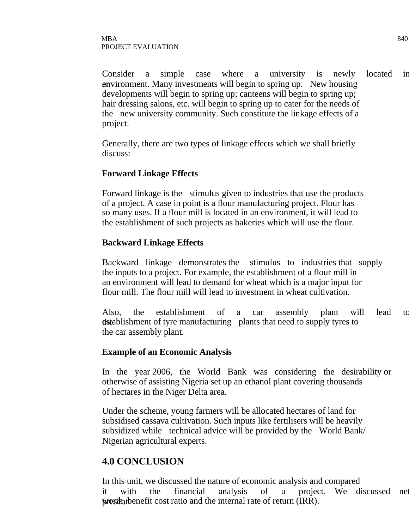Consider a simple case where a university is newly located in an vironment. Many investments will begin to spring up. New housing developments will begin to spring up; canteens will begin to spring up; hair dressing salons, etc. will begin to spring up to cater for the needs of the new university community. Such constitute the linkage effects of a project.

Generally, there are two types of linkage effects which we shall briefly discuss:

#### **Forward Linkage Effects**

Forward linkage is the stimulus given to industries that use the products of a project. A case in point is a flour manufacturing project. Flour has so many uses. If a flour mill is located in an environment, it will lead to the establishment of such projects as bakeries which will use the flour.

#### **Backward Linkage Effects**

Backward linkage demonstrates the stimulus to industries that supply the inputs to a project. For example, the establishment of a flour mill in an environment will lead to demand for wheat which is a major input for flour mill. The flour mill will lead to investment in wheat cultivation.

Also, the establishment of a car assembly plant will lead to **the extendity of the extending plants that need to supply tyres to** the car assembly plant.

#### **Example of an Economic Analysis**

In the year 2006, the World Bank was considering the desirability or otherwise of assisting Nigeria set up an ethanol plant covering thousands of hectares in the Niger Delta area.

Under the scheme, young farmers will be allocated hectares of land for subsidised cassava cultivation. Such inputs like fertilisers will be heavily subsidized while technical advice will be provided by the World Bank/ Nigerian agricultural experts.

### **4.0 CONCLUSION**

In this unit, we discussed the nature of economic analysis and compared it with the financial analysis of a project. We discussed net present worth, benefit cost ratio and the internal rate of return (IRR).